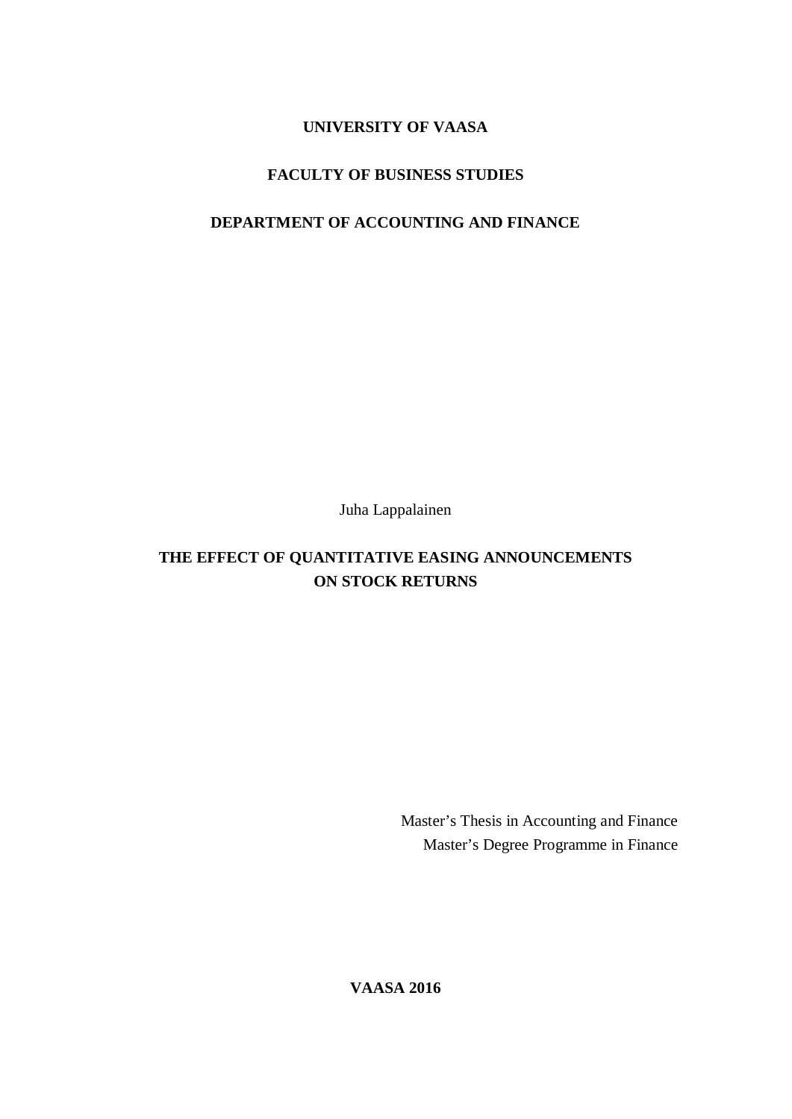# **UNIVERSITY OF VAASA**

# **FACULTY OF BUSINESS STUDIES**

# **DEPARTMENT OF ACCOUNTING AND FINANCE**

Juha Lappalainen

# **THE EFFECT OF QUANTITATIVE EASING ANNOUNCEMENTS ON STOCK RETURNS**

Master's Thesis in Accounting and Finance Master's Degree Programme in Finance

**VAASA 2016**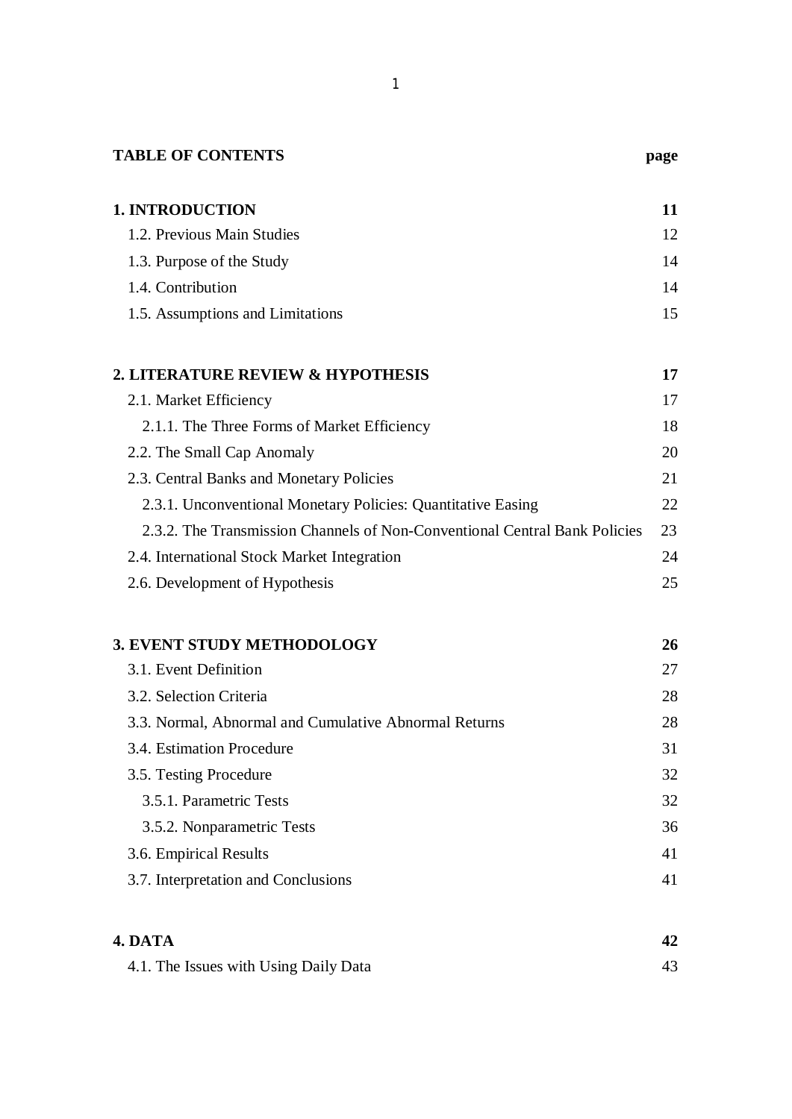# **TABLE OF CONTENTS page**

| <b>1. INTRODUCTION</b>           | 11 |
|----------------------------------|----|
| 1.2. Previous Main Studies       | 12 |
| 1.3. Purpose of the Study        | 14 |
| 1.4. Contribution                | 14 |
| 1.5. Assumptions and Limitations | 15 |
|                                  |    |

| 17                                                                                                                                         |
|--------------------------------------------------------------------------------------------------------------------------------------------|
| 17                                                                                                                                         |
| 18                                                                                                                                         |
| 20                                                                                                                                         |
| 21                                                                                                                                         |
| 22                                                                                                                                         |
| 23                                                                                                                                         |
| 24                                                                                                                                         |
| 25                                                                                                                                         |
| 2.3.1. Unconventional Monetary Policies: Quantitative Easing<br>2.3.2. The Transmission Channels of Non-Conventional Central Bank Policies |

| <b>3. EVENT STUDY METHODOLOGY</b>                     | 26 |
|-------------------------------------------------------|----|
| 3.1. Event Definition                                 | 27 |
| 3.2. Selection Criteria                               | 28 |
| 3.3. Normal, Abnormal and Cumulative Abnormal Returns | 28 |
| 3.4. Estimation Procedure                             | 31 |
| 3.5. Testing Procedure                                | 32 |
| 3.5.1. Parametric Tests                               | 32 |
| 3.5.2. Nonparametric Tests                            | 36 |
| 3.6. Empirical Results                                | 41 |
| 3.7. Interpretation and Conclusions                   | 41 |

| 4. DATA                               | 42 |
|---------------------------------------|----|
| 4.1. The Issues with Using Daily Data |    |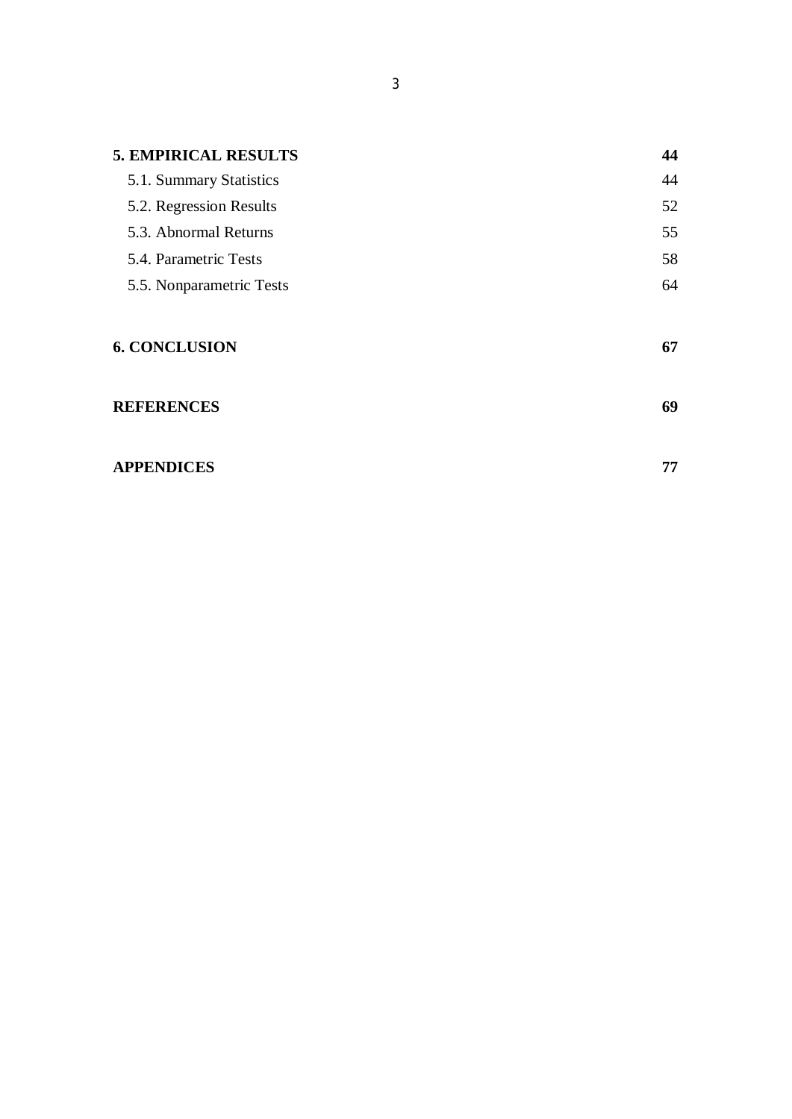| <b>5. EMPIRICAL RESULTS</b> | 44 |
|-----------------------------|----|
| 5.1. Summary Statistics     | 44 |
| 5.2. Regression Results     | 52 |
| 5.3. Abnormal Returns       | 55 |
| 5.4. Parametric Tests       | 58 |
| 5.5. Nonparametric Tests    | 64 |
| <b>6. CONCLUSION</b>        | 67 |
| <b>REFERENCES</b>           | 69 |
| <b>APPENDICES</b>           | 77 |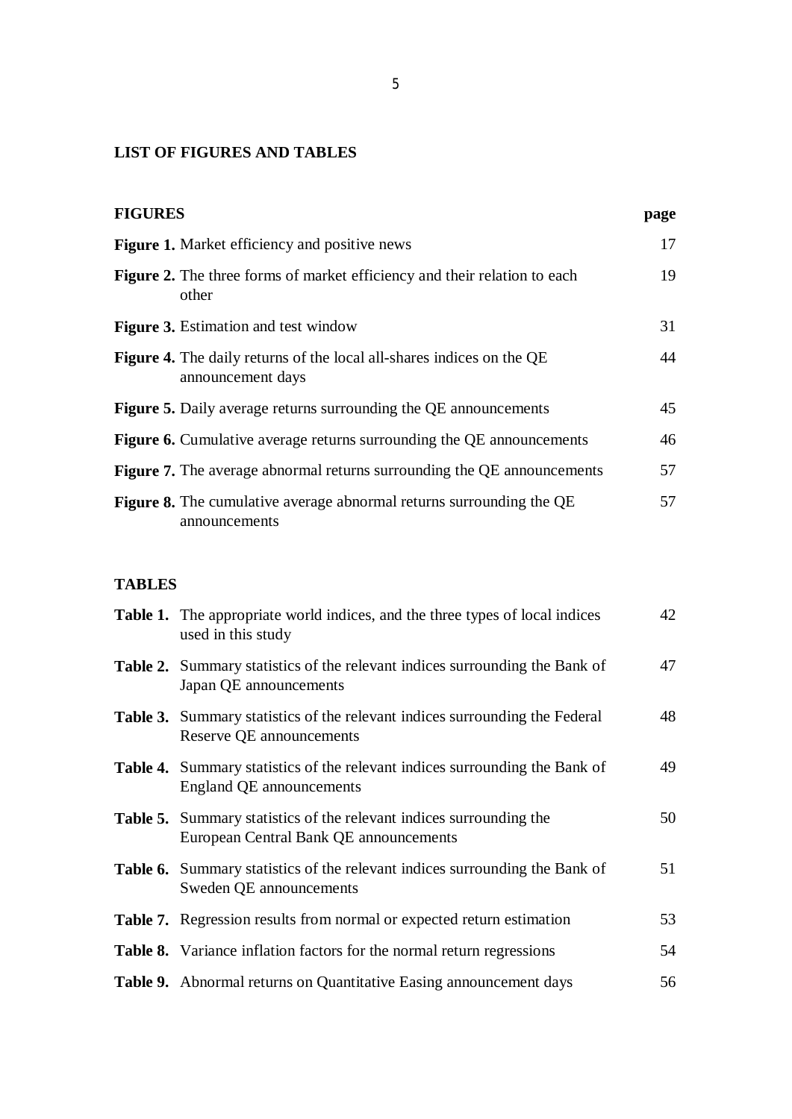# **LIST OF FIGURES AND TABLES**

| <b>FIGURES</b>                                                                                    | page |
|---------------------------------------------------------------------------------------------------|------|
| <b>Figure 1.</b> Market efficiency and positive news                                              | 17   |
| <b>Figure 2.</b> The three forms of market efficiency and their relation to each<br>other         | 19   |
| <b>Figure 3.</b> Estimation and test window                                                       | 31   |
| <b>Figure 4.</b> The daily returns of the local all-shares indices on the QE<br>announcement days | 44   |
| <b>Figure 5.</b> Daily average returns surrounding the QE announcements                           | 45   |
| <b>Figure 6.</b> Cumulative average returns surrounding the QE announcements                      | 46   |
| <b>Figure 7.</b> The average abnormal returns surrounding the QE announcements                    | 57   |
| <b>Figure 8.</b> The cumulative average abnormal returns surrounding the QE<br>announcements      | 57   |
| <b>TABLES</b>                                                                                     |      |

| <b>Table 1.</b> The appropriate world indices, and the three types of local indices<br>used in this study            | 42 |
|----------------------------------------------------------------------------------------------------------------------|----|
| <b>Table 2.</b> Summary statistics of the relevant indices surrounding the Bank of<br>Japan QE announcements         | 47 |
| <b>Table 3.</b> Summary statistics of the relevant indices surrounding the Federal<br>Reserve QE announcements       | 48 |
| <b>Table 4.</b> Summary statistics of the relevant indices surrounding the Bank of<br>England QE announcements       | 49 |
| <b>Table 5.</b> Summary statistics of the relevant indices surrounding the<br>European Central Bank QE announcements | 50 |
| Table 6. Summary statistics of the relevant indices surrounding the Bank of<br>Sweden QE announcements               | 51 |
| <b>Table 7.</b> Regression results from normal or expected return estimation                                         | 53 |
| <b>Table 8.</b> Variance inflation factors for the normal return regressions                                         | 54 |
| <b>Table 9.</b> Abnormal returns on Quantitative Easing announcement days                                            | 56 |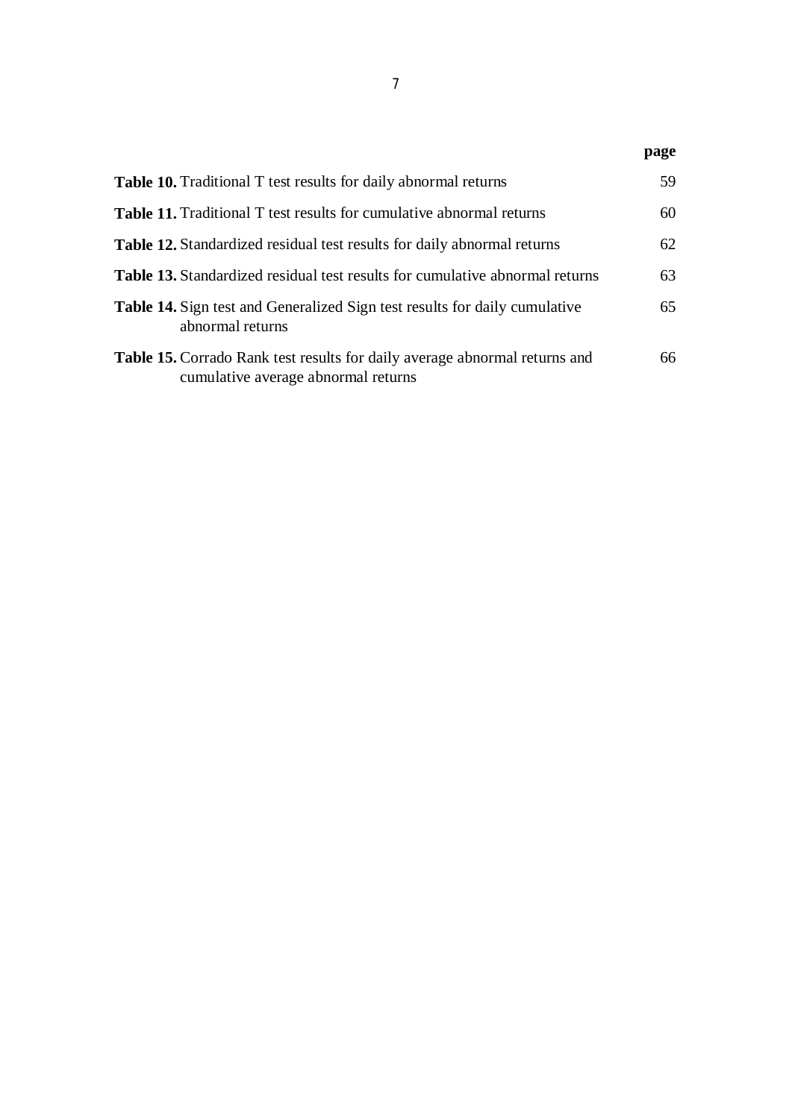|                                                                                                                          | page |
|--------------------------------------------------------------------------------------------------------------------------|------|
| <b>Table 10.</b> Traditional T test results for daily abnormal returns                                                   | 59   |
| <b>Table 11.</b> Traditional T test results for cumulative abnormal returns                                              | 60   |
| <b>Table 12.</b> Standardized residual test results for daily abnormal returns                                           | 62   |
| <b>Table 13.</b> Standardized residual test results for cumulative abnormal returns                                      | 63   |
| <b>Table 14.</b> Sign test and Generalized Sign test results for daily cumulative<br>abnormal returns                    | 65   |
| <b>Table 15.</b> Corrado Rank test results for daily average abnormal returns and<br>cumulative average abnormal returns | 66   |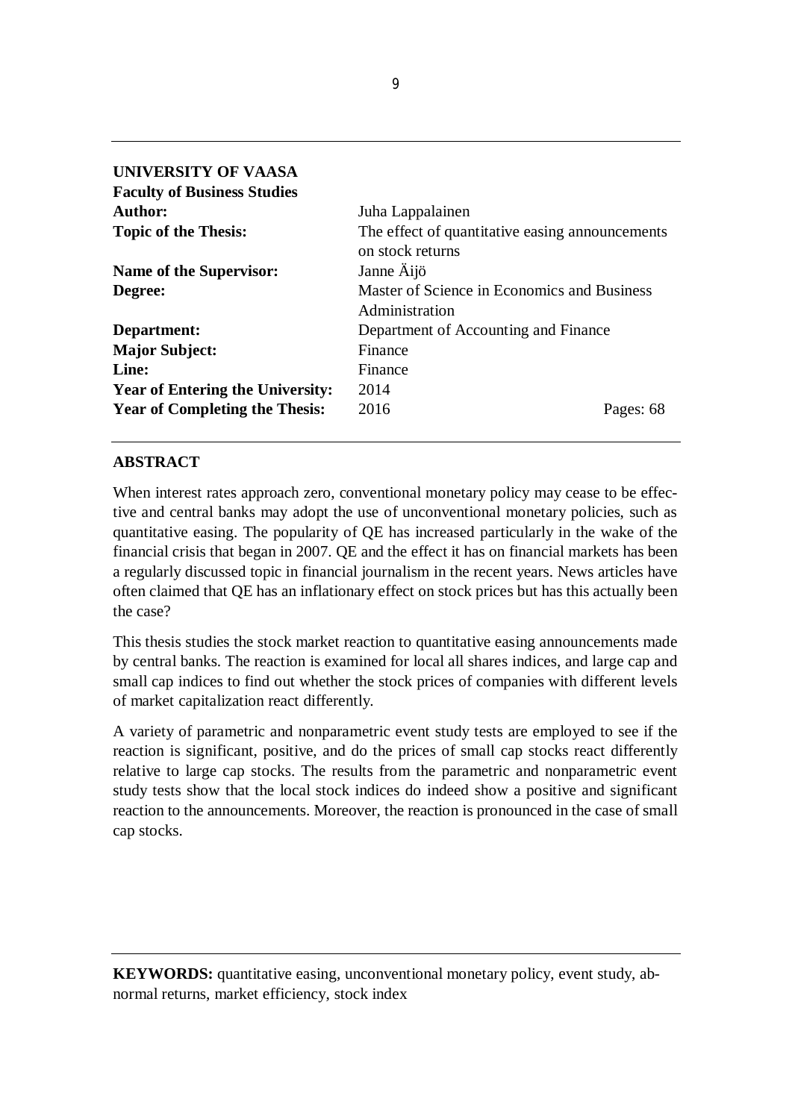| <b>UNIVERSITY OF VAASA</b>              |                                                 |           |
|-----------------------------------------|-------------------------------------------------|-----------|
| <b>Faculty of Business Studies</b>      |                                                 |           |
| <b>Author:</b>                          | Juha Lappalainen                                |           |
| <b>Topic of the Thesis:</b>             | The effect of quantitative easing announcements |           |
|                                         | on stock returns                                |           |
| <b>Name of the Supervisor:</b>          | Janne Äijö                                      |           |
| Degree:                                 | Master of Science in Economics and Business     |           |
|                                         | Administration                                  |           |
| Department:                             | Department of Accounting and Finance            |           |
| <b>Major Subject:</b>                   | Finance                                         |           |
| <b>Line:</b>                            | Finance                                         |           |
| <b>Year of Entering the University:</b> | 2014                                            |           |
| <b>Year of Completing the Thesis:</b>   | 2016                                            | Pages: 68 |

# **ABSTRACT**

When interest rates approach zero, conventional monetary policy may cease to be effective and central banks may adopt the use of unconventional monetary policies, such as quantitative easing. The popularity of QE has increased particularly in the wake of the financial crisis that began in 2007. QE and the effect it has on financial markets has been a regularly discussed topic in financial journalism in the recent years. News articles have often claimed that QE has an inflationary effect on stock prices but has this actually been the case?

This thesis studies the stock market reaction to quantitative easing announcements made by central banks. The reaction is examined for local all shares indices, and large cap and small cap indices to find out whether the stock prices of companies with different levels of market capitalization react differently.

A variety of parametric and nonparametric event study tests are employed to see if the reaction is significant, positive, and do the prices of small cap stocks react differently relative to large cap stocks. The results from the parametric and nonparametric event study tests show that the local stock indices do indeed show a positive and significant reaction to the announcements. Moreover, the reaction is pronounced in the case of small cap stocks.

**KEYWORDS:** quantitative easing, unconventional monetary policy, event study, abnormal returns, market efficiency, stock index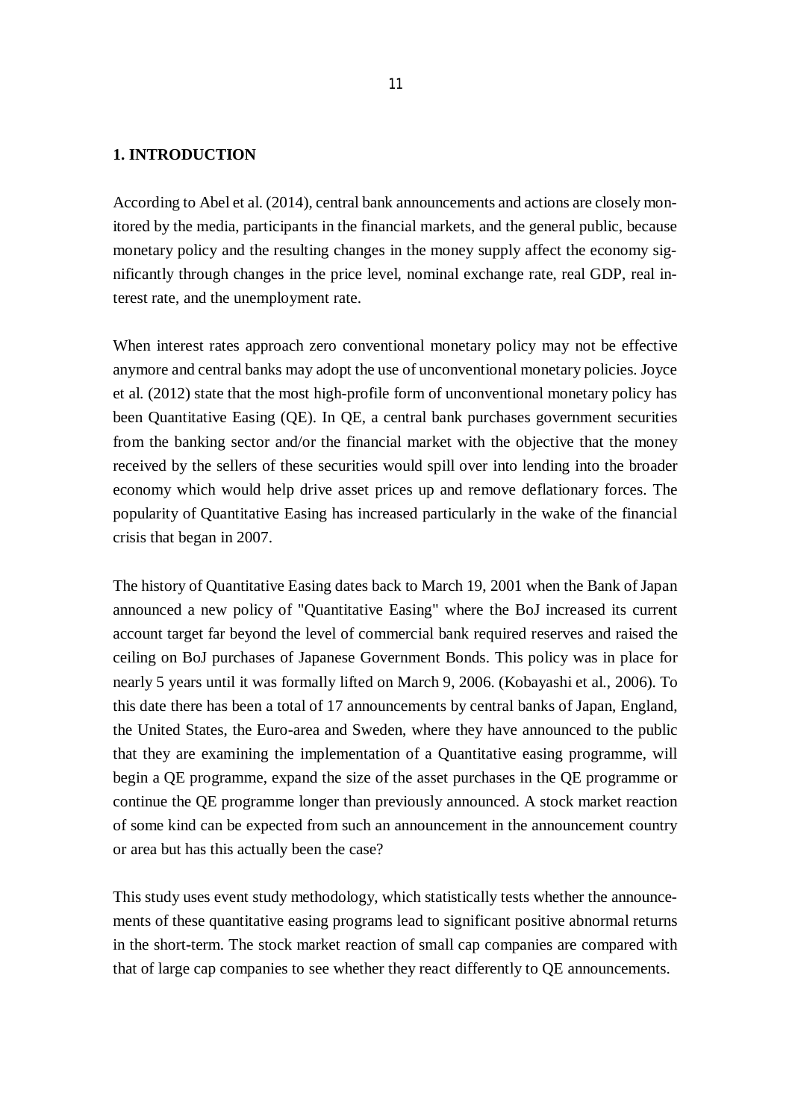# **1. INTRODUCTION**

According to Abel et al. (2014), central bank announcements and actions are closely monitored by the media, participants in the financial markets, and the general public, because monetary policy and the resulting changes in the money supply affect the economy significantly through changes in the price level, nominal exchange rate, real GDP, real interest rate, and the unemployment rate.

When interest rates approach zero conventional monetary policy may not be effective anymore and central banks may adopt the use of unconventional monetary policies. Joyce et al. (2012) state that the most high-profile form of unconventional monetary policy has been Quantitative Easing (QE). In QE, a central bank purchases government securities from the banking sector and/or the financial market with the objective that the money received by the sellers of these securities would spill over into lending into the broader economy which would help drive asset prices up and remove deflationary forces. The popularity of Quantitative Easing has increased particularly in the wake of the financial crisis that began in 2007.

The history of Quantitative Easing dates back to March 19, 2001 when the Bank of Japan announced a new policy of "Quantitative Easing" where the BoJ increased its current account target far beyond the level of commercial bank required reserves and raised the ceiling on BoJ purchases of Japanese Government Bonds. This policy was in place for nearly 5 years until it was formally lifted on March 9, 2006. (Kobayashi et al., 2006). To this date there has been a total of 17 announcements by central banks of Japan, England, the United States, the Euro-area and Sweden, where they have announced to the public that they are examining the implementation of a Quantitative easing programme, will begin a QE programme, expand the size of the asset purchases in the QE programme or continue the QE programme longer than previously announced. A stock market reaction of some kind can be expected from such an announcement in the announcement country or area but has this actually been the case?

This study uses event study methodology, which statistically tests whether the announcements of these quantitative easing programs lead to significant positive abnormal returns in the short-term. The stock market reaction of small cap companies are compared with that of large cap companies to see whether they react differently to QE announcements.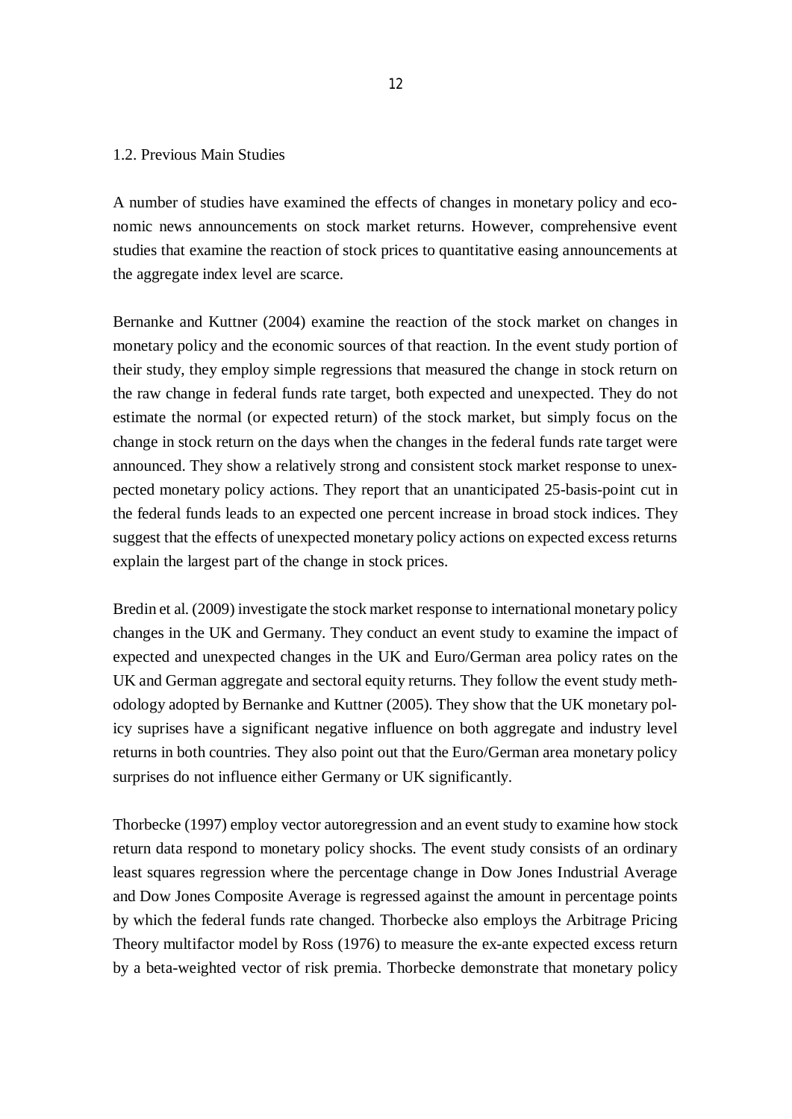## 1.2. Previous Main Studies

A number of studies have examined the effects of changes in monetary policy and economic news announcements on stock market returns. However, comprehensive event studies that examine the reaction of stock prices to quantitative easing announcements at the aggregate index level are scarce.

Bernanke and Kuttner (2004) examine the reaction of the stock market on changes in monetary policy and the economic sources of that reaction. In the event study portion of their study, they employ simple regressions that measured the change in stock return on the raw change in federal funds rate target, both expected and unexpected. They do not estimate the normal (or expected return) of the stock market, but simply focus on the change in stock return on the days when the changes in the federal funds rate target were announced. They show a relatively strong and consistent stock market response to unexpected monetary policy actions. They report that an unanticipated 25-basis-point cut in the federal funds leads to an expected one percent increase in broad stock indices. They suggest that the effects of unexpected monetary policy actions on expected excess returns explain the largest part of the change in stock prices.

Bredin et al. (2009) investigate the stock market response to international monetary policy changes in the UK and Germany. They conduct an event study to examine the impact of expected and unexpected changes in the UK and Euro/German area policy rates on the UK and German aggregate and sectoral equity returns. They follow the event study methodology adopted by Bernanke and Kuttner (2005). They show that the UK monetary policy suprises have a significant negative influence on both aggregate and industry level returns in both countries. They also point out that the Euro/German area monetary policy surprises do not influence either Germany or UK significantly.

Thorbecke (1997) employ vector autoregression and an event study to examine how stock return data respond to monetary policy shocks. The event study consists of an ordinary least squares regression where the percentage change in Dow Jones Industrial Average and Dow Jones Composite Average is regressed against the amount in percentage points by which the federal funds rate changed. Thorbecke also employs the Arbitrage Pricing Theory multifactor model by Ross (1976) to measure the ex-ante expected excess return by a beta-weighted vector of risk premia. Thorbecke demonstrate that monetary policy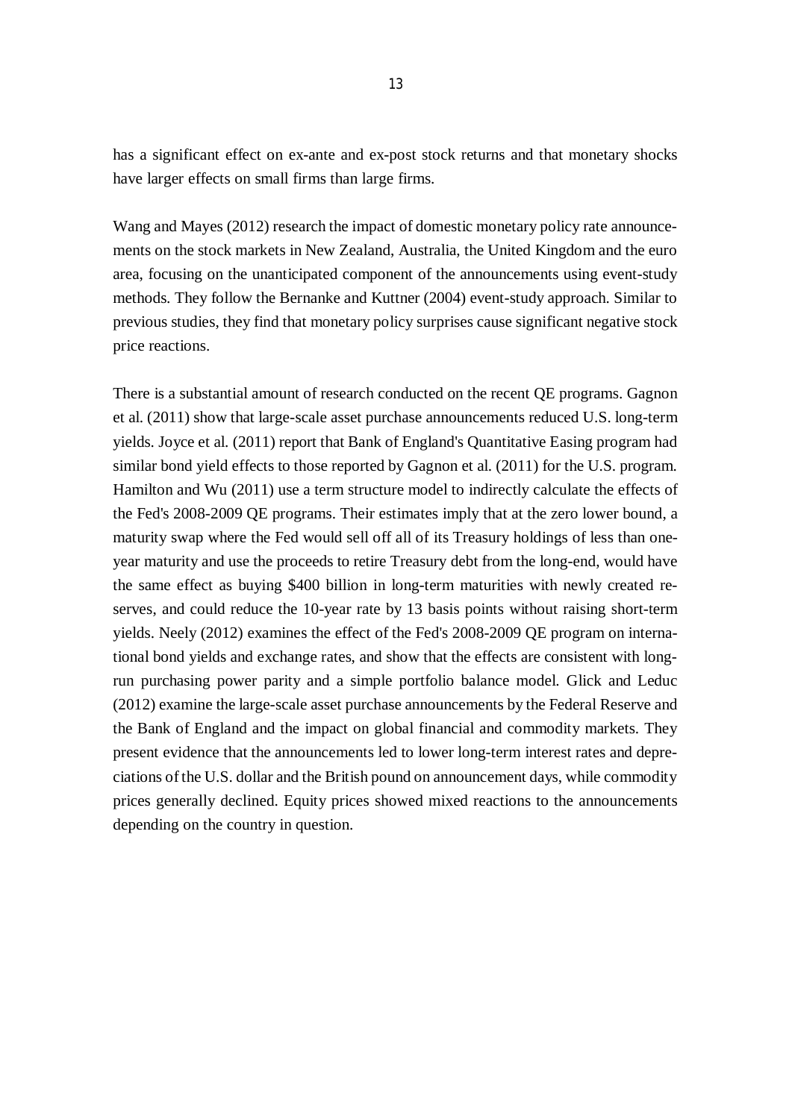has a significant effect on ex-ante and ex-post stock returns and that monetary shocks have larger effects on small firms than large firms.

Wang and Mayes (2012) research the impact of domestic monetary policy rate announcements on the stock markets in New Zealand, Australia, the United Kingdom and the euro area, focusing on the unanticipated component of the announcements using event-study methods. They follow the Bernanke and Kuttner (2004) event-study approach. Similar to previous studies, they find that monetary policy surprises cause significant negative stock price reactions.

There is a substantial amount of research conducted on the recent QE programs. Gagnon et al. (2011) show that large-scale asset purchase announcements reduced U.S. long-term yields. Joyce et al. (2011) report that Bank of England's Quantitative Easing program had similar bond yield effects to those reported by Gagnon et al. (2011) for the U.S. program. Hamilton and Wu (2011) use a term structure model to indirectly calculate the effects of the Fed's 2008-2009 QE programs. Their estimates imply that at the zero lower bound, a maturity swap where the Fed would sell off all of its Treasury holdings of less than oneyear maturity and use the proceeds to retire Treasury debt from the long-end, would have the same effect as buying \$400 billion in long-term maturities with newly created reserves, and could reduce the 10-year rate by 13 basis points without raising short-term yields. Neely (2012) examines the effect of the Fed's 2008-2009 QE program on international bond yields and exchange rates, and show that the effects are consistent with longrun purchasing power parity and a simple portfolio balance model. Glick and Leduc (2012) examine the large-scale asset purchase announcements by the Federal Reserve and the Bank of England and the impact on global financial and commodity markets. They present evidence that the announcements led to lower long-term interest rates and depreciations of the U.S. dollar and the British pound on announcement days, while commodity prices generally declined. Equity prices showed mixed reactions to the announcements depending on the country in question.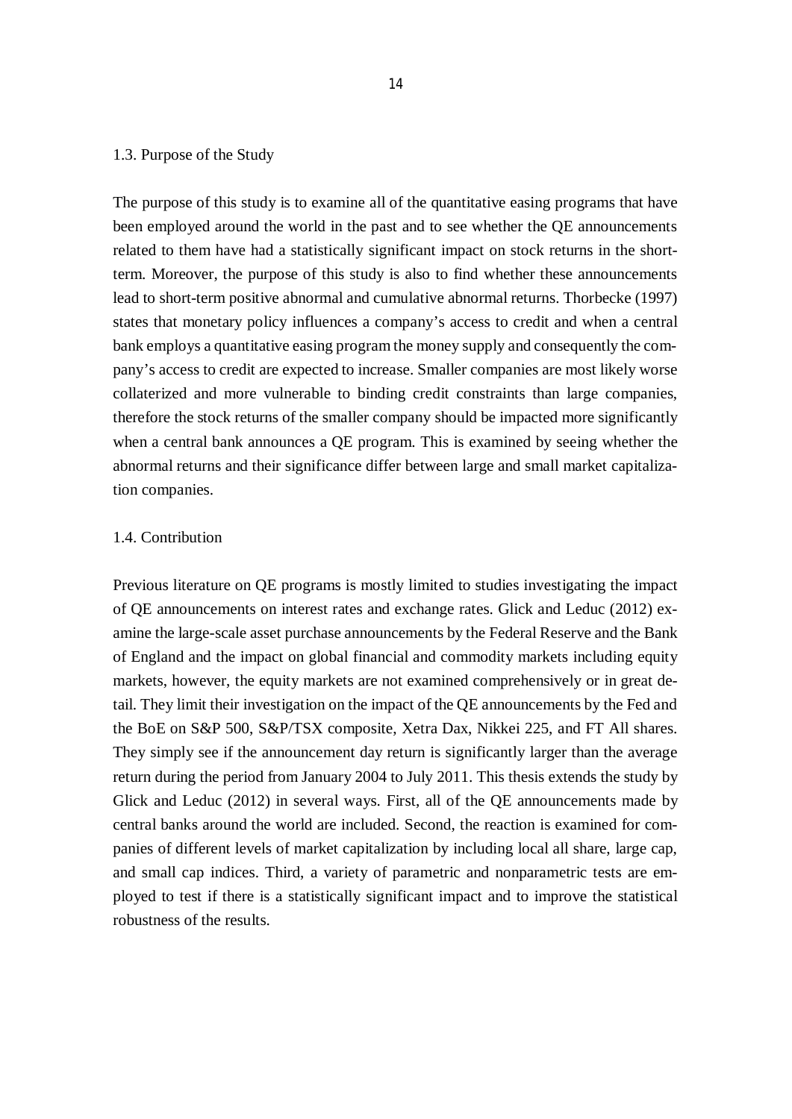# 1.3. Purpose of the Study

The purpose of this study is to examine all of the quantitative easing programs that have been employed around the world in the past and to see whether the QE announcements related to them have had a statistically significant impact on stock returns in the shortterm. Moreover, the purpose of this study is also to find whether these announcements lead to short-term positive abnormal and cumulative abnormal returns. Thorbecke (1997) states that monetary policy influences a company's access to credit and when a central bank employs a quantitative easing program the money supply and consequently the company's access to credit are expected to increase. Smaller companies are most likely worse collaterized and more vulnerable to binding credit constraints than large companies, therefore the stock returns of the smaller company should be impacted more significantly when a central bank announces a QE program. This is examined by seeing whether the abnormal returns and their significance differ between large and small market capitalization companies.

## 1.4. Contribution

Previous literature on QE programs is mostly limited to studies investigating the impact of QE announcements on interest rates and exchange rates. Glick and Leduc (2012) examine the large-scale asset purchase announcements by the Federal Reserve and the Bank of England and the impact on global financial and commodity markets including equity markets, however, the equity markets are not examined comprehensively or in great detail. They limit their investigation on the impact of the QE announcements by the Fed and the BoE on S&P 500, S&P/TSX composite, Xetra Dax, Nikkei 225, and FT All shares. They simply see if the announcement day return is significantly larger than the average return during the period from January 2004 to July 2011. This thesis extends the study by Glick and Leduc (2012) in several ways. First, all of the QE announcements made by central banks around the world are included. Second, the reaction is examined for companies of different levels of market capitalization by including local all share, large cap, and small cap indices. Third, a variety of parametric and nonparametric tests are employed to test if there is a statistically significant impact and to improve the statistical robustness of the results.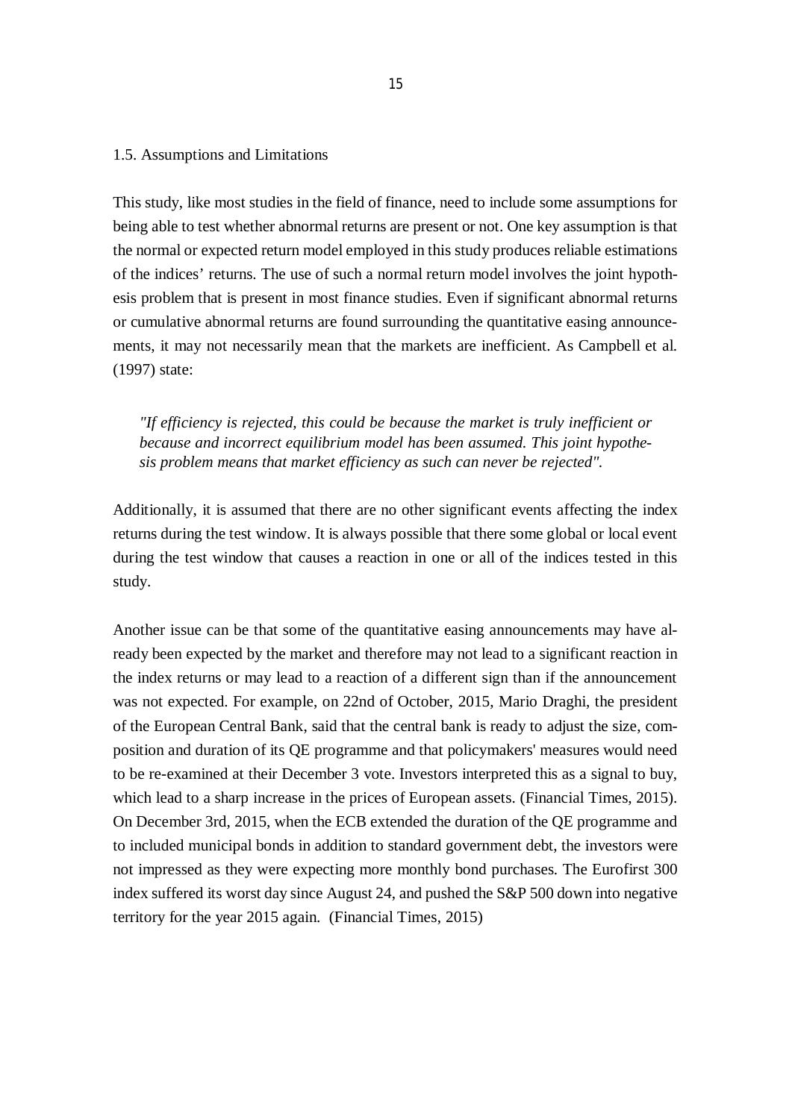#### 1.5. Assumptions and Limitations

This study, like most studies in the field of finance, need to include some assumptions for being able to test whether abnormal returns are present or not. One key assumption is that the normal or expected return model employed in this study produces reliable estimations of the indices' returns. The use of such a normal return model involves the joint hypothesis problem that is present in most finance studies. Even if significant abnormal returns or cumulative abnormal returns are found surrounding the quantitative easing announcements, it may not necessarily mean that the markets are inefficient. As Campbell et al. (1997) state:

*"If efficiency is rejected, this could be because the market is truly inefficient or because and incorrect equilibrium model has been assumed. This joint hypothesis problem means that market efficiency as such can never be rejected".*

Additionally, it is assumed that there are no other significant events affecting the index returns during the test window. It is always possible that there some global or local event during the test window that causes a reaction in one or all of the indices tested in this study.

Another issue can be that some of the quantitative easing announcements may have already been expected by the market and therefore may not lead to a significant reaction in the index returns or may lead to a reaction of a different sign than if the announcement was not expected. For example, on 22nd of October, 2015, Mario Draghi, the president of the European Central Bank, said that the central bank is ready to adjust the size, composition and duration of its QE programme and that policymakers' measures would need to be re-examined at their December 3 vote. Investors interpreted this as a signal to buy, which lead to a sharp increase in the prices of European assets. (Financial Times, 2015). On December 3rd, 2015, when the ECB extended the duration of the QE programme and to included municipal bonds in addition to standard government debt, the investors were not impressed as they were expecting more monthly bond purchases. The Eurofirst 300 index suffered its worst day since August 24, and pushed the S&P 500 down into negative territory for the year 2015 again. (Financial Times, 2015)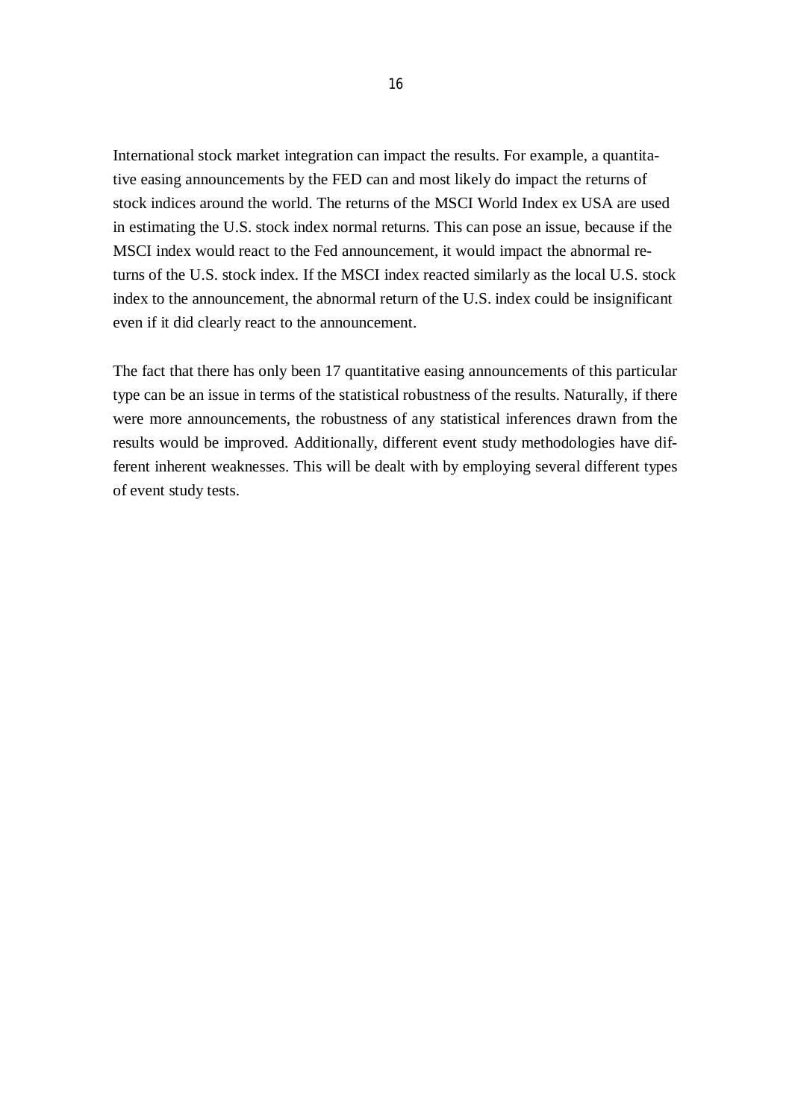International stock market integration can impact the results. For example, a quantitative easing announcements by the FED can and most likely do impact the returns of stock indices around the world. The returns of the MSCI World Index ex USA are used in estimating the U.S. stock index normal returns. This can pose an issue, because if the MSCI index would react to the Fed announcement, it would impact the abnormal returns of the U.S. stock index. If the MSCI index reacted similarly as the local U.S. stock index to the announcement, the abnormal return of the U.S. index could be insignificant even if it did clearly react to the announcement.

The fact that there has only been 17 quantitative easing announcements of this particular type can be an issue in terms of the statistical robustness of the results. Naturally, if there were more announcements, the robustness of any statistical inferences drawn from the results would be improved. Additionally, different event study methodologies have different inherent weaknesses. This will be dealt with by employing several different types of event study tests.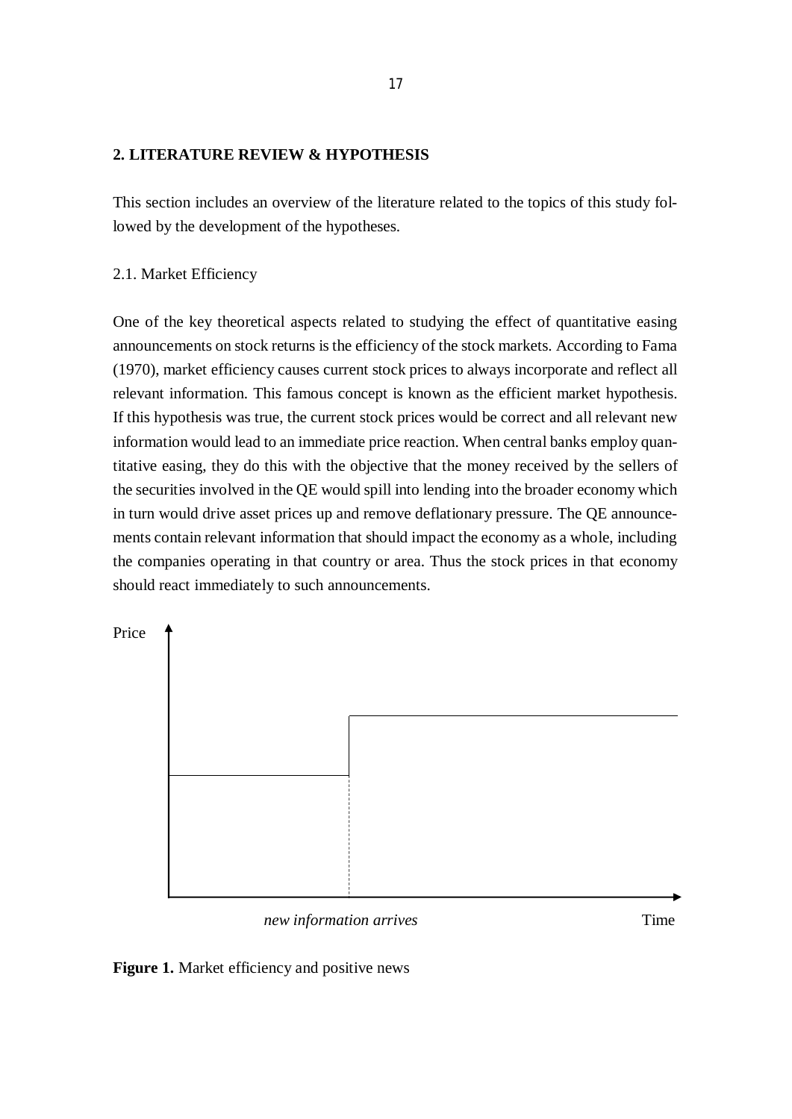### **2. LITERATURE REVIEW & HYPOTHESIS**

This section includes an overview of the literature related to the topics of this study followed by the development of the hypotheses.

## 2.1. Market Efficiency

One of the key theoretical aspects related to studying the effect of quantitative easing announcements on stock returns is the efficiency of the stock markets. According to Fama (1970), market efficiency causes current stock prices to always incorporate and reflect all relevant information. This famous concept is known as the efficient market hypothesis. If this hypothesis was true, the current stock prices would be correct and all relevant new information would lead to an immediate price reaction. When central banks employ quantitative easing, they do this with the objective that the money received by the sellers of the securities involved in the QE would spill into lending into the broader economy which in turn would drive asset prices up and remove deflationary pressure. The QE announcements contain relevant information that should impact the economy as a whole, including the companies operating in that country or area. Thus the stock prices in that economy should react immediately to such announcements.



#### *new information arrives* Time

**Figure 1.** Market efficiency and positive news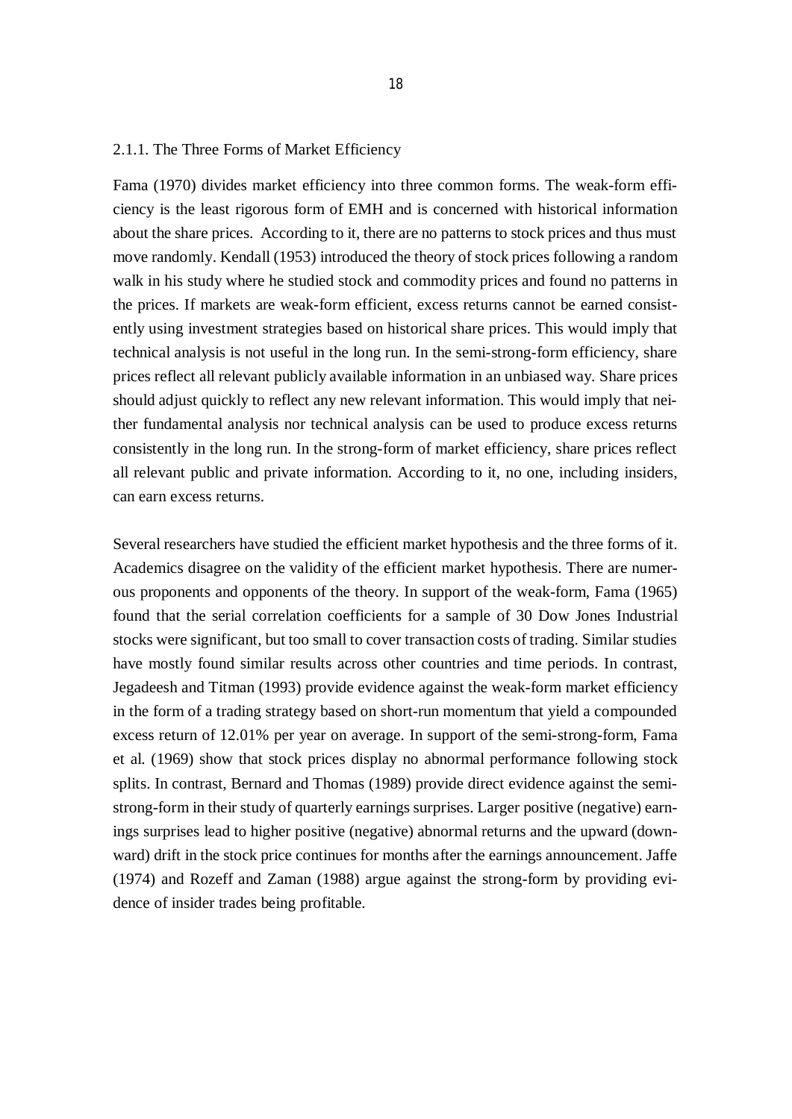#### 2.1.1. The Three Forms of Market Efficiency

Fama (1970) divides market efficiency into three common forms. The weak-form efficiency is the least rigorous form of EMH and is concerned with historical information about the share prices. According to it, there are no patterns to stock prices and thus must move randomly. Kendall (1953) introduced the theory of stock prices following a random walk in his study where he studied stock and commodity prices and found no patterns in the prices. If markets are weak-form efficient, excess returns cannot be earned consistently using investment strategies based on historical share prices. This would imply that technical analysis is not useful in the long run. In the semi-strong-form efficiency, share prices reflect all relevant publicly available information in an unbiased way. Share prices should adjust quickly to reflect any new relevant information. This would imply that neither fundamental analysis nor technical analysis can be used to produce excess returns consistently in the long run. In the strong-form of market efficiency, share prices reflect all relevant public and private information. According to it, no one, including insiders, can earn excess returns.

Several researchers have studied the efficient market hypothesis and the three forms of it. Academics disagree on the validity of the efficient market hypothesis. There are numerous proponents and opponents of the theory. In support of the weak-form, Fama (1965) found that the serial correlation coefficients for a sample of 30 Dow Jones Industrial stocks were significant, but too small to cover transaction costs of trading. Similar studies have mostly found similar results across other countries and time periods. In contrast, Jegadeesh and Titman (1993) provide evidence against the weak-form market efficiency in the form of a trading strategy based on short-run momentum that yield a compounded excess return of 12.01% per year on average. In support of the semi-strong-form, Fama et al. (1969) show that stock prices display no abnormal performance following stock splits. In contrast, Bernard and Thomas (1989) provide direct evidence against the semistrong-form in their study of quarterly earnings surprises. Larger positive (negative) earnings surprises lead to higher positive (negative) abnormal returns and the upward (downward) drift in the stock price continues for months after the earnings announcement. Jaffe (1974) and Rozeff and Zaman (1988) argue against the strong-form by providing evidence of insider trades being profitable.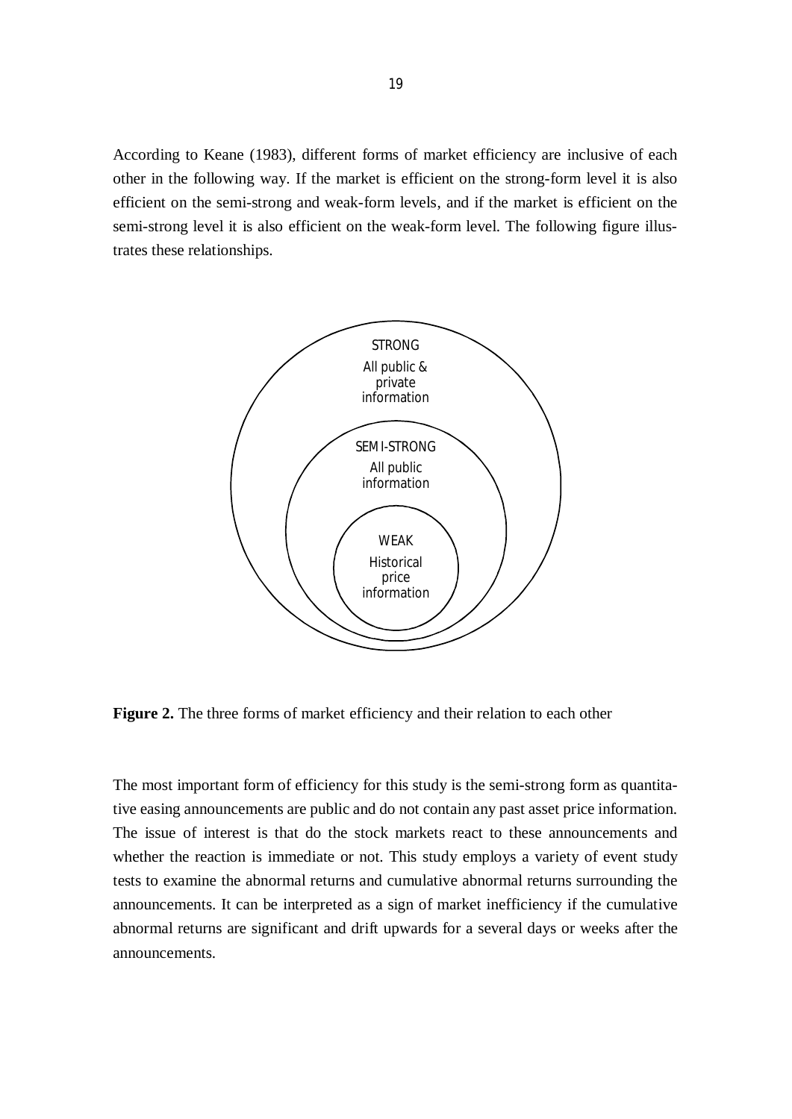According to Keane (1983), different forms of market efficiency are inclusive of each other in the following way. If the market is efficient on the strong-form level it is also efficient on the semi-strong and weak-form levels, and if the market is efficient on the semi-strong level it is also efficient on the weak-form level. The following figure illustrates these relationships.



**Figure 2.** The three forms of market efficiency and their relation to each other

The most important form of efficiency for this study is the semi-strong form as quantitative easing announcements are public and do not contain any past asset price information. The issue of interest is that do the stock markets react to these announcements and whether the reaction is immediate or not. This study employs a variety of event study tests to examine the abnormal returns and cumulative abnormal returns surrounding the announcements. It can be interpreted as a sign of market inefficiency if the cumulative abnormal returns are significant and drift upwards for a several days or weeks after the announcements.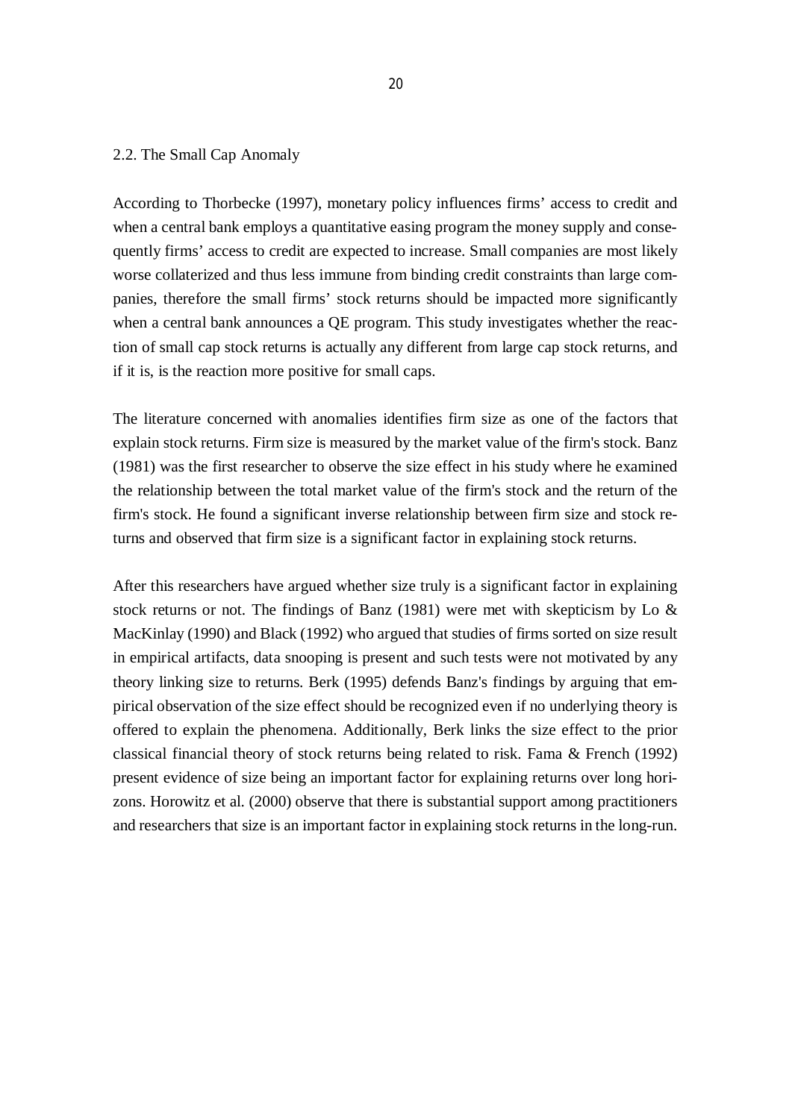#### 2.2. The Small Cap Anomaly

According to Thorbecke (1997), monetary policy influences firms' access to credit and when a central bank employs a quantitative easing program the money supply and consequently firms' access to credit are expected to increase. Small companies are most likely worse collaterized and thus less immune from binding credit constraints than large companies, therefore the small firms' stock returns should be impacted more significantly when a central bank announces a QE program. This study investigates whether the reaction of small cap stock returns is actually any different from large cap stock returns, and if it is, is the reaction more positive for small caps.

The literature concerned with anomalies identifies firm size as one of the factors that explain stock returns. Firm size is measured by the market value of the firm's stock. Banz (1981) was the first researcher to observe the size effect in his study where he examined the relationship between the total market value of the firm's stock and the return of the firm's stock. He found a significant inverse relationship between firm size and stock returns and observed that firm size is a significant factor in explaining stock returns.

After this researchers have argued whether size truly is a significant factor in explaining stock returns or not. The findings of Banz (1981) were met with skepticism by Lo  $\&$ MacKinlay (1990) and Black (1992) who argued that studies of firms sorted on size result in empirical artifacts, data snooping is present and such tests were not motivated by any theory linking size to returns. Berk (1995) defends Banz's findings by arguing that empirical observation of the size effect should be recognized even if no underlying theory is offered to explain the phenomena. Additionally, Berk links the size effect to the prior classical financial theory of stock returns being related to risk. Fama & French (1992) present evidence of size being an important factor for explaining returns over long horizons. Horowitz et al. (2000) observe that there is substantial support among practitioners and researchers that size is an important factor in explaining stock returns in the long-run.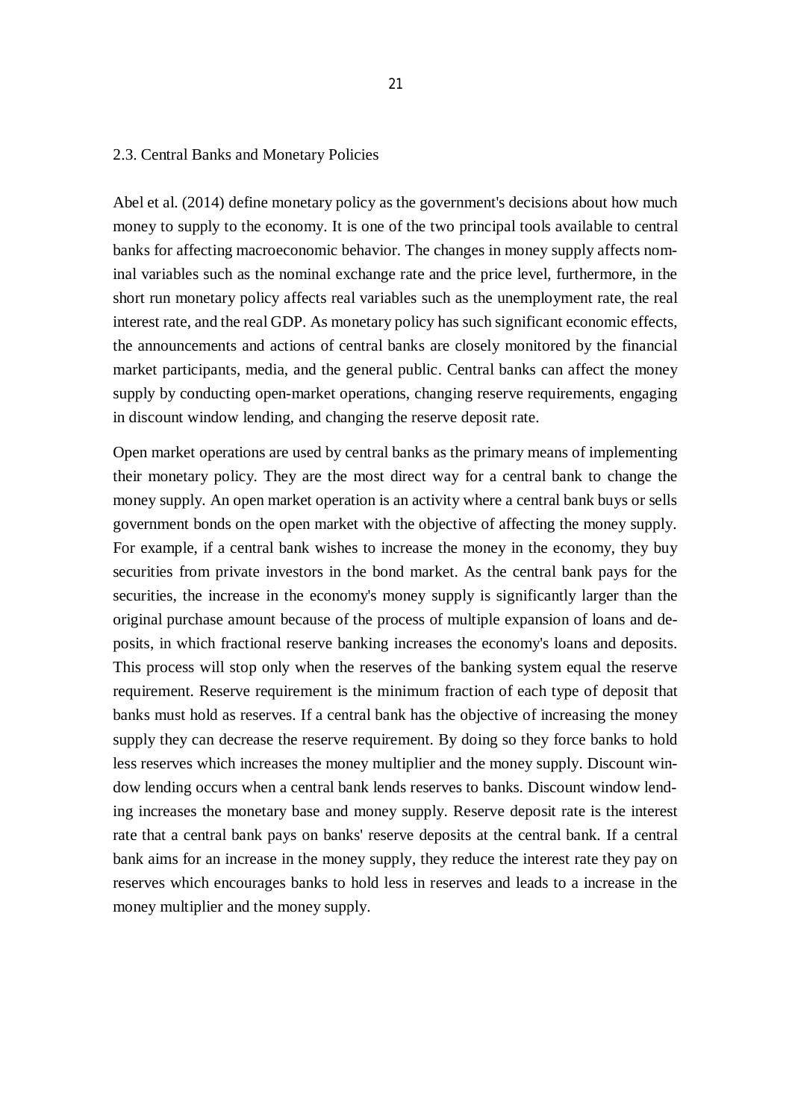#### 2.3. Central Banks and Monetary Policies

Abel et al. (2014) define monetary policy as the government's decisions about how much money to supply to the economy. It is one of the two principal tools available to central banks for affecting macroeconomic behavior. The changes in money supply affects nominal variables such as the nominal exchange rate and the price level, furthermore, in the short run monetary policy affects real variables such as the unemployment rate, the real interest rate, and the real GDP. As monetary policy has such significant economic effects, the announcements and actions of central banks are closely monitored by the financial market participants, media, and the general public. Central banks can affect the money supply by conducting open-market operations, changing reserve requirements, engaging in discount window lending, and changing the reserve deposit rate.

Open market operations are used by central banks as the primary means of implementing their monetary policy. They are the most direct way for a central bank to change the money supply. An open market operation is an activity where a central bank buys or sells government bonds on the open market with the objective of affecting the money supply. For example, if a central bank wishes to increase the money in the economy, they buy securities from private investors in the bond market. As the central bank pays for the securities, the increase in the economy's money supply is significantly larger than the original purchase amount because of the process of multiple expansion of loans and deposits, in which fractional reserve banking increases the economy's loans and deposits. This process will stop only when the reserves of the banking system equal the reserve requirement. Reserve requirement is the minimum fraction of each type of deposit that banks must hold as reserves. If a central bank has the objective of increasing the money supply they can decrease the reserve requirement. By doing so they force banks to hold less reserves which increases the money multiplier and the money supply. Discount window lending occurs when a central bank lends reserves to banks. Discount window lending increases the monetary base and money supply. Reserve deposit rate is the interest rate that a central bank pays on banks' reserve deposits at the central bank. If a central bank aims for an increase in the money supply, they reduce the interest rate they pay on reserves which encourages banks to hold less in reserves and leads to a increase in the money multiplier and the money supply.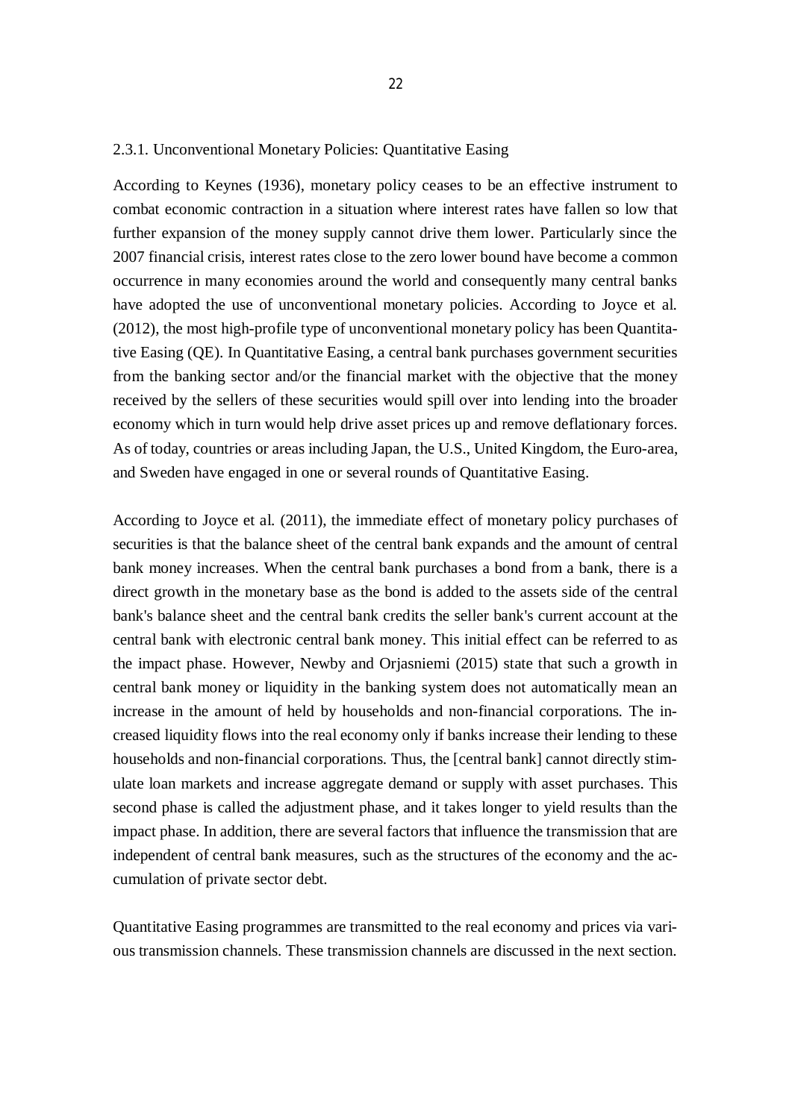#### 2.3.1. Unconventional Monetary Policies: Quantitative Easing

According to Keynes (1936), monetary policy ceases to be an effective instrument to combat economic contraction in a situation where interest rates have fallen so low that further expansion of the money supply cannot drive them lower. Particularly since the 2007 financial crisis, interest rates close to the zero lower bound have become a common occurrence in many economies around the world and consequently many central banks have adopted the use of unconventional monetary policies. According to Joyce et al. (2012), the most high-profile type of unconventional monetary policy has been Quantitative Easing (QE). In Quantitative Easing, a central bank purchases government securities from the banking sector and/or the financial market with the objective that the money received by the sellers of these securities would spill over into lending into the broader economy which in turn would help drive asset prices up and remove deflationary forces. As of today, countries or areas including Japan, the U.S., United Kingdom, the Euro-area, and Sweden have engaged in one or several rounds of Quantitative Easing.

According to Joyce et al. (2011), the immediate effect of monetary policy purchases of securities is that the balance sheet of the central bank expands and the amount of central bank money increases. When the central bank purchases a bond from a bank, there is a direct growth in the monetary base as the bond is added to the assets side of the central bank's balance sheet and the central bank credits the seller bank's current account at the central bank with electronic central bank money. This initial effect can be referred to as the impact phase. However, Newby and Orjasniemi (2015) state that such a growth in central bank money or liquidity in the banking system does not automatically mean an increase in the amount of held by households and non-financial corporations. The increased liquidity flows into the real economy only if banks increase their lending to these households and non-financial corporations. Thus, the [central bank] cannot directly stimulate loan markets and increase aggregate demand or supply with asset purchases. This second phase is called the adjustment phase, and it takes longer to yield results than the impact phase. In addition, there are several factors that influence the transmission that are independent of central bank measures, such as the structures of the economy and the accumulation of private sector debt.

Quantitative Easing programmes are transmitted to the real economy and prices via various transmission channels. These transmission channels are discussed in the next section.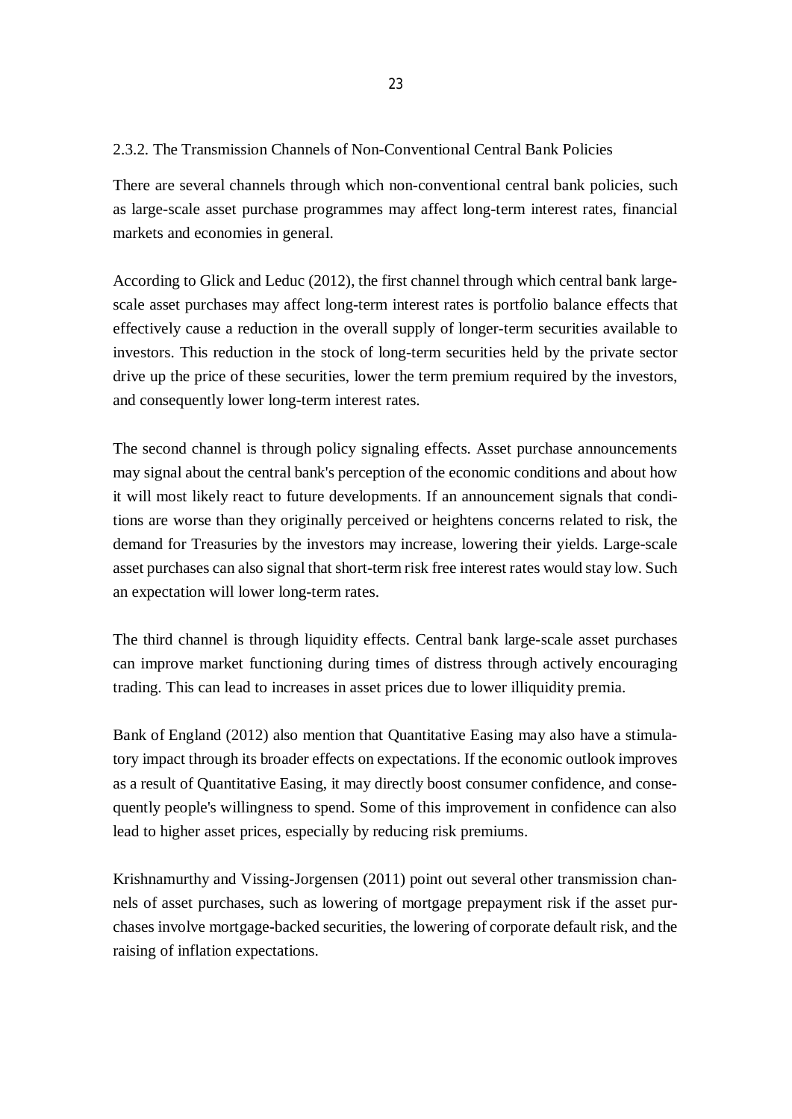# 2.3.2. The Transmission Channels of Non-Conventional Central Bank Policies

There are several channels through which non-conventional central bank policies, such as large-scale asset purchase programmes may affect long-term interest rates, financial markets and economies in general.

According to Glick and Leduc (2012), the first channel through which central bank largescale asset purchases may affect long-term interest rates is portfolio balance effects that effectively cause a reduction in the overall supply of longer-term securities available to investors. This reduction in the stock of long-term securities held by the private sector drive up the price of these securities, lower the term premium required by the investors, and consequently lower long-term interest rates.

The second channel is through policy signaling effects. Asset purchase announcements may signal about the central bank's perception of the economic conditions and about how it will most likely react to future developments. If an announcement signals that conditions are worse than they originally perceived or heightens concerns related to risk, the demand for Treasuries by the investors may increase, lowering their yields. Large-scale asset purchases can also signal that short-term risk free interest rates would stay low. Such an expectation will lower long-term rates.

The third channel is through liquidity effects. Central bank large-scale asset purchases can improve market functioning during times of distress through actively encouraging trading. This can lead to increases in asset prices due to lower illiquidity premia.

Bank of England (2012) also mention that Quantitative Easing may also have a stimulatory impact through its broader effects on expectations. If the economic outlook improves as a result of Quantitative Easing, it may directly boost consumer confidence, and consequently people's willingness to spend. Some of this improvement in confidence can also lead to higher asset prices, especially by reducing risk premiums.

Krishnamurthy and Vissing-Jorgensen (2011) point out several other transmission channels of asset purchases, such as lowering of mortgage prepayment risk if the asset purchases involve mortgage-backed securities, the lowering of corporate default risk, and the raising of inflation expectations.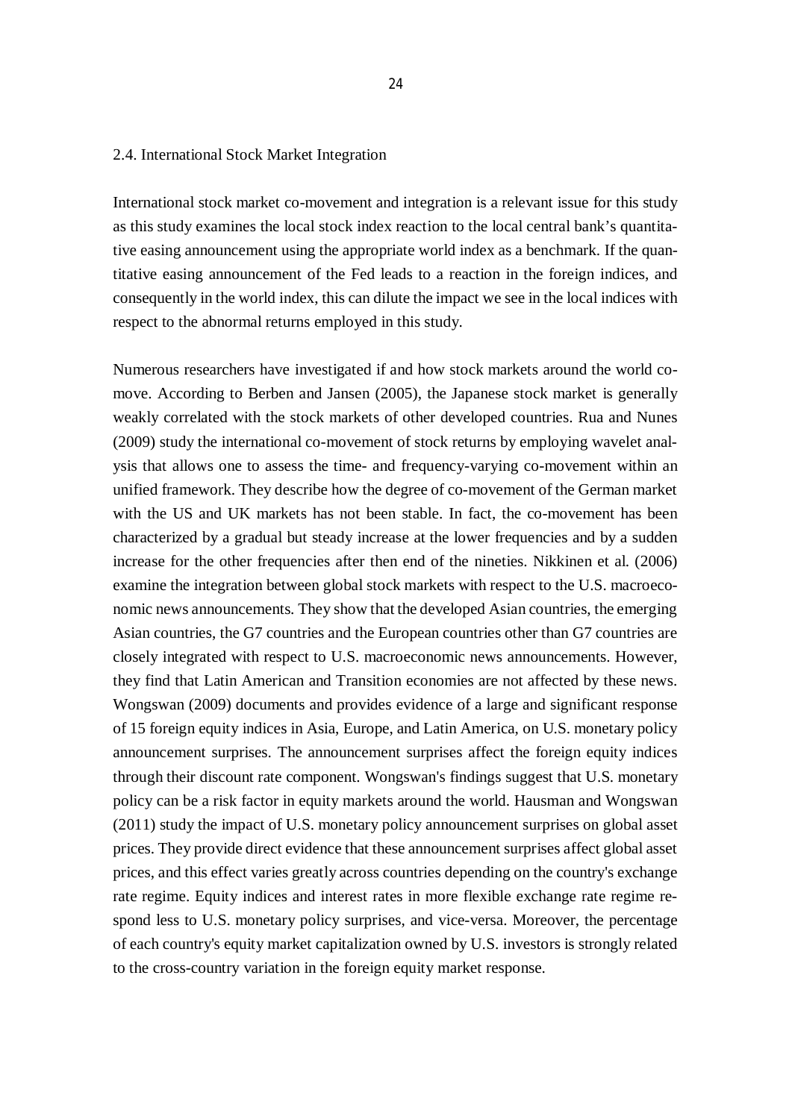#### 2.4. International Stock Market Integration

International stock market co-movement and integration is a relevant issue for this study as this study examines the local stock index reaction to the local central bank's quantitative easing announcement using the appropriate world index as a benchmark. If the quantitative easing announcement of the Fed leads to a reaction in the foreign indices, and consequently in the world index, this can dilute the impact we see in the local indices with respect to the abnormal returns employed in this study.

Numerous researchers have investigated if and how stock markets around the world comove. According to Berben and Jansen (2005), the Japanese stock market is generally weakly correlated with the stock markets of other developed countries. Rua and Nunes (2009) study the international co-movement of stock returns by employing wavelet analysis that allows one to assess the time- and frequency-varying co-movement within an unified framework. They describe how the degree of co-movement of the German market with the US and UK markets has not been stable. In fact, the co-movement has been characterized by a gradual but steady increase at the lower frequencies and by a sudden increase for the other frequencies after then end of the nineties. Nikkinen et al. (2006) examine the integration between global stock markets with respect to the U.S. macroeconomic news announcements. They show that the developed Asian countries, the emerging Asian countries, the G7 countries and the European countries other than G7 countries are closely integrated with respect to U.S. macroeconomic news announcements. However, they find that Latin American and Transition economies are not affected by these news. Wongswan (2009) documents and provides evidence of a large and significant response of 15 foreign equity indices in Asia, Europe, and Latin America, on U.S. monetary policy announcement surprises. The announcement surprises affect the foreign equity indices through their discount rate component. Wongswan's findings suggest that U.S. monetary policy can be a risk factor in equity markets around the world. Hausman and Wongswan (2011) study the impact of U.S. monetary policy announcement surprises on global asset prices. They provide direct evidence that these announcement surprises affect global asset prices, and this effect varies greatly across countries depending on the country's exchange rate regime. Equity indices and interest rates in more flexible exchange rate regime respond less to U.S. monetary policy surprises, and vice-versa. Moreover, the percentage of each country's equity market capitalization owned by U.S. investors is strongly related to the cross-country variation in the foreign equity market response.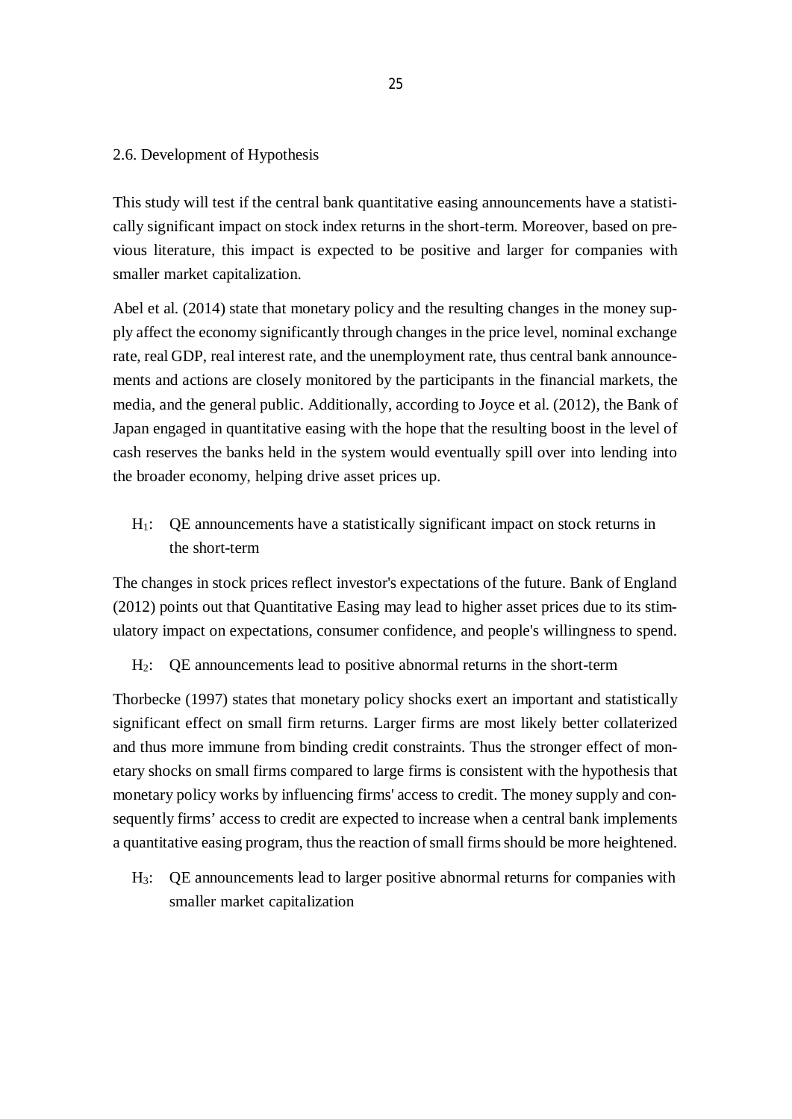#### 2.6. Development of Hypothesis

This study will test if the central bank quantitative easing announcements have a statistically significant impact on stock index returns in the short-term. Moreover, based on previous literature, this impact is expected to be positive and larger for companies with smaller market capitalization.

Abel et al. (2014) state that monetary policy and the resulting changes in the money supply affect the economy significantly through changes in the price level, nominal exchange rate, real GDP, real interest rate, and the unemployment rate, thus central bank announcements and actions are closely monitored by the participants in the financial markets, the media, and the general public. Additionally, according to Joyce et al. (2012), the Bank of Japan engaged in quantitative easing with the hope that the resulting boost in the level of cash reserves the banks held in the system would eventually spill over into lending into the broader economy, helping drive asset prices up.

 H1: QE announcements have a statistically significant impact on stock returns in the short-term

The changes in stock prices reflect investor's expectations of the future. Bank of England (2012) points out that Quantitative Easing may lead to higher asset prices due to its stimulatory impact on expectations, consumer confidence, and people's willingness to spend.

H2: QE announcements lead to positive abnormal returns in the short-term

Thorbecke (1997) states that monetary policy shocks exert an important and statistically significant effect on small firm returns. Larger firms are most likely better collaterized and thus more immune from binding credit constraints. Thus the stronger effect of monetary shocks on small firms compared to large firms is consistent with the hypothesis that monetary policy works by influencing firms' access to credit. The money supply and consequently firms' access to credit are expected to increase when a central bank implements a quantitative easing program, thus the reaction of small firms should be more heightened.

 H3: QE announcements lead to larger positive abnormal returns for companies with smaller market capitalization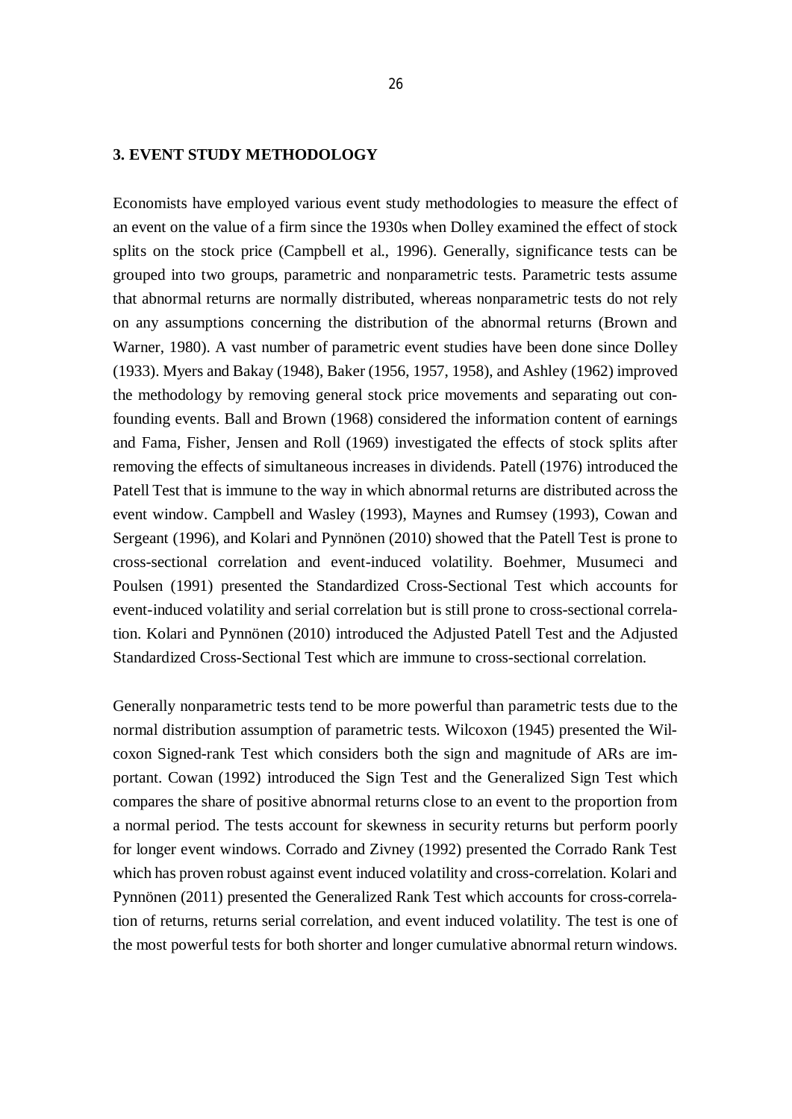# **3. EVENT STUDY METHODOLOGY**

Economists have employed various event study methodologies to measure the effect of an event on the value of a firm since the 1930s when Dolley examined the effect of stock splits on the stock price (Campbell et al., 1996). Generally, significance tests can be grouped into two groups, parametric and nonparametric tests. Parametric tests assume that abnormal returns are normally distributed, whereas nonparametric tests do not rely on any assumptions concerning the distribution of the abnormal returns (Brown and Warner, 1980). A vast number of parametric event studies have been done since Dolley (1933). Myers and Bakay (1948), Baker (1956, 1957, 1958), and Ashley (1962) improved the methodology by removing general stock price movements and separating out confounding events. Ball and Brown (1968) considered the information content of earnings and Fama, Fisher, Jensen and Roll (1969) investigated the effects of stock splits after removing the effects of simultaneous increases in dividends. Patell (1976) introduced the Patell Test that is immune to the way in which abnormal returns are distributed across the event window. Campbell and Wasley (1993), Maynes and Rumsey (1993), Cowan and Sergeant (1996), and Kolari and Pynnönen (2010) showed that the Patell Test is prone to cross-sectional correlation and event-induced volatility. Boehmer, Musumeci and Poulsen (1991) presented the Standardized Cross-Sectional Test which accounts for event-induced volatility and serial correlation but is still prone to cross-sectional correlation. Kolari and Pynnönen (2010) introduced the Adjusted Patell Test and the Adjusted Standardized Cross-Sectional Test which are immune to cross-sectional correlation.

Generally nonparametric tests tend to be more powerful than parametric tests due to the normal distribution assumption of parametric tests. Wilcoxon (1945) presented the Wilcoxon Signed-rank Test which considers both the sign and magnitude of ARs are important. Cowan (1992) introduced the Sign Test and the Generalized Sign Test which compares the share of positive abnormal returns close to an event to the proportion from a normal period. The tests account for skewness in security returns but perform poorly for longer event windows. Corrado and Zivney (1992) presented the Corrado Rank Test which has proven robust against event induced volatility and cross-correlation. Kolari and Pynnönen (2011) presented the Generalized Rank Test which accounts for cross-correlation of returns, returns serial correlation, and event induced volatility. The test is one of the most powerful tests for both shorter and longer cumulative abnormal return windows.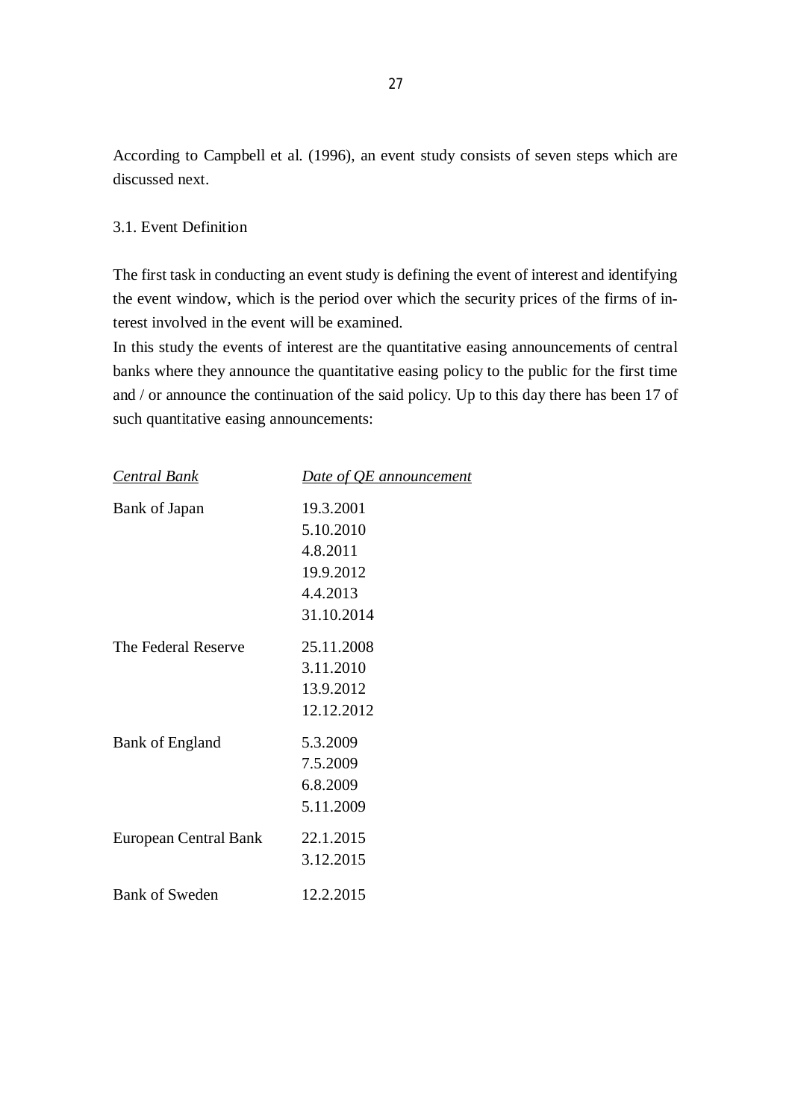According to Campbell et al. (1996), an event study consists of seven steps which are discussed next.

# 3.1. Event Definition

The first task in conducting an event study is defining the event of interest and identifying the event window, which is the period over which the security prices of the firms of interest involved in the event will be examined.

In this study the events of interest are the quantitative easing announcements of central banks where they announce the quantitative easing policy to the public for the first time and / or announce the continuation of the said policy. Up to this day there has been 17 of such quantitative easing announcements:

| <b>Central Bank</b>    | <b>Date of QE announcement</b> |
|------------------------|--------------------------------|
| Bank of Japan          | 19.3.2001                      |
|                        | 5.10.2010                      |
|                        | 4.8.2011                       |
|                        | 19.9.2012                      |
|                        | 4.4.2013                       |
|                        | 31.10.2014                     |
| The Federal Reserve    | 25.11.2008                     |
|                        | 3.11.2010                      |
|                        | 13.9.2012                      |
|                        | 12.12.2012                     |
| <b>Bank of England</b> | 5.3.2009                       |
|                        | 7.5.2009                       |
|                        | 6.8.2009                       |
|                        | 5.11.2009                      |
| European Central Bank  | 22.1.2015                      |
|                        | 3.12.2015                      |
| <b>Bank of Sweden</b>  | 12.2.2015                      |
|                        |                                |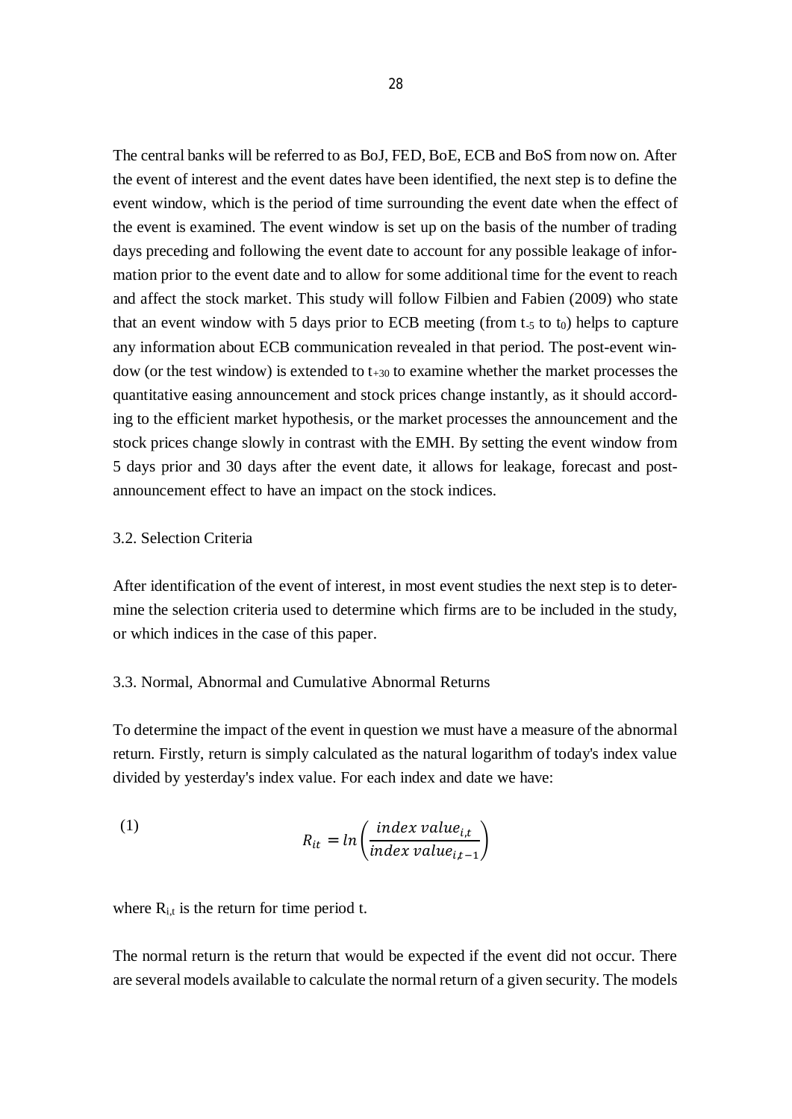The central banks will be referred to as BoJ, FED, BoE, ECB and BoS from now on. After the event of interest and the event dates have been identified, the next step is to define the event window, which is the period of time surrounding the event date when the effect of the event is examined. The event window is set up on the basis of the number of trading days preceding and following the event date to account for any possible leakage of information prior to the event date and to allow for some additional time for the event to reach and affect the stock market. This study will follow Filbien and Fabien (2009) who state that an event window with 5 days prior to ECB meeting (from  $t_5$  to  $t_0$ ) helps to capture any information about ECB communication revealed in that period. The post-event window (or the test window) is extended to  $t_{+30}$  to examine whether the market processes the quantitative easing announcement and stock prices change instantly, as it should according to the efficient market hypothesis, or the market processes the announcement and the stock prices change slowly in contrast with the EMH. By setting the event window from 5 days prior and 30 days after the event date, it allows for leakage, forecast and postannouncement effect to have an impact on the stock indices.

## 3.2. Selection Criteria

After identification of the event of interest, in most event studies the next step is to determine the selection criteria used to determine which firms are to be included in the study, or which indices in the case of this paper.

#### 3.3. Normal, Abnormal and Cumulative Abnormal Returns

To determine the impact of the event in question we must have a measure of the abnormal return. Firstly, return is simply calculated as the natural logarithm of today's index value divided by yesterday's index value. For each index and date we have:

(1) 
$$
R_{it} = ln\left(\frac{index \ value_{i,t}}{index \ value_{i,t-1}}\right)
$$

where  $R_{i,t}$  is the return for time period t.

The normal return is the return that would be expected if the event did not occur. There are several models available to calculate the normal return of a given security. The models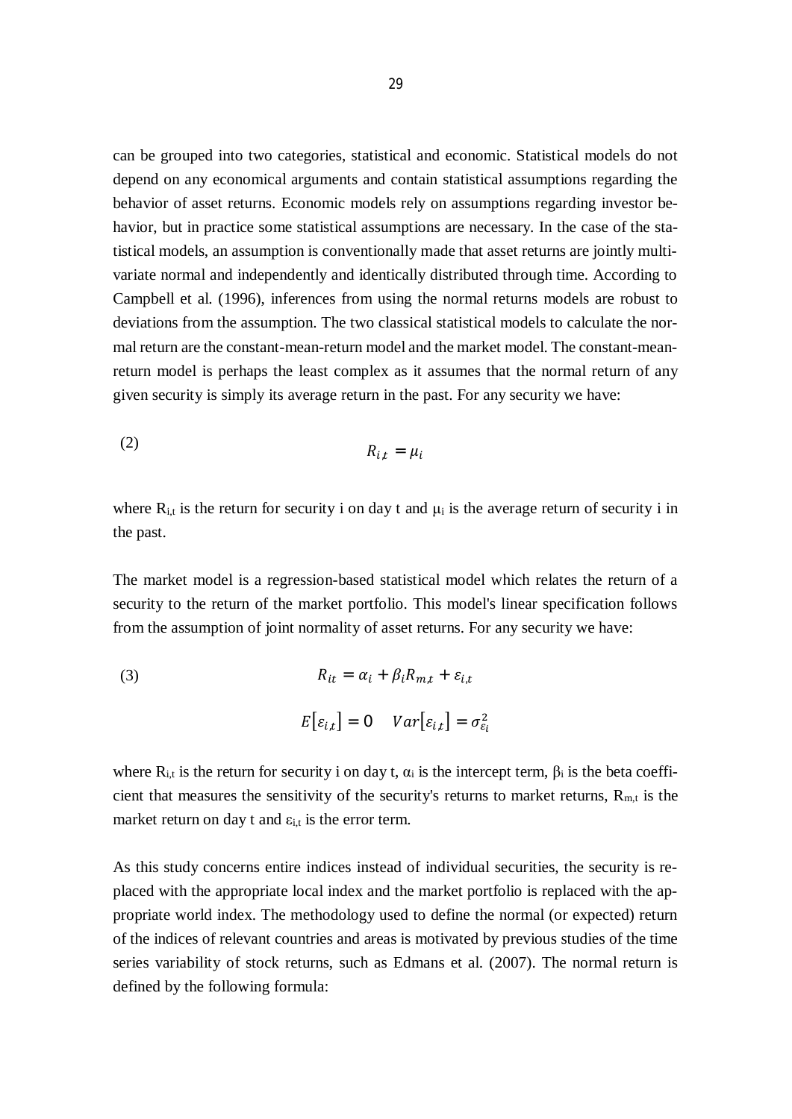can be grouped into two categories, statistical and economic. Statistical models do not depend on any economical arguments and contain statistical assumptions regarding the behavior of asset returns. Economic models rely on assumptions regarding investor behavior, but in practice some statistical assumptions are necessary. In the case of the statistical models, an assumption is conventionally made that asset returns are jointly multivariate normal and independently and identically distributed through time. According to Campbell et al. (1996), inferences from using the normal returns models are robust to deviations from the assumption. The two classical statistical models to calculate the normal return are the constant-mean-return model and the market model. The constant-meanreturn model is perhaps the least complex as it assumes that the normal return of any given security is simply its average return in the past. For any security we have:

$$
R_{i,t} = \mu_i
$$

where  $R_{i,t}$  is the return for security i on day t and  $\mu_i$  is the average return of security i in the past.

The market model is a regression-based statistical model which relates the return of a security to the return of the market portfolio. This model's linear specification follows from the assumption of joint normality of asset returns. For any security we have:

(3)  
\n
$$
R_{it} = \alpha_i + \beta_i R_{m,t} + \varepsilon_{i,t}
$$
\n
$$
E[\varepsilon_{i,t}] = \mathbf{0} \quad Var[\varepsilon_{i,t}] = \sigma_{\varepsilon_i}^2
$$

where  $R_{i,t}$  is the return for security i on day t,  $\alpha_i$  is the intercept term,  $\beta_i$  is the beta coefficient that measures the sensitivity of the security's returns to market returns,  $R_{m,t}$  is the market return on day t and  $\varepsilon_{i,t}$  is the error term.

As this study concerns entire indices instead of individual securities, the security is replaced with the appropriate local index and the market portfolio is replaced with the appropriate world index. The methodology used to define the normal (or expected) return of the indices of relevant countries and areas is motivated by previous studies of the time series variability of stock returns, such as Edmans et al. (2007). The normal return is defined by the following formula: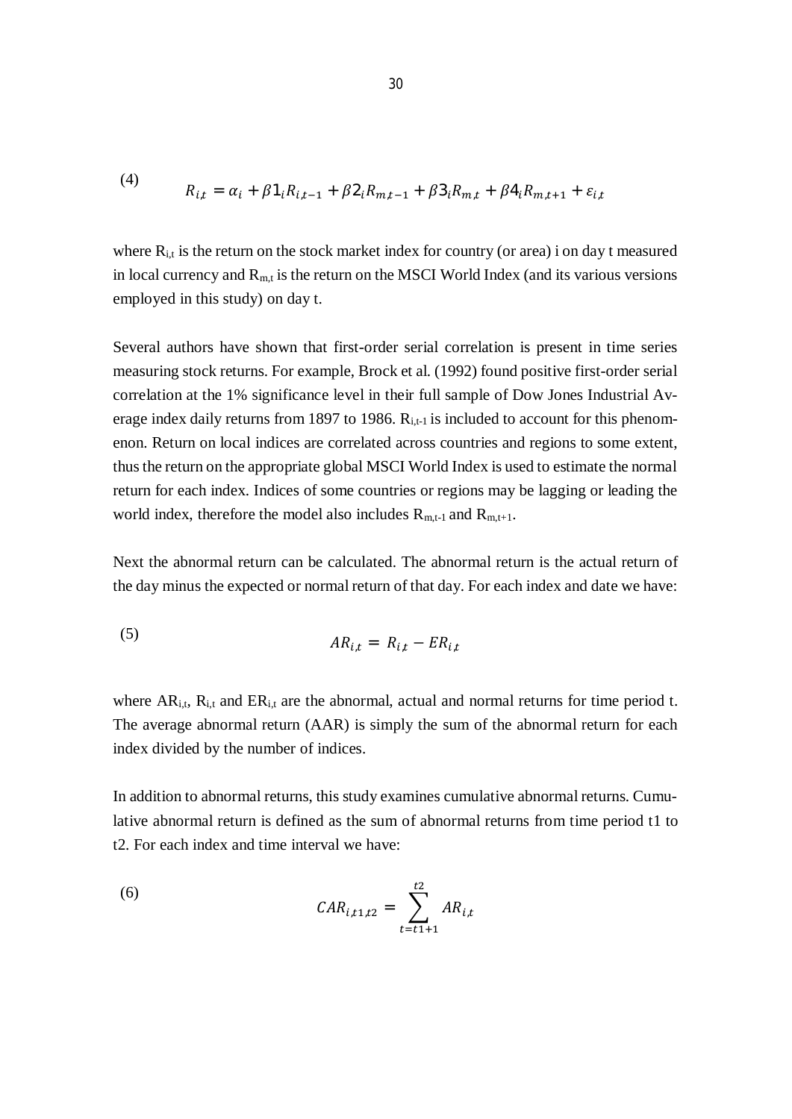(4) 
$$
R_{i,t} = \alpha_i + \beta \mathbf{1}_i R_{i,t-1} + \beta \mathbf{2}_i R_{m,t-1} + \beta \mathbf{3}_i R_{m,t} + \beta \mathbf{4}_i R_{m,t+1} + \varepsilon_{i,t}
$$

 $\sim$ 

where  $R_{i,t}$  is the return on the stock market index for country (or area) i on day t measured in local currency and  $R_{m,t}$  is the return on the MSCI World Index (and its various versions employed in this study) on day t.

Several authors have shown that first-order serial correlation is present in time series measuring stock returns. For example, Brock et al. (1992) found positive first-order serial correlation at the 1% significance level in their full sample of Dow Jones Industrial Average index daily returns from 1897 to 1986.  $R_{i,t-1}$  is included to account for this phenomenon. Return on local indices are correlated across countries and regions to some extent, thus the return on the appropriate global MSCI World Index is used to estimate the normal return for each index. Indices of some countries or regions may be lagging or leading the world index, therefore the model also includes  $R_{m,t-1}$  and  $R_{m,t+1}$ .

Next the abnormal return can be calculated. The abnormal return is the actual return of the day minus the expected or normal return of that day. For each index and date we have:

$$
(5) \tAR_{i,t} = R_{i,t} - ER_{i,t}
$$

where  $AR_{i,t}$ ,  $R_{i,t}$  and  $ER_{i,t}$  are the abnormal, actual and normal returns for time period t. The average abnormal return (AAR) is simply the sum of the abnormal return for each index divided by the number of indices.

In addition to abnormal returns, this study examines cumulative abnormal returns. Cumulative abnormal return is defined as the sum of abnormal returns from time period t1 to t2. For each index and time interval we have:

(6) 
$$
CAR_{i,t1,t2} = \sum_{t=t1+1}^{t2} AR_{i,t}
$$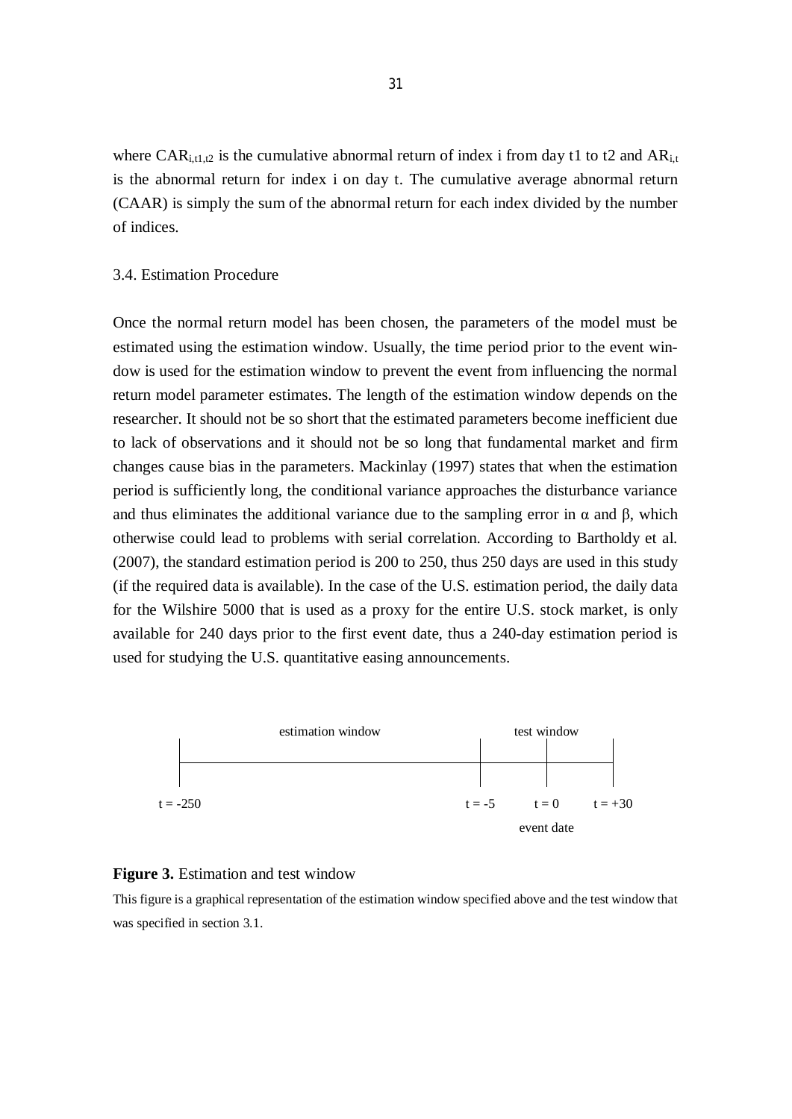where  $CAR_{i,t1,t2}$  is the cumulative abnormal return of index i from day t1 to t2 and  $AR_{i,t}$ is the abnormal return for index i on day t. The cumulative average abnormal return (CAAR) is simply the sum of the abnormal return for each index divided by the number of indices.

#### 3.4. Estimation Procedure

Once the normal return model has been chosen, the parameters of the model must be estimated using the estimation window. Usually, the time period prior to the event window is used for the estimation window to prevent the event from influencing the normal return model parameter estimates. The length of the estimation window depends on the researcher. It should not be so short that the estimated parameters become inefficient due to lack of observations and it should not be so long that fundamental market and firm changes cause bias in the parameters. Mackinlay (1997) states that when the estimation period is sufficiently long, the conditional variance approaches the disturbance variance and thus eliminates the additional variance due to the sampling error in  $\alpha$  and  $\beta$ , which otherwise could lead to problems with serial correlation. According to Bartholdy et al. (2007), the standard estimation period is 200 to 250, thus 250 days are used in this study (if the required data is available). In the case of the U.S. estimation period, the daily data for the Wilshire 5000 that is used as a proxy for the entire U.S. stock market, is only available for 240 days prior to the first event date, thus a 240-day estimation period is used for studying the U.S. quantitative easing announcements.



#### **Figure 3.** Estimation and test window

This figure is a graphical representation of the estimation window specified above and the test window that was specified in section 3.1.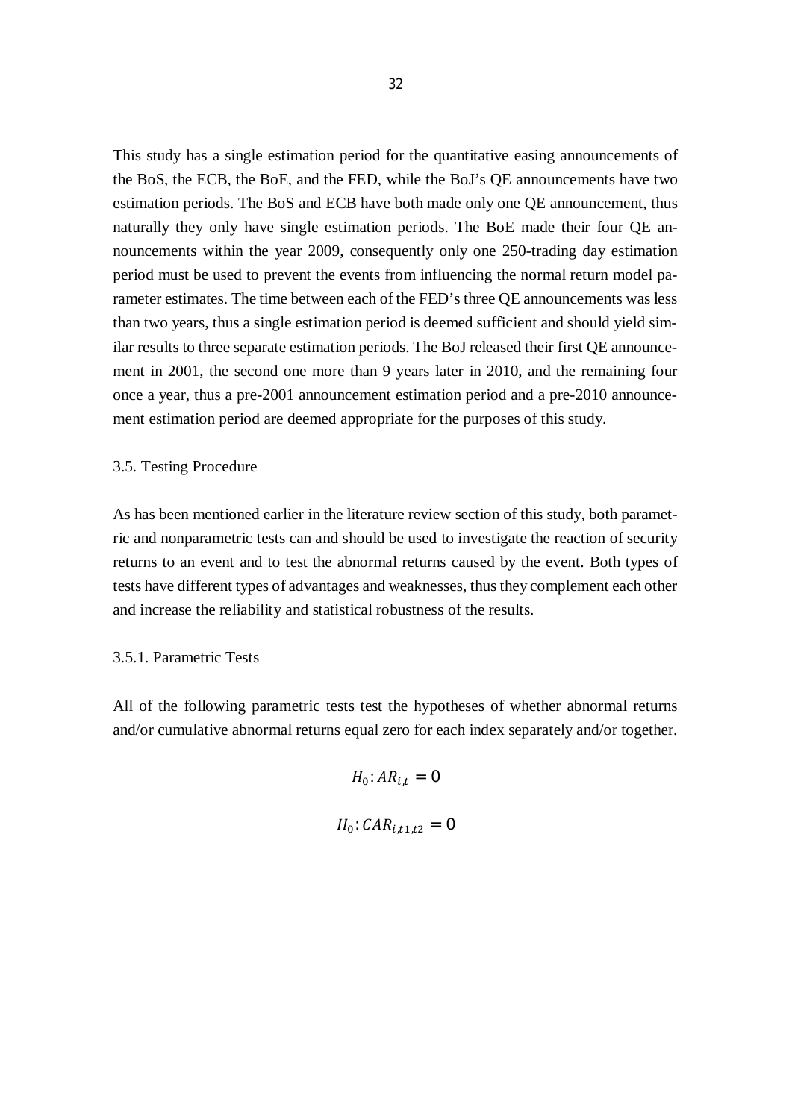This study has a single estimation period for the quantitative easing announcements of the BoS, the ECB, the BoE, and the FED, while the BoJ's QE announcements have two estimation periods. The BoS and ECB have both made only one QE announcement, thus naturally they only have single estimation periods. The BoE made their four QE announcements within the year 2009, consequently only one 250-trading day estimation period must be used to prevent the events from influencing the normal return model parameter estimates. The time between each of the FED's three QE announcements was less than two years, thus a single estimation period is deemed sufficient and should yield similar results to three separate estimation periods. The BoJ released their first QE announcement in 2001, the second one more than 9 years later in 2010, and the remaining four once a year, thus a pre-2001 announcement estimation period and a pre-2010 announcement estimation period are deemed appropriate for the purposes of this study.

# 3.5. Testing Procedure

As has been mentioned earlier in the literature review section of this study, both parametric and nonparametric tests can and should be used to investigate the reaction of security returns to an event and to test the abnormal returns caused by the event. Both types of tests have different types of advantages and weaknesses, thus they complement each other and increase the reliability and statistical robustness of the results.

### 3.5.1. Parametric Tests

All of the following parametric tests test the hypotheses of whether abnormal returns and/or cumulative abnormal returns equal zero for each index separately and/or together.

$$
H_0: AR_{i,t} = 0
$$
  

$$
H_0: CAR_{i,t1,t2} = 0
$$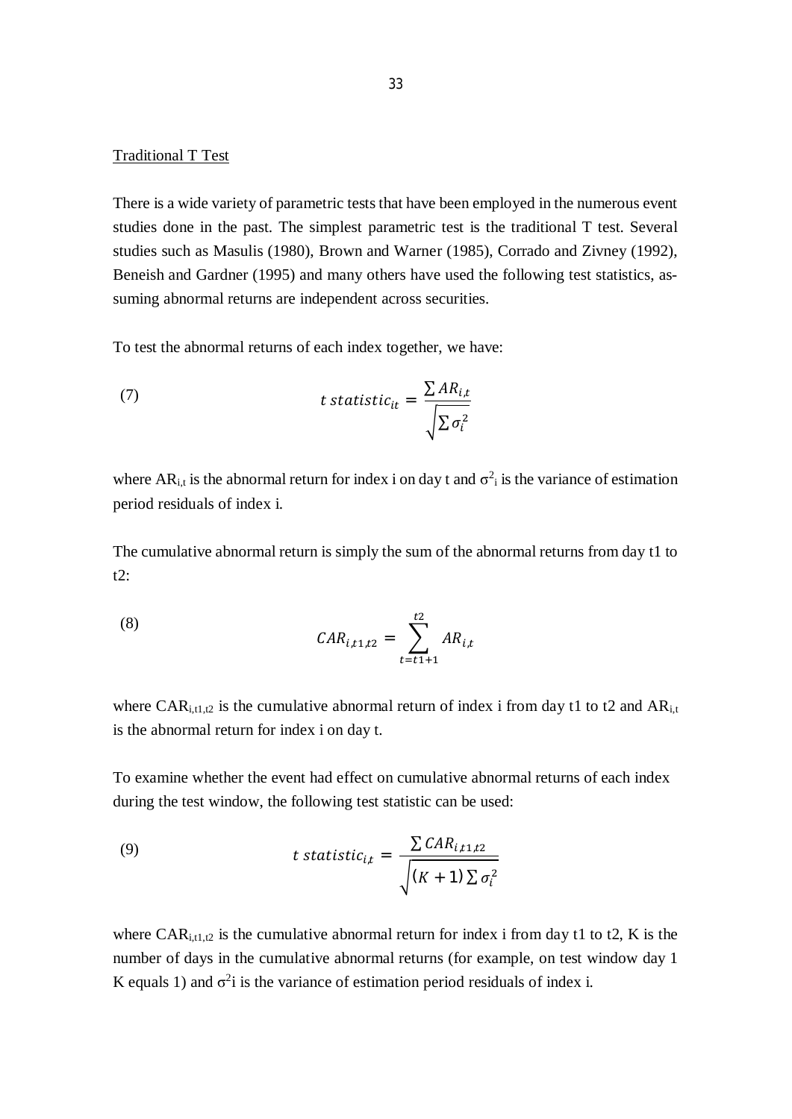# Traditional T Test

There is a wide variety of parametric tests that have been employed in the numerous event studies done in the past. The simplest parametric test is the traditional T test. Several studies such as Masulis (1980), Brown and Warner (1985), Corrado and Zivney (1992), Beneish and Gardner (1995) and many others have used the following test statistics, assuming abnormal returns are independent across securities.

To test the abnormal returns of each index together, we have:

(7) 
$$
t \text{ statistic}_{it} = \frac{\sum AR_{i,t}}{\sqrt{\sum \sigma_i^2}}
$$

where AR<sub>i,t</sub> is the abnormal return for index i on day t and  $\sigma^2$  is the variance of estimation period residuals of index i.

The cumulative abnormal return is simply the sum of the abnormal returns from day t1 to t2:

(8) 
$$
CAR_{i,t1,t2} = \sum_{t=t1+1}^{t2} AR_{i,t}
$$

where  $CAR_{i,t1,t2}$  is the cumulative abnormal return of index i from day t1 to t2 and  $AR_{i,t}$ is the abnormal return for index i on day t.

To examine whether the event had effect on cumulative abnormal returns of each index during the test window, the following test statistic can be used:

(9) 
$$
t \; statistic_{i,t} = \frac{\sum CAR_{i,t1,t2}}{\sqrt{(K+1)\sum \sigma_i^2}}
$$

where  $CAR_{i,t1,t2}$  is the cumulative abnormal return for index i from day t1 to t2, K is the number of days in the cumulative abnormal returns (for example, on test window day 1 K equals 1) and  $\sigma^2 i$  is the variance of estimation period residuals of index i.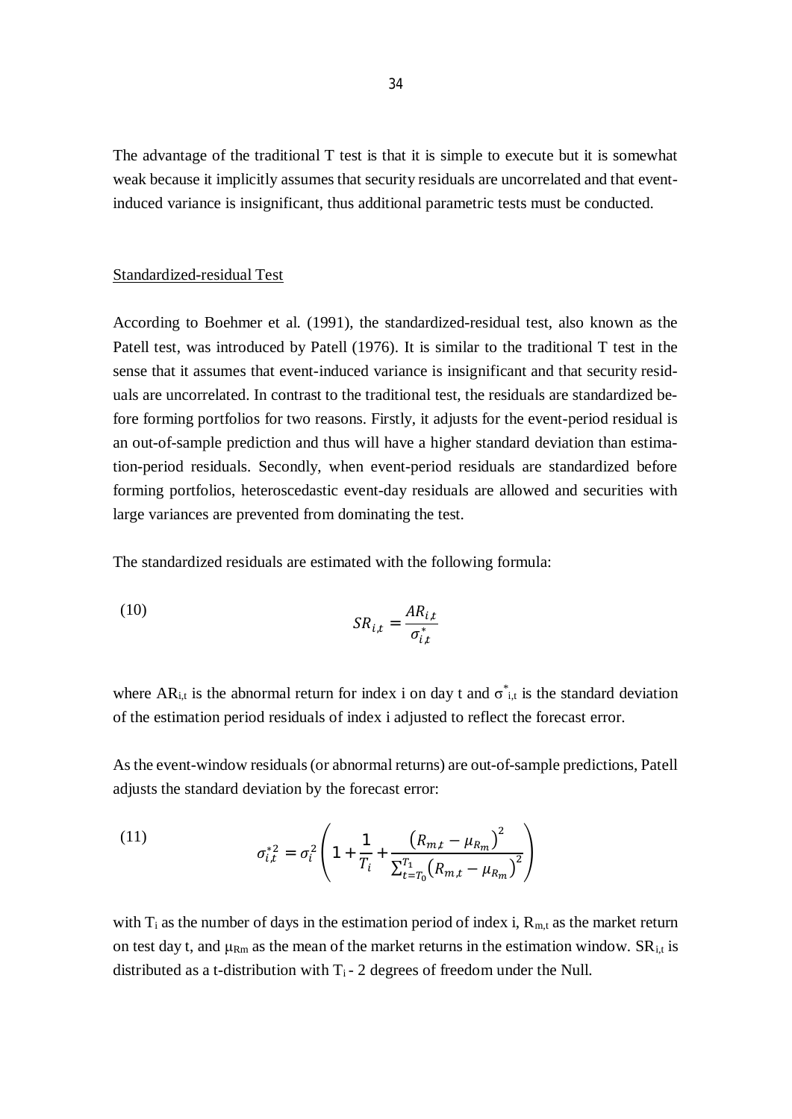The advantage of the traditional T test is that it is simple to execute but it is somewhat weak because it implicitly assumes that security residuals are uncorrelated and that eventinduced variance is insignificant, thus additional parametric tests must be conducted.

#### Standardized-residual Test

According to Boehmer et al. (1991), the standardized-residual test, also known as the Patell test, was introduced by Patell (1976). It is similar to the traditional T test in the sense that it assumes that event-induced variance is insignificant and that security residuals are uncorrelated. In contrast to the traditional test, the residuals are standardized before forming portfolios for two reasons. Firstly, it adjusts for the event-period residual is an out-of-sample prediction and thus will have a higher standard deviation than estimation-period residuals. Secondly, when event-period residuals are standardized before forming portfolios, heteroscedastic event-day residuals are allowed and securities with large variances are prevented from dominating the test.

The standardized residuals are estimated with the following formula:

$$
SR_{i,t} = \frac{AR_{i,t}}{\sigma_{i,t}^*}
$$

where AR<sub>i,t</sub> is the abnormal return for index i on day t and  $\sigma^*_{i,t}$  is the standard deviation of the estimation period residuals of index i adjusted to reflect the forecast error.

As the event-window residuals (or abnormal returns) are out-of-sample predictions, Patell adjusts the standard deviation by the forecast error:

(11) 
$$
\sigma_{i,t}^{*2} = \sigma_i^2 \left( 1 + \frac{1}{T_i} + \frac{\left(R_{m,t} - \mu_{R_m}\right)^2}{\sum_{t=T_0}^{T_1} \left(R_{m,t} - \mu_{R_m}\right)^2} \right)
$$

with  $T_i$  as the number of days in the estimation period of index i,  $R_{m,t}$  as the market return on test day t, and  $\mu_{Rm}$  as the mean of the market returns in the estimation window. SR<sub>it</sub> is distributed as a t-distribution with  $T_i$ - 2 degrees of freedom under the Null.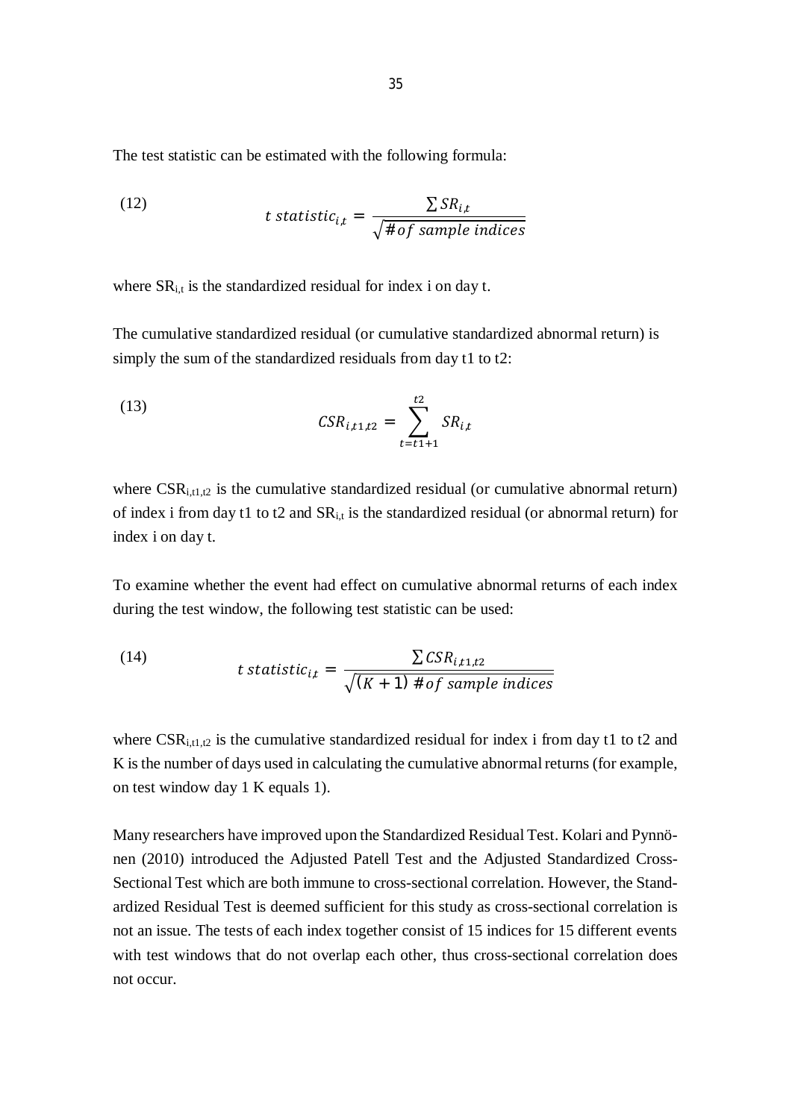The test statistic can be estimated with the following formula:

(12) 
$$
t \; statistic_{i,t} = \frac{\sum SR_{i,t}}{\sqrt{\# \; of \; sample \; indices}}
$$

where  $SR_{i,t}$  is the standardized residual for index i on day t.

The cumulative standardized residual (or cumulative standardized abnormal return) is simply the sum of the standardized residuals from day t1 to t2:

(13) 
$$
CSR_{i,t1,t2} = \sum_{t=t1+1}^{t2} SR_{i,t}
$$

where  $CSR_{i,t1,t2}$  is the cumulative standardized residual (or cumulative abnormal return) of index i from day t1 to t2 and  $SR_{i,t}$  is the standardized residual (or abnormal return) for index i on day t.

To examine whether the event had effect on cumulative abnormal returns of each index during the test window, the following test statistic can be used:

(14) 
$$
t \; statistic_{i,t} = \frac{\sum CSR_{i,t1,t2}}{\sqrt{(K+1) \# of sample indices}}
$$

where  $CSR_{i,t1,t2}$  is the cumulative standardized residual for index i from day t1 to t2 and K is the number of days used in calculating the cumulative abnormal returns (for example, on test window day 1 K equals 1).

Many researchers have improved upon the Standardized Residual Test. Kolari and Pynnönen (2010) introduced the Adjusted Patell Test and the Adjusted Standardized Cross-Sectional Test which are both immune to cross-sectional correlation. However, the Standardized Residual Test is deemed sufficient for this study as cross-sectional correlation is not an issue. The tests of each index together consist of 15 indices for 15 different events with test windows that do not overlap each other, thus cross-sectional correlation does not occur.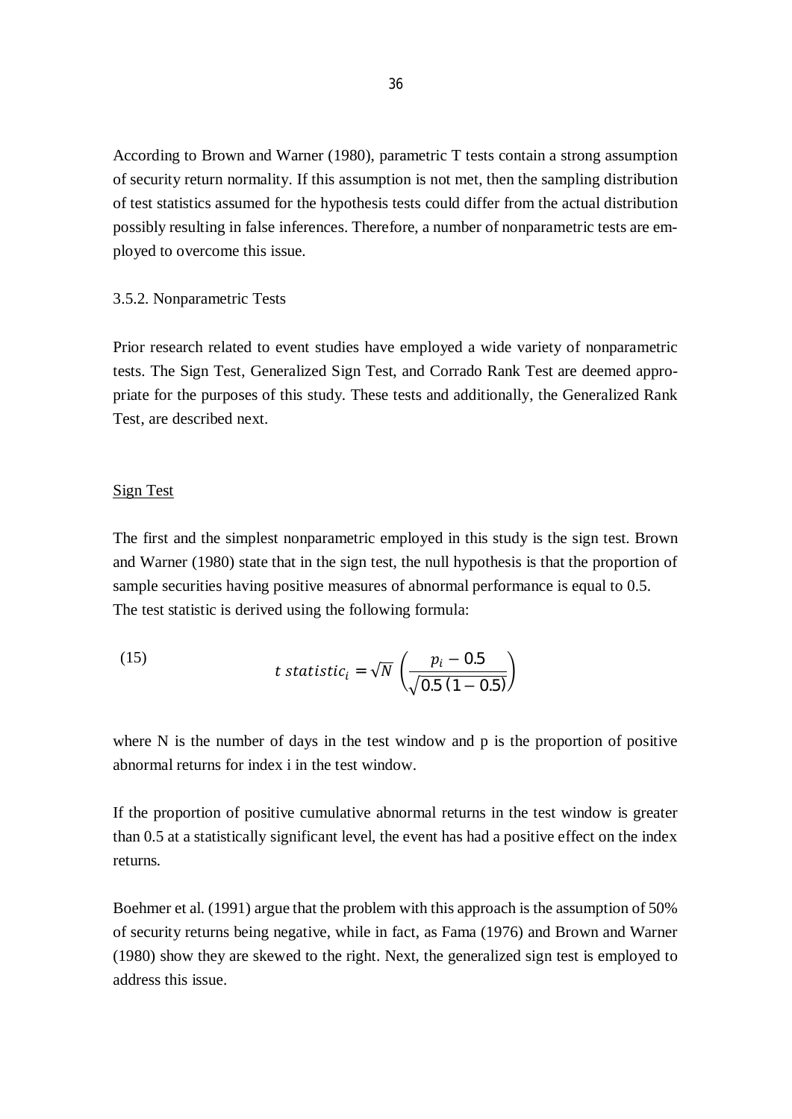According to Brown and Warner (1980), parametric T tests contain a strong assumption of security return normality. If this assumption is not met, then the sampling distribution of test statistics assumed for the hypothesis tests could differ from the actual distribution possibly resulting in false inferences. Therefore, a number of nonparametric tests are employed to overcome this issue.

## 3.5.2. Nonparametric Tests

Prior research related to event studies have employed a wide variety of nonparametric tests. The Sign Test, Generalized Sign Test, and Corrado Rank Test are deemed appropriate for the purposes of this study. These tests and additionally, the Generalized Rank Test, are described next.

## Sign Test

The first and the simplest nonparametric employed in this study is the sign test. Brown and Warner (1980) state that in the sign test, the null hypothesis is that the proportion of sample securities having positive measures of abnormal performance is equal to 0.5. The test statistic is derived using the following formula:

(15) 
$$
t \text{ statistic}_i = \sqrt{N} \left( \frac{p_i - 0.5}{\sqrt{0.5 (1 - 0.5)}} \right)
$$

where N is the number of days in the test window and p is the proportion of positive abnormal returns for index i in the test window.

If the proportion of positive cumulative abnormal returns in the test window is greater than 0.5 at a statistically significant level, the event has had a positive effect on the index returns.

Boehmer et al. (1991) argue that the problem with this approach is the assumption of 50% of security returns being negative, while in fact, as Fama (1976) and Brown and Warner (1980) show they are skewed to the right. Next, the generalized sign test is employed to address this issue.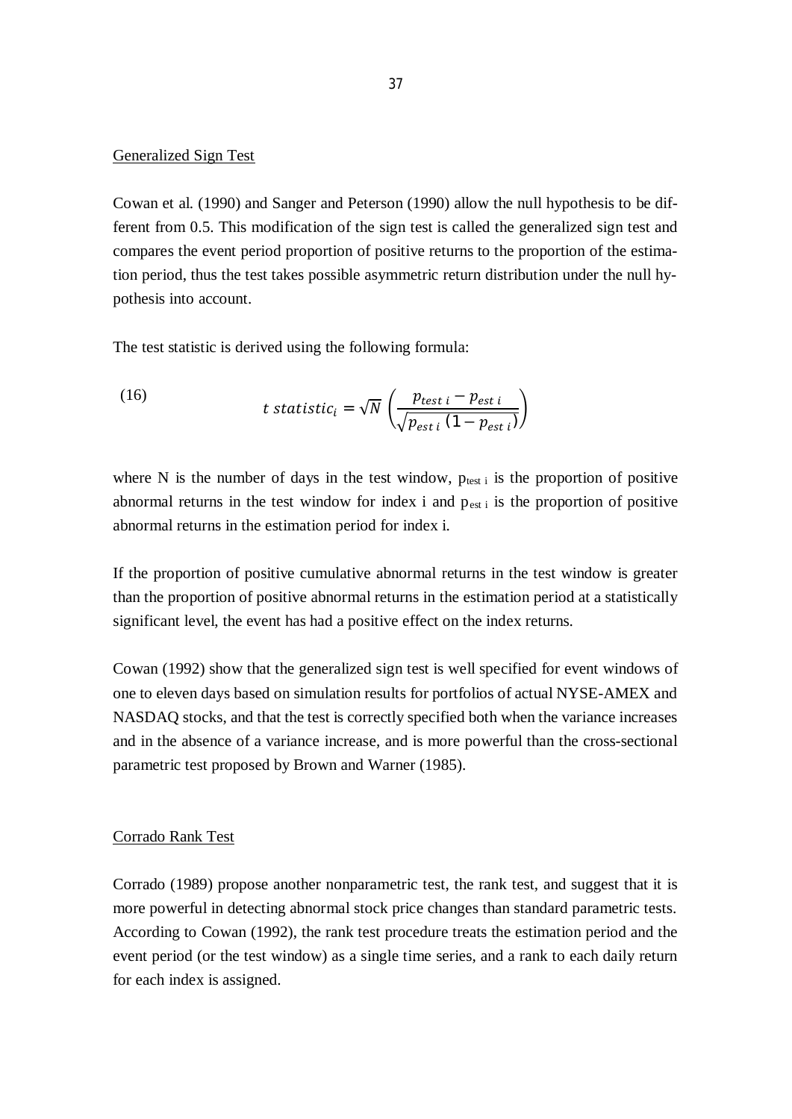## Generalized Sign Test

Cowan et al. (1990) and Sanger and Peterson (1990) allow the null hypothesis to be different from 0.5. This modification of the sign test is called the generalized sign test and compares the event period proportion of positive returns to the proportion of the estimation period, thus the test takes possible asymmetric return distribution under the null hypothesis into account.

The test statistic is derived using the following formula:

(16) 
$$
t \text{ statistic}_{i} = \sqrt{N} \left( \frac{p_{test i} - p_{est i}}{\sqrt{p_{est i} \cdot (1 - p_{est i})}} \right)
$$

where N is the number of days in the test window,  $p_{test i}$  is the proportion of positive abnormal returns in the test window for index i and  $p_{est}$  is the proportion of positive abnormal returns in the estimation period for index i.

If the proportion of positive cumulative abnormal returns in the test window is greater than the proportion of positive abnormal returns in the estimation period at a statistically significant level, the event has had a positive effect on the index returns.

Cowan (1992) show that the generalized sign test is well specified for event windows of one to eleven days based on simulation results for portfolios of actual NYSE-AMEX and NASDAQ stocks, and that the test is correctly specified both when the variance increases and in the absence of a variance increase, and is more powerful than the cross-sectional parametric test proposed by Brown and Warner (1985).

# Corrado Rank Test

Corrado (1989) propose another nonparametric test, the rank test, and suggest that it is more powerful in detecting abnormal stock price changes than standard parametric tests. According to Cowan (1992), the rank test procedure treats the estimation period and the event period (or the test window) as a single time series, and a rank to each daily return for each index is assigned.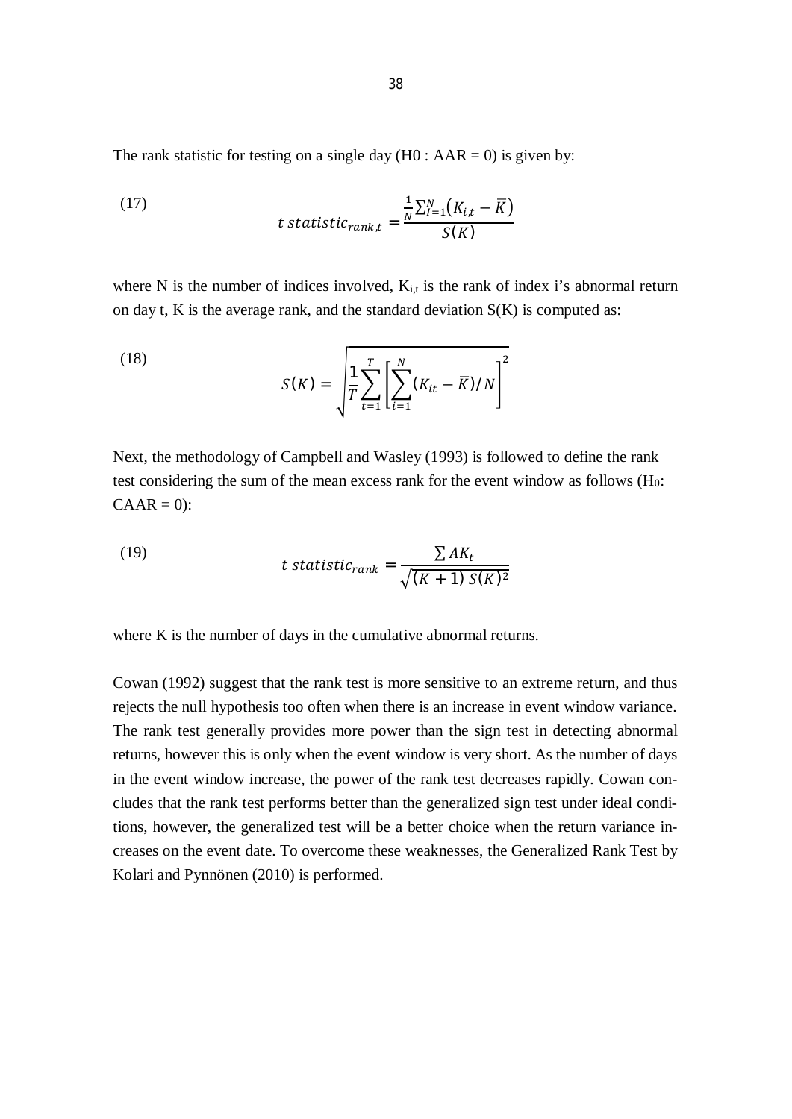The rank statistic for testing on a single day  $(H0: AAR = 0)$  is given by:

(17) 
$$
t \; statistic_{rank,t} = \frac{\frac{1}{N} \sum_{l=1}^{N} (K_{i,t} - \overline{K})}{S(K)}
$$

where N is the number of indices involved,  $K_{i,t}$  is the rank of index i's abnormal return on day t,  $\overline{K}$  is the average rank, and the standard deviation  $S(K)$  is computed as:

(18) 
$$
S(K) = \sqrt{\frac{1}{T} \sum_{t=1}^{T} \left[ \sum_{i=1}^{N} (K_{it} - \overline{K}) / N \right]^2}
$$

Next, the methodology of Campbell and Wasley (1993) is followed to define the rank test considering the sum of the mean excess rank for the event window as follows  $(H_0:$  $CAAR = 0$ :

(19) 
$$
t \; statistic_{rank} = \frac{\sum AK_t}{\sqrt{(K+1) \; S(K)^2}}
$$

where K is the number of days in the cumulative abnormal returns.

Cowan (1992) suggest that the rank test is more sensitive to an extreme return, and thus rejects the null hypothesis too often when there is an increase in event window variance. The rank test generally provides more power than the sign test in detecting abnormal returns, however this is only when the event window is very short. As the number of days in the event window increase, the power of the rank test decreases rapidly. Cowan concludes that the rank test performs better than the generalized sign test under ideal conditions, however, the generalized test will be a better choice when the return variance increases on the event date. To overcome these weaknesses, the Generalized Rank Test by Kolari and Pynnönen (2010) is performed.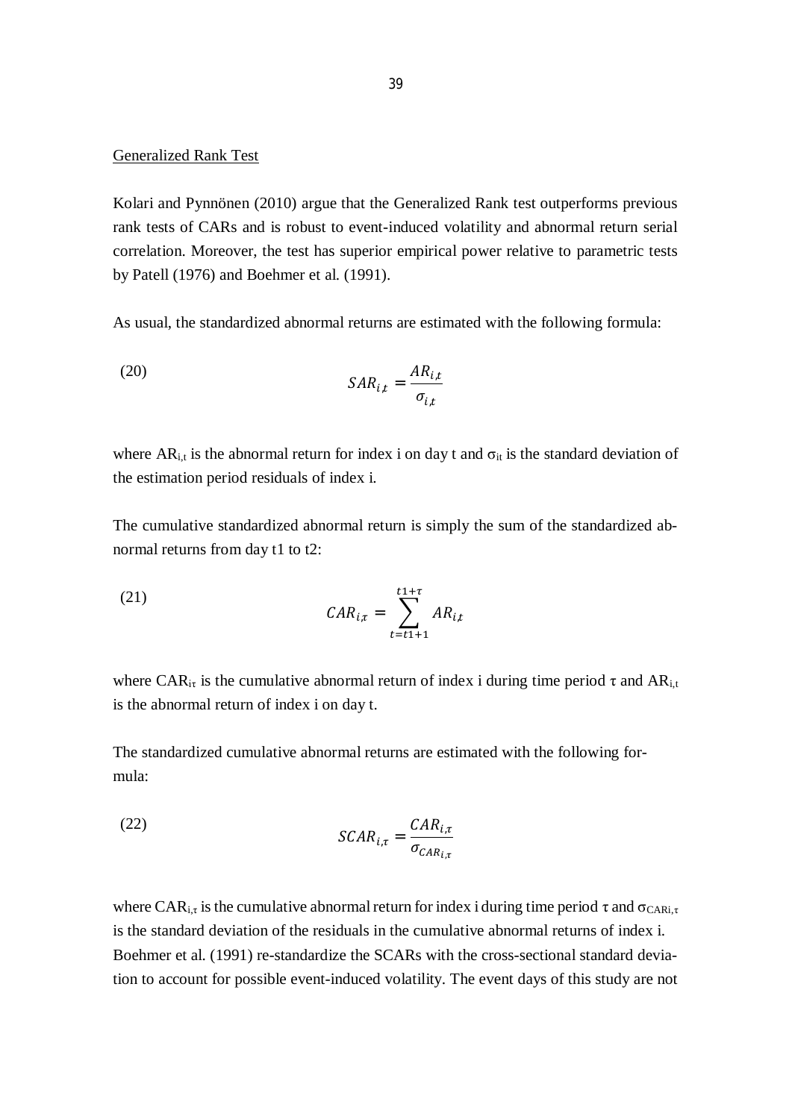### Generalized Rank Test

Kolari and Pynnönen (2010) argue that the Generalized Rank test outperforms previous rank tests of CARs and is robust to event-induced volatility and abnormal return serial correlation. Moreover, the test has superior empirical power relative to parametric tests by Patell (1976) and Boehmer et al. (1991).

As usual, the standardized abnormal returns are estimated with the following formula:

$$
SAR_{i,t} = \frac{AR_{i,t}}{\sigma_{i,t}}
$$

where  $AR_{i,t}$  is the abnormal return for index i on day t and  $\sigma_{it}$  is the standard deviation of the estimation period residuals of index i.

The cumulative standardized abnormal return is simply the sum of the standardized abnormal returns from day t1 to t2:

(21) 
$$
CAR_{i, \tau} = \sum_{t=t1+1}^{t1+\tau} AR_{i, t}
$$

where CAR<sub>it</sub> is the cumulative abnormal return of index i during time period  $\tau$  and AR<sub>it</sub> is the abnormal return of index i on day t.

The standardized cumulative abnormal returns are estimated with the following formula:

$$
(22) \tSCAR_{i,\tau} = \frac{CAR_{i,\tau}}{\sigma_{CAR_{i,\tau}}}
$$

where CAR<sub>i,τ</sub> is the cumulative abnormal return for index i during time period  $\tau$  and  $\sigma_{CARi,\tau}$ is the standard deviation of the residuals in the cumulative abnormal returns of index i. Boehmer et al. (1991) re-standardize the SCARs with the cross-sectional standard deviation to account for possible event-induced volatility. The event days of this study are not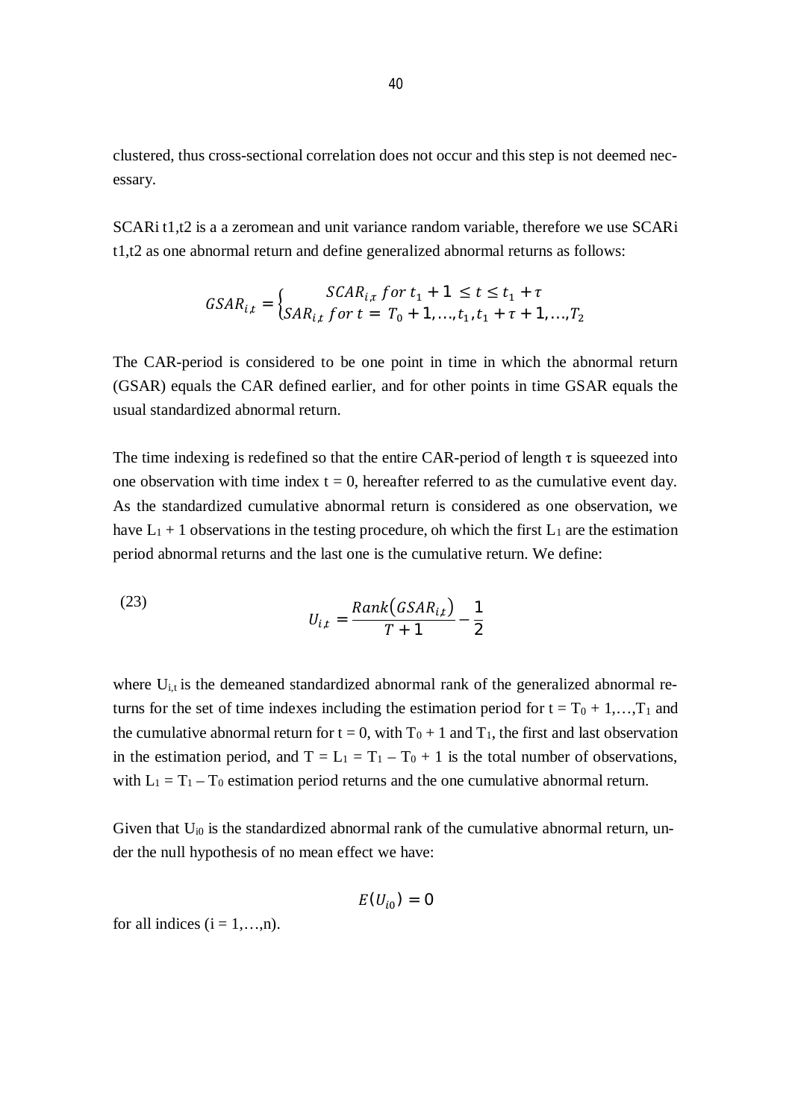clustered, thus cross-sectional correlation does not occur and this step is not deemed necessary.

SCARi t1,t2 is a a zeromean and unit variance random variable, therefore we use SCARi t1,t2 as one abnormal return and define generalized abnormal returns as follows:

$$
GSAR_{i,t} = \begin{cases} SCAR_{i,\tau} \text{ for } t_1 + 1 \le t \le t_1 + \tau \\ SAR_{i,t} \text{ for } t = T_0 + 1, \dots, t_{1}, t_1 + \tau + 1, \dots, T_2 \end{cases}
$$

The CAR-period is considered to be one point in time in which the abnormal return (GSAR) equals the CAR defined earlier, and for other points in time GSAR equals the usual standardized abnormal return.

The time indexing is redefined so that the entire CAR-period of length  $\tau$  is squeezed into one observation with time index  $t = 0$ , hereafter referred to as the cumulative event day. As the standardized cumulative abnormal return is considered as one observation, we have  $L_1 + 1$  observations in the testing procedure, oh which the first  $L_1$  are the estimation period abnormal returns and the last one is the cumulative return. We define:

(23) 
$$
U_{i,t} = \frac{Rank(GSAR_{i,t})}{T+1} - \frac{1}{2}
$$

where  $U_{i,t}$  is the demeaned standardized abnormal rank of the generalized abnormal returns for the set of time indexes including the estimation period for  $t = T_0 + 1, \ldots, T_1$  and the cumulative abnormal return for  $t = 0$ , with  $T_0 + 1$  and  $T_1$ , the first and last observation in the estimation period, and  $T = L_1 = T_1 - T_0 + 1$  is the total number of observations, with  $L_1 = T_1 - T_0$  estimation period returns and the one cumulative abnormal return.

Given that  $U_{i0}$  is the standardized abnormal rank of the cumulative abnormal return, under the null hypothesis of no mean effect we have:

$$
E(U_{i0})=0
$$

for all indices  $(i = 1, \ldots, n)$ .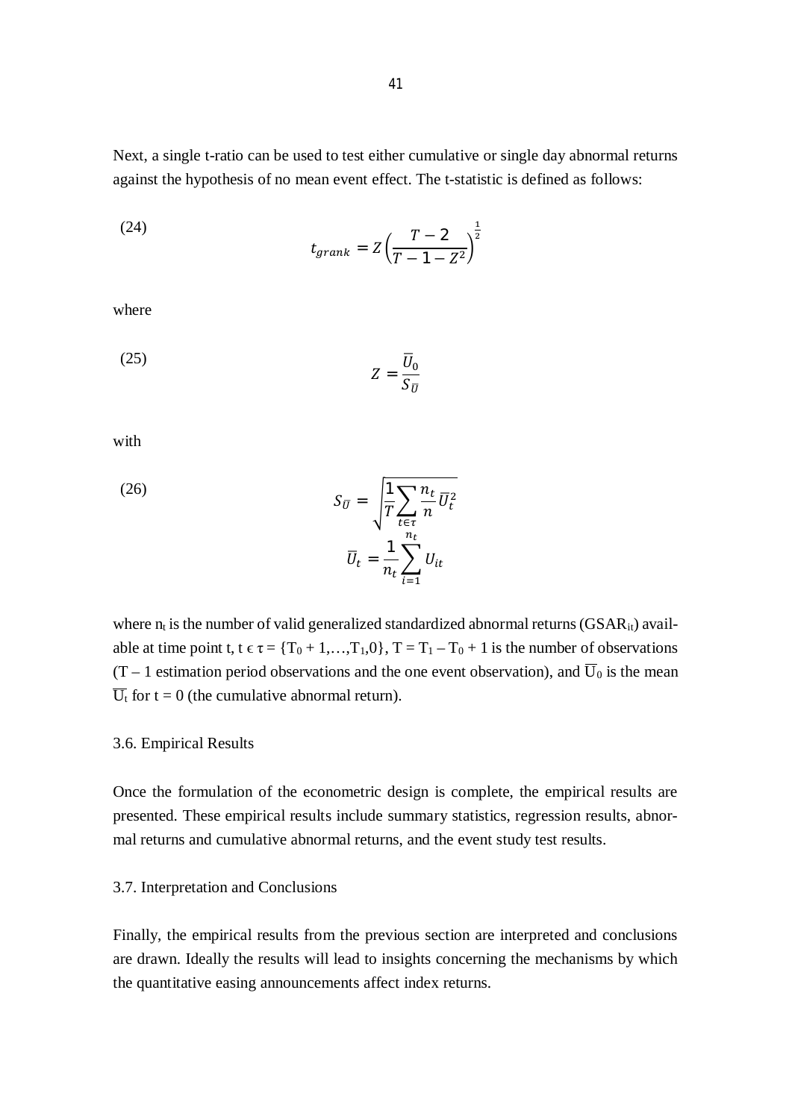Next, a single t-ratio can be used to test either cumulative or single day abnormal returns against the hypothesis of no mean event effect. The t-statistic is defined as follows:

(24) 
$$
t_{grank} = Z \left( \frac{T - 2}{T - 1 - Z^2} \right)^{\frac{1}{2}}
$$

where

$$
Z = \frac{\overline{U}_0}{S_{\overline{U}}}
$$

with

(26) 
$$
S_{\overline{U}} = \sqrt{\frac{1}{T} \sum_{t \in \tau} \frac{n_t}{n} \overline{U}_t^2}
$$

$$
\overline{U}_t = \frac{1}{n_t} \sum_{i=1}^{n_t} U_{it}
$$

where  $n_t$  is the number of valid generalized standardized abnormal returns  $(GSAR_{it})$  available at time point t,  $t \in \tau = \{T_0 + 1, \ldots, T_1, 0\}$ ,  $T = T_1 - T_0 + 1$  is the number of observations  $(T - 1)$  estimation period observations and the one event observation), and  $\overline{U}_0$  is the mean  $\overline{U_t}$  for t = 0 (the cumulative abnormal return).

## 3.6. Empirical Results

Once the formulation of the econometric design is complete, the empirical results are presented. These empirical results include summary statistics, regression results, abnormal returns and cumulative abnormal returns, and the event study test results.

# 3.7. Interpretation and Conclusions

Finally, the empirical results from the previous section are interpreted and conclusions are drawn. Ideally the results will lead to insights concerning the mechanisms by which the quantitative easing announcements affect index returns.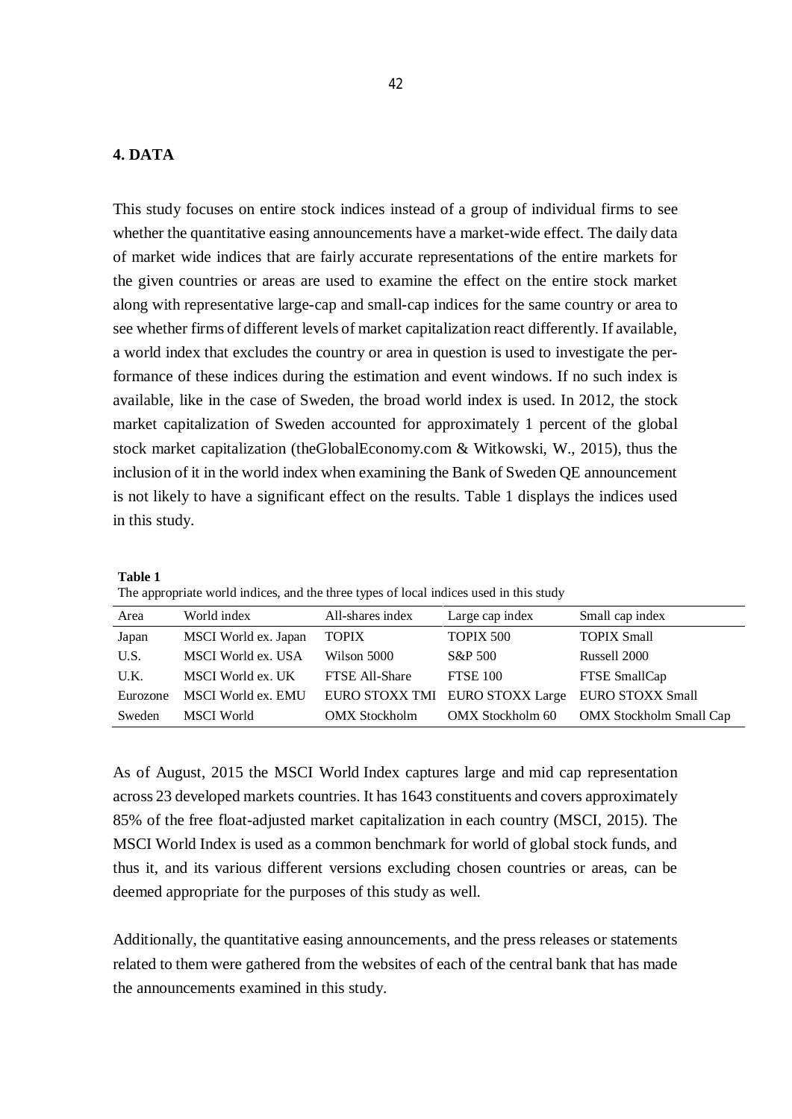# **4. DATA**

**Table 1**

This study focuses on entire stock indices instead of a group of individual firms to see whether the quantitative easing announcements have a market-wide effect. The daily data of market wide indices that are fairly accurate representations of the entire markets for the given countries or areas are used to examine the effect on the entire stock market along with representative large-cap and small-cap indices for the same country or area to see whether firms of different levels of market capitalization react differently. If available, a world index that excludes the country or area in question is used to investigate the performance of these indices during the estimation and event windows. If no such index is available, like in the case of Sweden, the broad world index is used. In 2012, the stock market capitalization of Sweden accounted for approximately 1 percent of the global stock market capitalization (theGlobalEconomy.com & Witkowski, W., 2015), thus the inclusion of it in the world index when examining the Bank of Sweden QE announcement is not likely to have a significant effect on the results. Table 1 displays the indices used in this study.

|          | The appropriate world indices, and the three types of local indices used in this study |                       |                         |                                |  |  |  |  |  |  |  |  |
|----------|----------------------------------------------------------------------------------------|-----------------------|-------------------------|--------------------------------|--|--|--|--|--|--|--|--|
| Area     | World index                                                                            | All-shares index      | Large cap index         | Small cap index                |  |  |  |  |  |  |  |  |
| Japan    | MSCI World ex. Japan                                                                   | <b>TOPIX</b>          | <b>TOPIX 500</b>        | <b>TOPIX Small</b>             |  |  |  |  |  |  |  |  |
| U.S.     | MSCI World ex. USA                                                                     | Wilson 5000           | S&P 500                 | Russell 2000                   |  |  |  |  |  |  |  |  |
| U.K.     | MSCI World ex. UK                                                                      | <b>FTSE All-Share</b> | <b>FTSE 100</b>         | FTSE SmallCap                  |  |  |  |  |  |  |  |  |
| Eurozone | MSCI World ex. EMU                                                                     | EURO STOXX TMI        | <b>EURO STOXX Large</b> | <b>EURO STOXX Small</b>        |  |  |  |  |  |  |  |  |
| Sweden   | <b>MSCI</b> World                                                                      | <b>OMX</b> Stockholm  | OMX Stockholm 60        | <b>OMX Stockholm Small Cap</b> |  |  |  |  |  |  |  |  |

As of August, 2015 the MSCI World Index captures large and mid cap representation across 23 developed markets countries. It has 1643 constituents and covers approximately 85% of the free float-adjusted market capitalization in each country (MSCI, 2015). The MSCI World Index is used as a common benchmark for world of global stock funds, and thus it, and its various different versions excluding chosen countries or areas, can be deemed appropriate for the purposes of this study as well.

Additionally, the quantitative easing announcements, and the press releases or statements related to them were gathered from the websites of each of the central bank that has made the announcements examined in this study.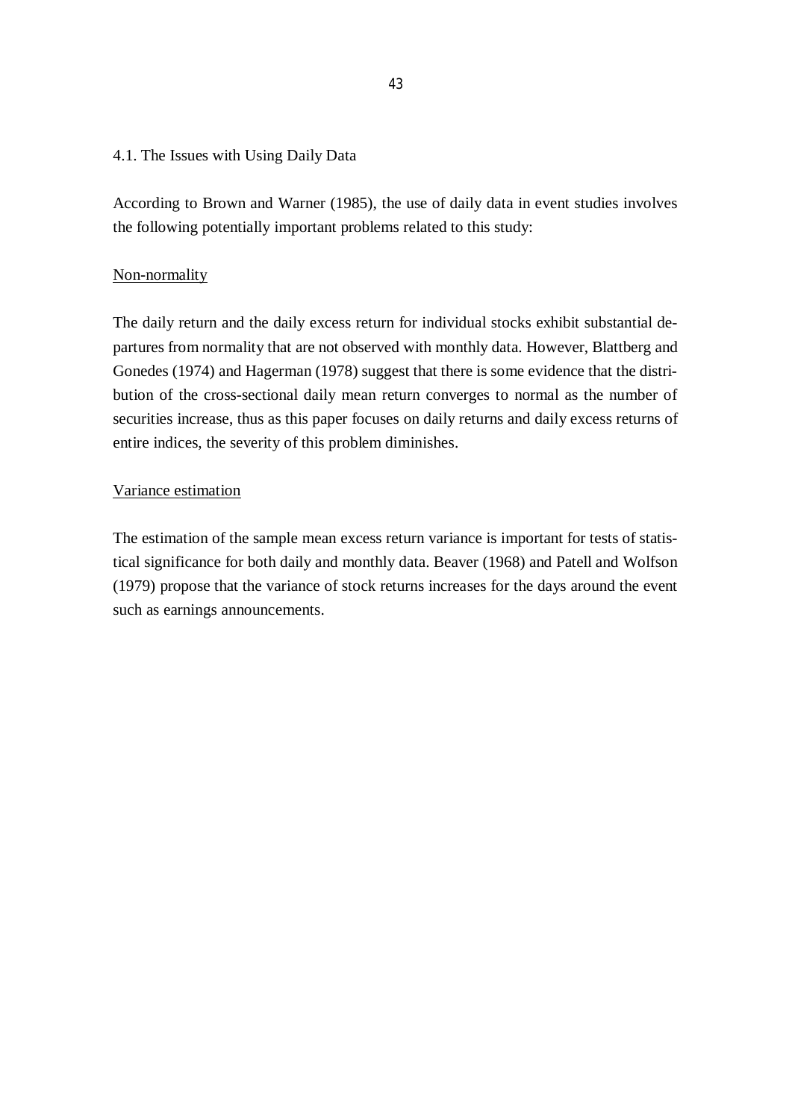# 4.1. The Issues with Using Daily Data

According to Brown and Warner (1985), the use of daily data in event studies involves the following potentially important problems related to this study:

# Non-normality

The daily return and the daily excess return for individual stocks exhibit substantial departures from normality that are not observed with monthly data. However, Blattberg and Gonedes (1974) and Hagerman (1978) suggest that there is some evidence that the distribution of the cross-sectional daily mean return converges to normal as the number of securities increase, thus as this paper focuses on daily returns and daily excess returns of entire indices, the severity of this problem diminishes.

# Variance estimation

The estimation of the sample mean excess return variance is important for tests of statistical significance for both daily and monthly data. Beaver (1968) and Patell and Wolfson (1979) propose that the variance of stock returns increases for the days around the event such as earnings announcements.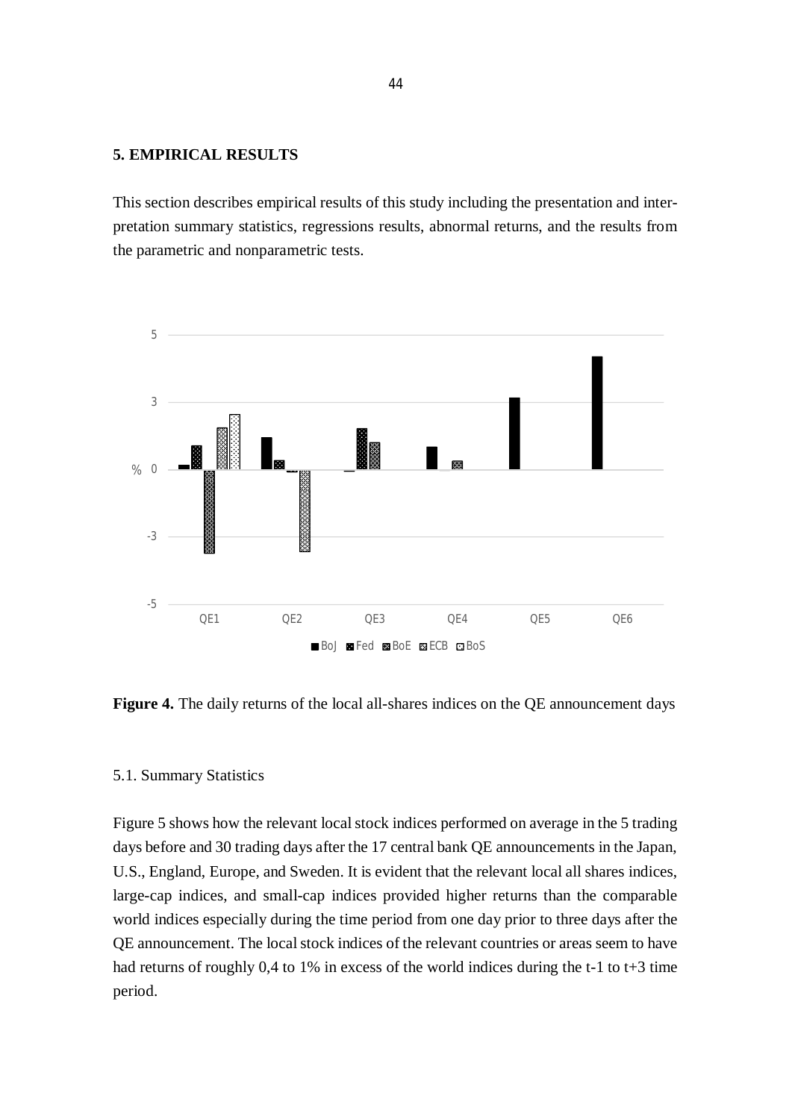# **5. EMPIRICAL RESULTS**

This section describes empirical results of this study including the presentation and interpretation summary statistics, regressions results, abnormal returns, and the results from the parametric and nonparametric tests.



**Figure 4.** The daily returns of the local all-shares indices on the QE announcement days

## 5.1. Summary Statistics

Figure 5 shows how the relevant local stock indices performed on average in the 5 trading days before and 30 trading days after the 17 central bank QE announcements in the Japan, U.S., England, Europe, and Sweden. It is evident that the relevant local all shares indices, large-cap indices, and small-cap indices provided higher returns than the comparable world indices especially during the time period from one day prior to three days after the QE announcement. The local stock indices of the relevant countries or areas seem to have had returns of roughly 0,4 to 1% in excess of the world indices during the t-1 to t+3 time period.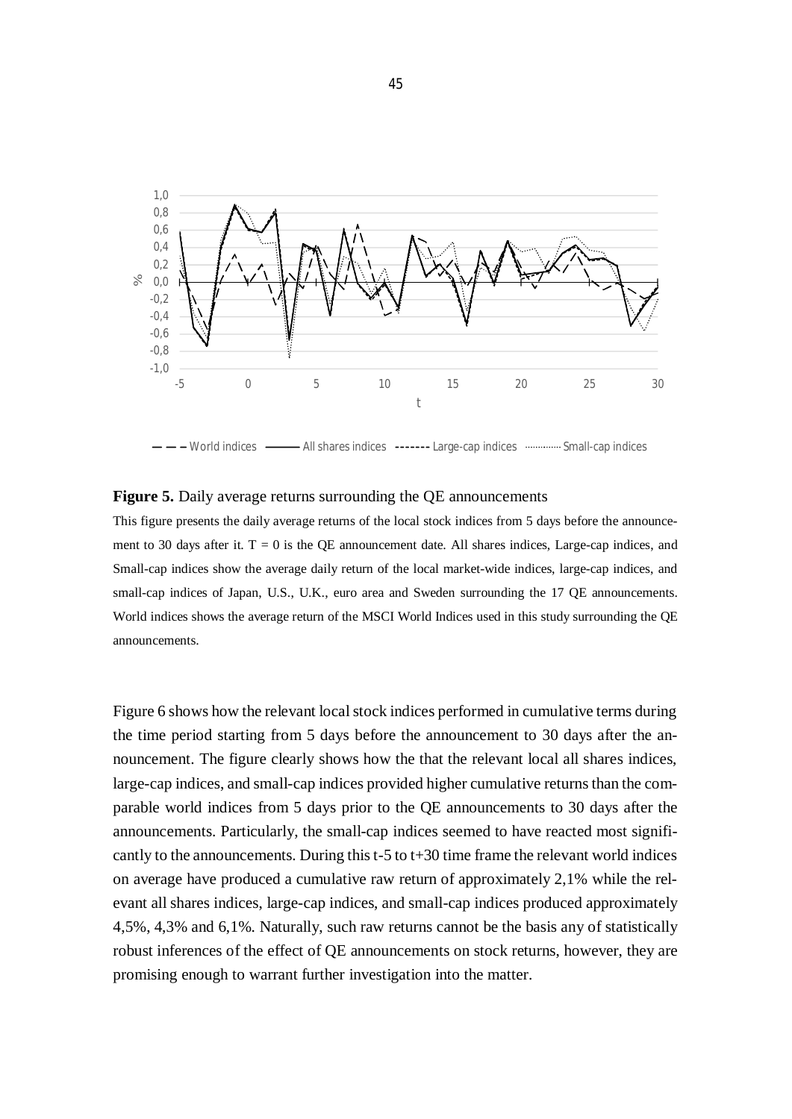

— – World indices ———— All shares indices ———— Large-cap indices ———— Small-cap indices

### **Figure 5.** Daily average returns surrounding the QE announcements

This figure presents the daily average returns of the local stock indices from 5 days before the announcement to 30 days after it.  $T = 0$  is the QE announcement date. All shares indices, Large-cap indices, and Small-cap indices show the average daily return of the local market-wide indices, large-cap indices, and small-cap indices of Japan, U.S., U.K., euro area and Sweden surrounding the 17 QE announcements. World indices shows the average return of the MSCI World Indices used in this study surrounding the QE announcements.

Figure 6 shows how the relevant local stock indices performed in cumulative terms during the time period starting from 5 days before the announcement to 30 days after the announcement. The figure clearly shows how the that the relevant local all shares indices, large-cap indices, and small-cap indices provided higher cumulative returns than the comparable world indices from 5 days prior to the QE announcements to 30 days after the announcements. Particularly, the small-cap indices seemed to have reacted most significantly to the announcements. During this t-5 to t+30 time frame the relevant world indices on average have produced a cumulative raw return of approximately 2,1% while the relevant all shares indices, large-cap indices, and small-cap indices produced approximately 4,5%, 4,3% and 6,1%. Naturally, such raw returns cannot be the basis any of statistically robust inferences of the effect of QE announcements on stock returns, however, they are promising enough to warrant further investigation into the matter.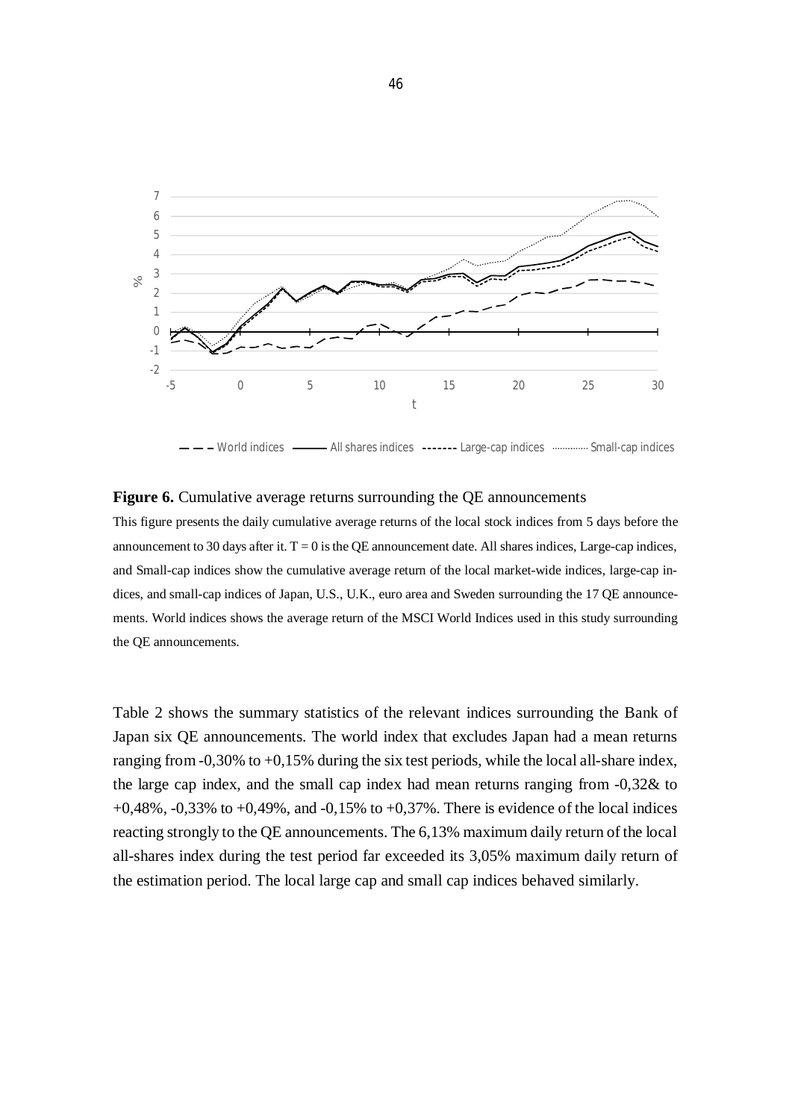

World indices All shares indices Large-cap indices Small-cap indices

## **Figure 6.** Cumulative average returns surrounding the QE announcements

This figure presents the daily cumulative average returns of the local stock indices from 5 days before the announcement to 30 days after it.  $T = 0$  is the QE announcement date. All shares indices, Large-cap indices, and Small-cap indices show the cumulative average return of the local market-wide indices, large-cap indices, and small-cap indices of Japan, U.S., U.K., euro area and Sweden surrounding the 17 QE announcements. World indices shows the average return of the MSCI World Indices used in this study surrounding the QE announcements.

Table 2 shows the summary statistics of the relevant indices surrounding the Bank of Japan six QE announcements. The world index that excludes Japan had a mean returns ranging from -0,30% to +0,15% during the six test periods, while the local all-share index, the large cap index, and the small cap index had mean returns ranging from -0,32& to  $+0.48\%$ ,  $-0.33\%$  to  $+0.49\%$ , and  $-0.15\%$  to  $+0.37\%$ . There is evidence of the local indices reacting strongly to the QE announcements. The 6,13% maximum daily return of the local all-shares index during the test period far exceeded its 3,05% maximum daily return of the estimation period. The local large cap and small cap indices behaved similarly.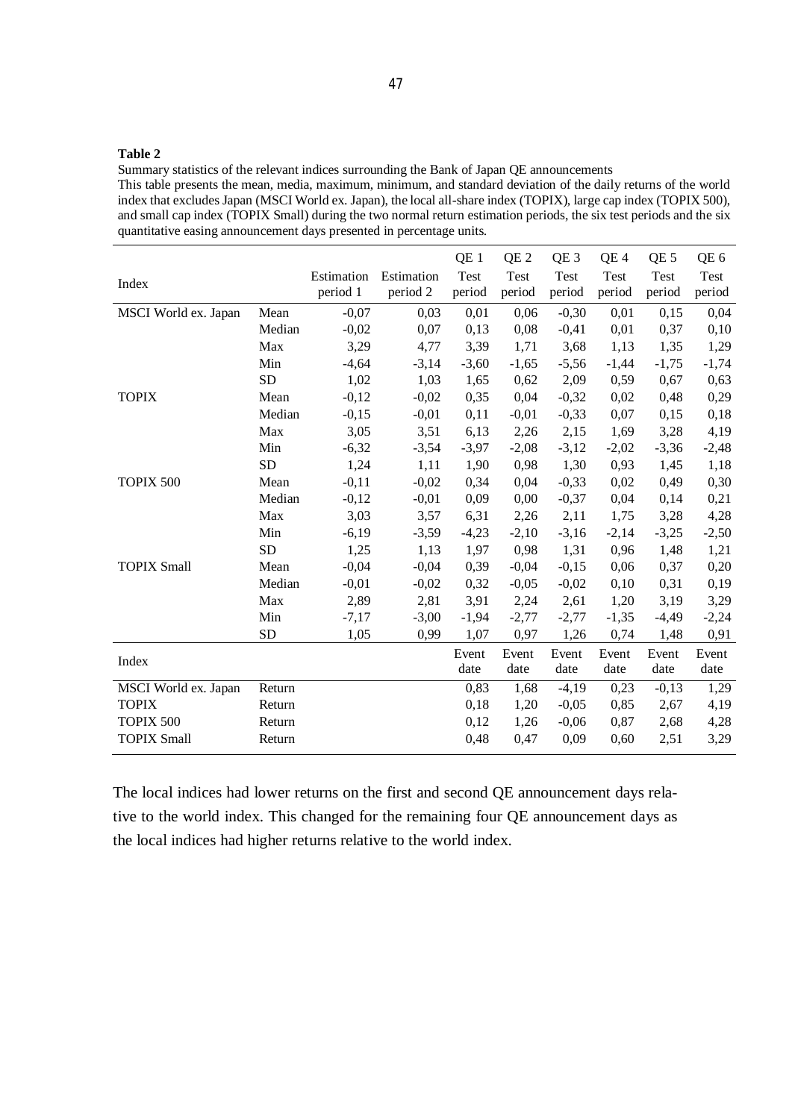Summary statistics of the relevant indices surrounding the Bank of Japan QE announcements This table presents the mean, media, maximum, minimum, and standard deviation of the daily returns of the world index that excludes Japan (MSCI World ex. Japan), the local all-share index (TOPIX), large cap index (TOPIX 500), and small cap index (TOPIX Small) during the two normal return estimation periods, the six test periods and the six quantitative easing announcement days presented in percentage units.

|                      |           |            |            | QE 1    | QE <sub>2</sub>                | QE <sub>3</sub> | QE <sub>4</sub> | QE <sub>5</sub> | QE 6    |
|----------------------|-----------|------------|------------|---------|--------------------------------|-----------------|-----------------|-----------------|---------|
| Index                |           | Estimation | Estimation | Test    | $\operatorname{\mathsf{Test}}$ | Test            | Test            | Test            | Test    |
|                      |           | period 1   | period 2   | period  | period                         | period          | period          | period          | period  |
| MSCI World ex. Japan | Mean      | $-0,07$    | 0,03       | 0,01    | 0,06                           | $-0,30$         | 0,01            | 0,15            | 0,04    |
|                      | Median    | $-0,02$    | 0,07       | 0,13    | 0,08                           | $-0,41$         | 0,01            | 0,37            | 0,10    |
|                      | Max       | 3,29       | 4,77       | 3,39    | 1,71                           | 3,68            | 1,13            | 1,35            | 1,29    |
|                      | Min       | $-4,64$    | $-3,14$    | $-3,60$ | $-1,65$                        | $-5,56$         | $-1,44$         | $-1,75$         | $-1,74$ |
|                      | <b>SD</b> | 1,02       | 1,03       | 1,65    | 0,62                           | 2,09            | 0,59            | 0,67            | 0,63    |
| <b>TOPIX</b>         | Mean      | $-0,12$    | $-0,02$    | 0,35    | 0,04                           | $-0,32$         | 0,02            | 0,48            | 0,29    |
|                      | Median    | $-0,15$    | $-0,01$    | 0,11    | $-0,01$                        | $-0,33$         | 0,07            | 0,15            | 0,18    |
|                      | Max       | 3,05       | 3,51       | 6,13    | 2,26                           | 2,15            | 1,69            | 3,28            | 4,19    |
|                      | Min       | $-6,32$    | $-3,54$    | $-3,97$ | $-2,08$                        | $-3,12$         | $-2,02$         | $-3,36$         | $-2,48$ |
|                      | <b>SD</b> | 1,24       | 1,11       | 1,90    | 0,98                           | 1,30            | 0,93            | 1,45            | 1,18    |
| TOPIX 500            | Mean      | $-0,11$    | $-0,02$    | 0,34    | 0,04                           | $-0,33$         | 0,02            | 0,49            | 0,30    |
|                      | Median    | $-0,12$    | $-0,01$    | 0,09    | 0,00                           | $-0,37$         | 0,04            | 0,14            | 0,21    |
|                      | Max       | 3,03       | 3,57       | 6,31    | 2,26                           | 2,11            | 1,75            | 3,28            | 4,28    |
|                      | Min       | $-6,19$    | $-3,59$    | $-4,23$ | $-2,10$                        | $-3,16$         | $-2,14$         | $-3,25$         | $-2,50$ |
|                      | <b>SD</b> | 1,25       | 1,13       | 1,97    | 0,98                           | 1,31            | 0,96            | 1,48            | 1,21    |
| <b>TOPIX Small</b>   | Mean      | $-0,04$    | $-0,04$    | 0,39    | $-0,04$                        | $-0,15$         | 0,06            | 0,37            | 0,20    |
|                      | Median    | $-0,01$    | $-0,02$    | 0,32    | $-0,05$                        | $-0,02$         | 0,10            | 0,31            | 0,19    |
|                      | Max       | 2,89       | 2,81       | 3,91    | 2,24                           | 2,61            | 1,20            | 3,19            | 3,29    |
|                      | Min       | $-7,17$    | $-3,00$    | $-1,94$ | $-2,77$                        | $-2,77$         | $-1,35$         | $-4,49$         | $-2,24$ |
|                      | <b>SD</b> | 1,05       | 0,99       | 1,07    | 0,97                           | 1,26            | 0,74            | 1,48            | 0,91    |
| Index                |           |            |            | Event   | Event                          | Event           | Event           | Event           | Event   |
|                      |           |            |            | date    | date                           | date            | date            | date            | date    |
| MSCI World ex. Japan | Return    |            |            | 0,83    | 1,68                           | $-4,19$         | 0,23            | $-0,13$         | 1,29    |
| <b>TOPIX</b>         | Return    |            |            | 0,18    | 1,20                           | $-0,05$         | 0,85            | 2,67            | 4,19    |
| TOPIX 500            | Return    |            |            | 0,12    | 1,26                           | $-0,06$         | 0,87            | 2,68            | 4,28    |
| <b>TOPIX Small</b>   | Return    |            |            | 0,48    | 0,47                           | 0,09            | 0,60            | 2,51            | 3,29    |

The local indices had lower returns on the first and second QE announcement days relative to the world index. This changed for the remaining four QE announcement days as the local indices had higher returns relative to the world index.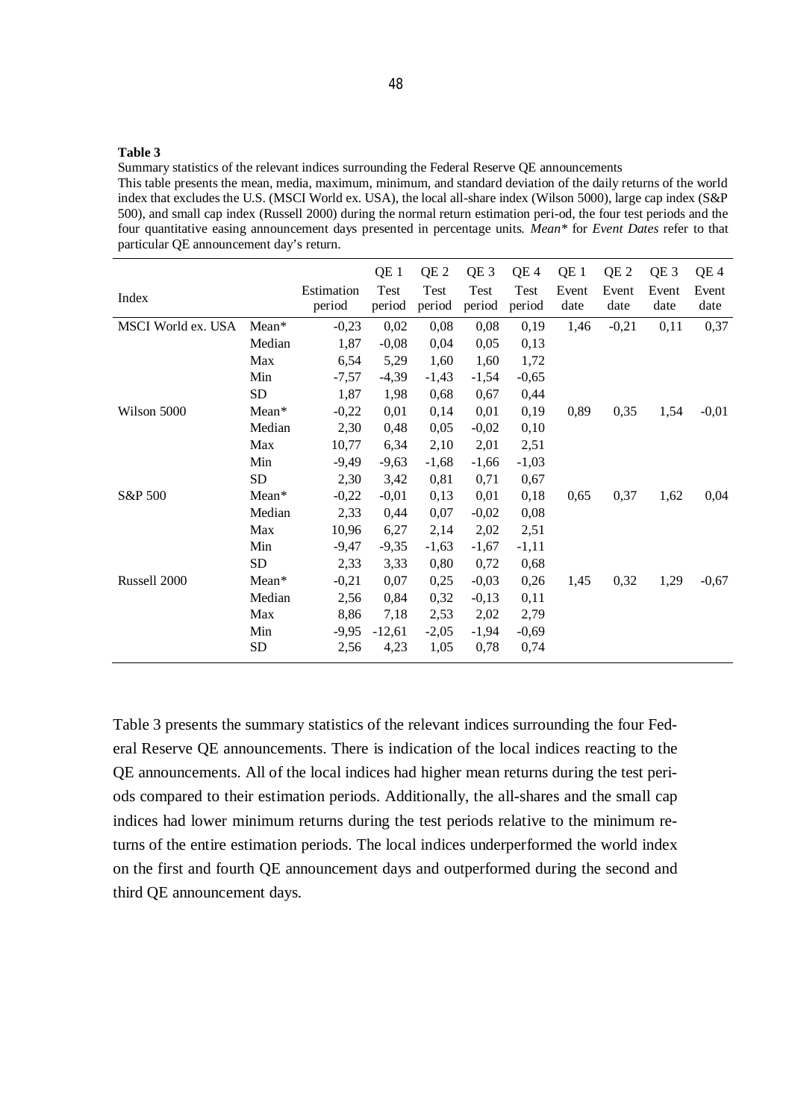Summary statistics of the relevant indices surrounding the Federal Reserve QE announcements This table presents the mean, media, maximum, minimum, and standard deviation of the daily returns of the world index that excludes the U.S. (MSCI World ex. USA), the local all-share index (Wilson 5000), large cap index (S&P 500), and small cap index (Russell 2000) during the normal return estimation peri-od, the four test periods and the four quantitative easing announcement days presented in percentage units. *Mean\** for *Event Dates* refer to that particular QE announcement day's return.

|                    |           |                      | QE 1           | QE <sub>2</sub> | QE <sub>3</sub> | QE4            | QE <sub>1</sub> | QE <sub>2</sub> | QE <sub>3</sub> | QE <sub>4</sub> |
|--------------------|-----------|----------------------|----------------|-----------------|-----------------|----------------|-----------------|-----------------|-----------------|-----------------|
| Index              |           | Estimation<br>period | Test<br>period | Test<br>period  | Test<br>period  | Test<br>period | Event<br>date   | Event<br>date   | Event<br>date   | Event<br>date   |
| MSCI World ex. USA | Mean*     | $-0,23$              | 0,02           | 0,08            | 0,08            | 0,19           | 1,46            | $-0,21$         | 0,11            | 0,37            |
|                    | Median    | 1,87                 | $-0.08$        | 0,04            | 0,05            | 0,13           |                 |                 |                 |                 |
|                    | Max       | 6,54                 | 5,29           | 1,60            | 1,60            | 1,72           |                 |                 |                 |                 |
|                    | Min       | $-7,57$              | $-4,39$        | $-1,43$         | $-1,54$         | $-0,65$        |                 |                 |                 |                 |
|                    | <b>SD</b> | 1,87                 | 1,98           | 0,68            | 0,67            | 0,44           |                 |                 |                 |                 |
| Wilson 5000        | Mean*     | $-0,22$              | 0,01           | 0,14            | 0,01            | 0,19           | 0,89            | 0,35            | 1,54            | $-0,01$         |
|                    | Median    | 2,30                 | 0,48           | 0,05            | $-0,02$         | 0,10           |                 |                 |                 |                 |
|                    | Max       | 10,77                | 6,34           | 2,10            | 2,01            | 2,51           |                 |                 |                 |                 |
|                    | Min       | $-9,49$              | $-9,63$        | $-1,68$         | $-1,66$         | $-1,03$        |                 |                 |                 |                 |
|                    | <b>SD</b> | 2,30                 | 3,42           | 0,81            | 0,71            | 0,67           |                 |                 |                 |                 |
| S&P 500            | Mean*     | $-0,22$              | $-0,01$        | 0,13            | 0,01            | 0,18           | 0,65            | 0,37            | 1,62            | 0,04            |
|                    | Median    | 2,33                 | 0,44           | 0,07            | $-0,02$         | 0,08           |                 |                 |                 |                 |
|                    | Max       | 10,96                | 6,27           | 2,14            | 2,02            | 2,51           |                 |                 |                 |                 |
|                    | Min       | $-9,47$              | $-9,35$        | $-1,63$         | $-1,67$         | $-1,11$        |                 |                 |                 |                 |
|                    | <b>SD</b> | 2,33                 | 3,33           | 0,80            | 0,72            | 0,68           |                 |                 |                 |                 |
| Russell 2000       | Mean*     | $-0,21$              | 0,07           | 0,25            | $-0,03$         | 0,26           | 1,45            | 0,32            | 1,29            | $-0,67$         |
|                    | Median    | 2,56                 | 0,84           | 0,32            | $-0,13$         | 0,11           |                 |                 |                 |                 |
|                    | Max       | 8,86                 | 7,18           | 2,53            | 2,02            | 2,79           |                 |                 |                 |                 |
|                    | Min       | $-9,95$              | $-12,61$       | $-2,05$         | $-1,94$         | $-0,69$        |                 |                 |                 |                 |
|                    | <b>SD</b> | 2,56                 | 4,23           | 1,05            | 0,78            | 0,74           |                 |                 |                 |                 |
|                    |           |                      |                |                 |                 |                |                 |                 |                 |                 |

Table 3 presents the summary statistics of the relevant indices surrounding the four Federal Reserve QE announcements. There is indication of the local indices reacting to the QE announcements. All of the local indices had higher mean returns during the test periods compared to their estimation periods. Additionally, the all-shares and the small cap indices had lower minimum returns during the test periods relative to the minimum returns of the entire estimation periods. The local indices underperformed the world index on the first and fourth QE announcement days and outperformed during the second and third QE announcement days.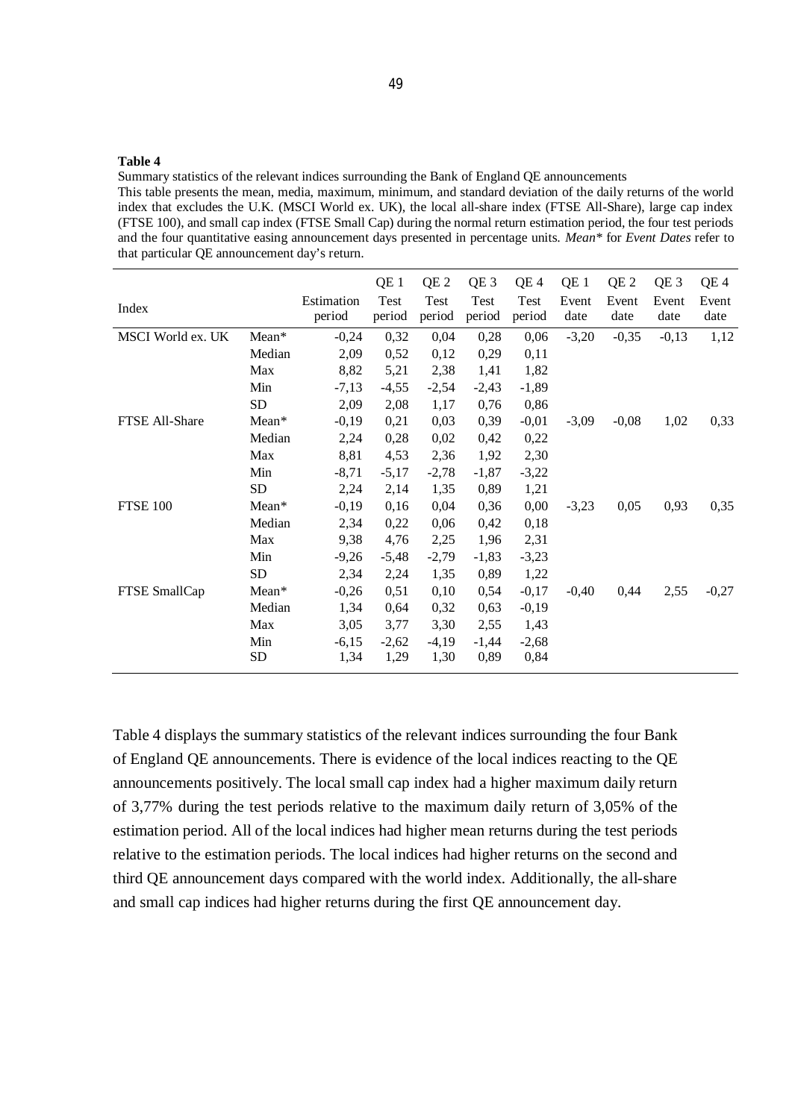Summary statistics of the relevant indices surrounding the Bank of England QE announcements

This table presents the mean, media, maximum, minimum, and standard deviation of the daily returns of the world index that excludes the U.K. (MSCI World ex. UK), the local all-share index (FTSE All-Share), large cap index (FTSE 100), and small cap index (FTSE Small Cap) during the normal return estimation period, the four test periods and the four quantitative easing announcement days presented in percentage units. *Mean\** for *Event Dates* refer to that particular QE announcement day's return.

|                       |           |                      | QE 1           | QE <sub>2</sub> | QE <sub>3</sub> | QE <sub>4</sub> | QE 1          | QE <sub>2</sub> | QE <sub>3</sub> | QE 4          |
|-----------------------|-----------|----------------------|----------------|-----------------|-----------------|-----------------|---------------|-----------------|-----------------|---------------|
| Index                 |           | Estimation<br>period | Test<br>period | Test<br>period  | Test<br>period  | Test<br>period  | Event<br>date | Event<br>date   | Event<br>date   | Event<br>date |
| MSCI World ex. UK     | Mean*     | $-0,24$              | 0,32           | 0,04            | 0,28            | 0,06            | $-3,20$       | $-0,35$         | $-0,13$         | 1,12          |
|                       | Median    | 2,09                 | 0,52           | 0,12            | 0,29            | 0,11            |               |                 |                 |               |
|                       | Max       | 8,82                 | 5,21           | 2,38            | 1,41            | 1,82            |               |                 |                 |               |
|                       | Min       | $-7,13$              | $-4,55$        | $-2,54$         | $-2,43$         | $-1,89$         |               |                 |                 |               |
|                       | <b>SD</b> | 2,09                 | 2,08           | 1,17            | 0,76            | 0,86            |               |                 |                 |               |
| <b>FTSE All-Share</b> | Mean*     | $-0,19$              | 0,21           | 0,03            | 0,39            | $-0,01$         | $-3,09$       | $-0,08$         | 1,02            | 0,33          |
|                       | Median    | 2,24                 | 0,28           | 0,02            | 0,42            | 0,22            |               |                 |                 |               |
|                       | Max       | 8,81                 | 4,53           | 2,36            | 1,92            | 2,30            |               |                 |                 |               |
|                       | Min       | $-8,71$              | $-5,17$        | $-2,78$         | $-1,87$         | $-3,22$         |               |                 |                 |               |
|                       | <b>SD</b> | 2,24                 | 2,14           | 1,35            | 0,89            | 1,21            |               |                 |                 |               |
| <b>FTSE 100</b>       | Mean*     | $-0,19$              | 0,16           | 0,04            | 0,36            | 0,00            | $-3,23$       | 0,05            | 0,93            | 0,35          |
|                       | Median    | 2,34                 | 0,22           | 0,06            | 0,42            | 0,18            |               |                 |                 |               |
|                       | Max       | 9,38                 | 4,76           | 2,25            | 1,96            | 2,31            |               |                 |                 |               |
|                       | Min       | $-9,26$              | $-5,48$        | $-2,79$         | $-1,83$         | $-3,23$         |               |                 |                 |               |
|                       | SD        | 2,34                 | 2,24           | 1,35            | 0,89            | 1,22            |               |                 |                 |               |
| FTSE SmallCap         | Mean*     | $-0,26$              | 0,51           | 0,10            | 0,54            | $-0,17$         | $-0,40$       | 0,44            | 2,55            | $-0,27$       |
|                       | Median    | 1,34                 | 0,64           | 0,32            | 0,63            | $-0,19$         |               |                 |                 |               |
|                       | Max       | 3,05                 | 3,77           | 3,30            | 2,55            | 1,43            |               |                 |                 |               |
|                       | Min       | $-6,15$              | $-2,62$        | $-4,19$         | $-1,44$         | $-2,68$         |               |                 |                 |               |
|                       | <b>SD</b> | 1,34                 | 1,29           | 1,30            | 0,89            | 0,84            |               |                 |                 |               |
|                       |           |                      |                |                 |                 |                 |               |                 |                 |               |

Table 4 displays the summary statistics of the relevant indices surrounding the four Bank of England QE announcements. There is evidence of the local indices reacting to the QE announcements positively. The local small cap index had a higher maximum daily return of 3,77% during the test periods relative to the maximum daily return of 3,05% of the estimation period. All of the local indices had higher mean returns during the test periods relative to the estimation periods. The local indices had higher returns on the second and third QE announcement days compared with the world index. Additionally, the all-share and small cap indices had higher returns during the first QE announcement day.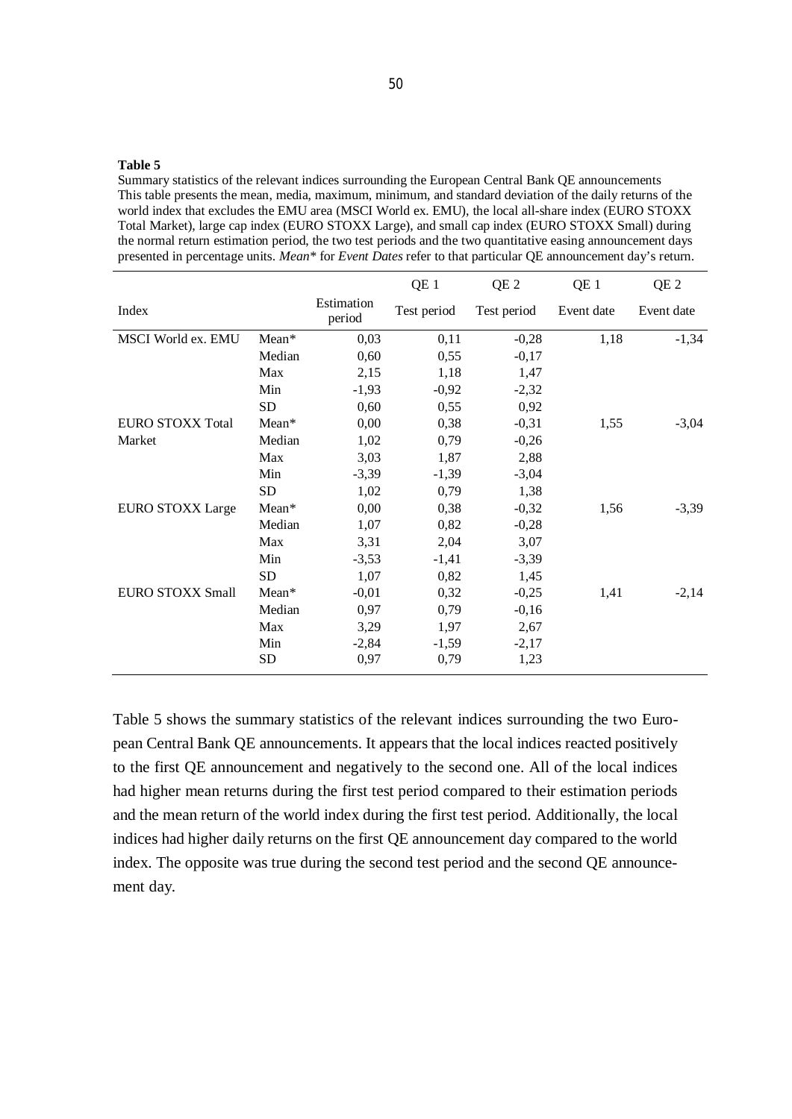Summary statistics of the relevant indices surrounding the European Central Bank QE announcements This table presents the mean, media, maximum, minimum, and standard deviation of the daily returns of the world index that excludes the EMU area (MSCI World ex. EMU), the local all-share index (EURO STOXX Total Market), large cap index (EURO STOXX Large), and small cap index (EURO STOXX Small) during the normal return estimation period, the two test periods and the two quantitative easing announcement days presented in percentage units. *Mean\** for *Event Dates* refer to that particular QE announcement day's return.

| Estimation<br>Index<br>Test period<br>Test period<br>Event date<br>Event date<br>period<br>0,03<br>MSCI World ex. EMU<br>$Mean*$<br>0,11<br>$-0,28$<br>1,18<br>Median<br>0,60<br>0,55<br>$-0,17$<br>Max<br>2,15<br>1,18<br>1,47<br>Min<br>$-0,92$<br>$-1,93$<br>$-2,32$<br>0,92<br><b>SD</b><br>0,60<br>0,55<br>Mean*<br>0,00<br><b>EURO STOXX Total</b><br>0,38<br>$-0,31$<br>1,55<br>Median<br>1,02<br>0,79<br>$-0,26$<br>Market<br>Max<br>3,03<br>1,87<br>2,88<br>Min<br>$-3,04$<br>$-3,39$<br>$-1,39$<br><b>SD</b><br>1,02<br>0,79<br>1,38<br><b>EURO STOXX Large</b><br>Mean*<br>0,00<br>0,38<br>$-0,32$<br>1,56<br>Median<br>1,07<br>0,82<br>$-0,28$<br>3,31<br>2,04<br>Max<br>3,07<br>Min<br>$-3,39$<br>$-3,53$<br>$-1,41$<br><b>SD</b><br>1,07<br>0,82<br>1,45<br><b>EURO STOXX Small</b><br>Mean*<br>$-0,01$<br>0,32<br>$-0,25$<br>$-2,14$<br>1,41<br>Median<br>0,97<br>0,79<br>$-0,16$ |  |     |      | QE 1 | QE <sub>2</sub> | QE 1 | QE <sub>2</sub> |
|--------------------------------------------------------------------------------------------------------------------------------------------------------------------------------------------------------------------------------------------------------------------------------------------------------------------------------------------------------------------------------------------------------------------------------------------------------------------------------------------------------------------------------------------------------------------------------------------------------------------------------------------------------------------------------------------------------------------------------------------------------------------------------------------------------------------------------------------------------------------------------------------------|--|-----|------|------|-----------------|------|-----------------|
|                                                                                                                                                                                                                                                                                                                                                                                                                                                                                                                                                                                                                                                                                                                                                                                                                                                                                                  |  |     |      |      |                 |      |                 |
|                                                                                                                                                                                                                                                                                                                                                                                                                                                                                                                                                                                                                                                                                                                                                                                                                                                                                                  |  |     |      |      |                 |      | $-1,34$         |
|                                                                                                                                                                                                                                                                                                                                                                                                                                                                                                                                                                                                                                                                                                                                                                                                                                                                                                  |  |     |      |      |                 |      |                 |
|                                                                                                                                                                                                                                                                                                                                                                                                                                                                                                                                                                                                                                                                                                                                                                                                                                                                                                  |  |     |      |      |                 |      |                 |
|                                                                                                                                                                                                                                                                                                                                                                                                                                                                                                                                                                                                                                                                                                                                                                                                                                                                                                  |  |     |      |      |                 |      |                 |
|                                                                                                                                                                                                                                                                                                                                                                                                                                                                                                                                                                                                                                                                                                                                                                                                                                                                                                  |  |     |      |      |                 |      |                 |
|                                                                                                                                                                                                                                                                                                                                                                                                                                                                                                                                                                                                                                                                                                                                                                                                                                                                                                  |  |     |      |      |                 |      | $-3,04$         |
|                                                                                                                                                                                                                                                                                                                                                                                                                                                                                                                                                                                                                                                                                                                                                                                                                                                                                                  |  |     |      |      |                 |      |                 |
|                                                                                                                                                                                                                                                                                                                                                                                                                                                                                                                                                                                                                                                                                                                                                                                                                                                                                                  |  |     |      |      |                 |      |                 |
|                                                                                                                                                                                                                                                                                                                                                                                                                                                                                                                                                                                                                                                                                                                                                                                                                                                                                                  |  |     |      |      |                 |      |                 |
|                                                                                                                                                                                                                                                                                                                                                                                                                                                                                                                                                                                                                                                                                                                                                                                                                                                                                                  |  |     |      |      |                 |      |                 |
|                                                                                                                                                                                                                                                                                                                                                                                                                                                                                                                                                                                                                                                                                                                                                                                                                                                                                                  |  |     |      |      |                 |      | $-3,39$         |
|                                                                                                                                                                                                                                                                                                                                                                                                                                                                                                                                                                                                                                                                                                                                                                                                                                                                                                  |  |     |      |      |                 |      |                 |
|                                                                                                                                                                                                                                                                                                                                                                                                                                                                                                                                                                                                                                                                                                                                                                                                                                                                                                  |  |     |      |      |                 |      |                 |
|                                                                                                                                                                                                                                                                                                                                                                                                                                                                                                                                                                                                                                                                                                                                                                                                                                                                                                  |  |     |      |      |                 |      |                 |
|                                                                                                                                                                                                                                                                                                                                                                                                                                                                                                                                                                                                                                                                                                                                                                                                                                                                                                  |  |     |      |      |                 |      |                 |
|                                                                                                                                                                                                                                                                                                                                                                                                                                                                                                                                                                                                                                                                                                                                                                                                                                                                                                  |  |     |      |      |                 |      |                 |
|                                                                                                                                                                                                                                                                                                                                                                                                                                                                                                                                                                                                                                                                                                                                                                                                                                                                                                  |  |     |      |      |                 |      |                 |
|                                                                                                                                                                                                                                                                                                                                                                                                                                                                                                                                                                                                                                                                                                                                                                                                                                                                                                  |  | Max | 3,29 | 1,97 | 2,67            |      |                 |
| Min<br>$-2,84$<br>$-1,59$<br>$-2,17$                                                                                                                                                                                                                                                                                                                                                                                                                                                                                                                                                                                                                                                                                                                                                                                                                                                             |  |     |      |      |                 |      |                 |
| <b>SD</b><br>0,97<br>0,79<br>1,23                                                                                                                                                                                                                                                                                                                                                                                                                                                                                                                                                                                                                                                                                                                                                                                                                                                                |  |     |      |      |                 |      |                 |

Table 5 shows the summary statistics of the relevant indices surrounding the two European Central Bank QE announcements. It appears that the local indices reacted positively to the first QE announcement and negatively to the second one. All of the local indices had higher mean returns during the first test period compared to their estimation periods and the mean return of the world index during the first test period. Additionally, the local indices had higher daily returns on the first QE announcement day compared to the world index. The opposite was true during the second test period and the second QE announcement day.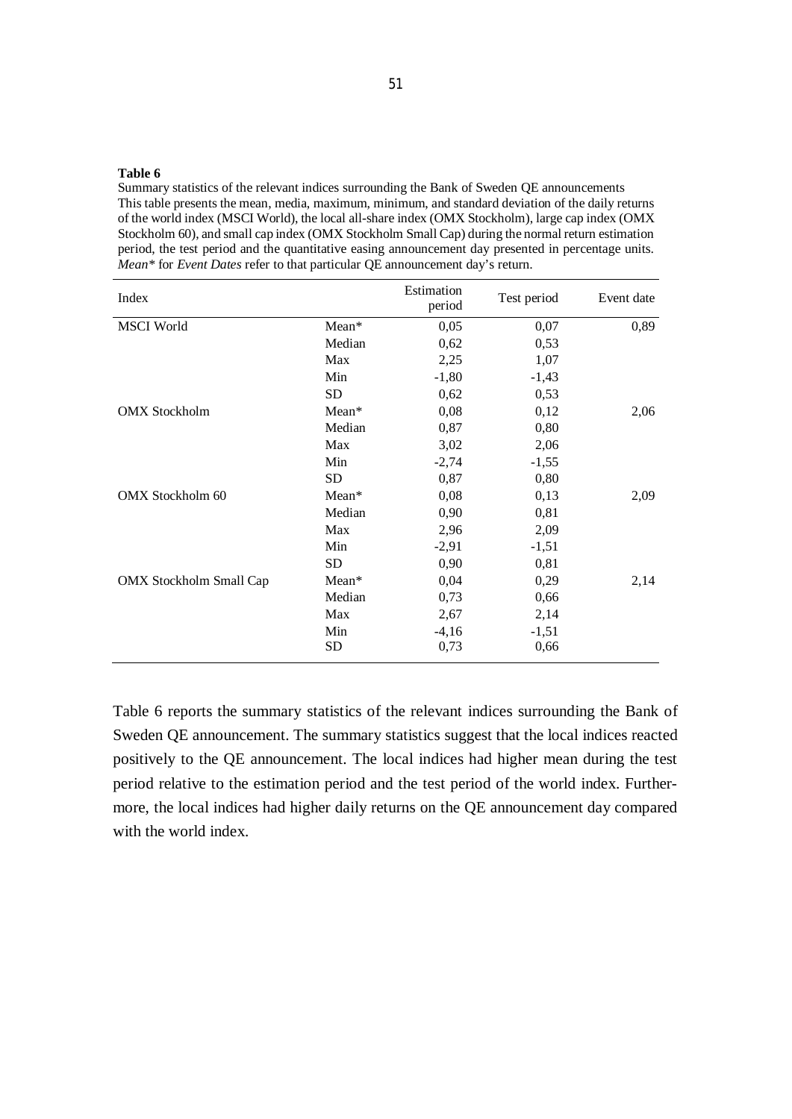Summary statistics of the relevant indices surrounding the Bank of Sweden QE announcements This table presents the mean, media, maximum, minimum, and standard deviation of the daily returns of the world index (MSCI World), the local all-share index (OMX Stockholm), large cap index (OMX Stockholm 60), and small cap index (OMX Stockholm Small Cap) during the normal return estimation period, the test period and the quantitative easing announcement day presented in percentage units. *Mean\** for *Event Dates* refer to that particular QE announcement day's return.

| Index                          |           | Estimation<br>period | Test period | Event date |
|--------------------------------|-----------|----------------------|-------------|------------|
| <b>MSCI</b> World              | Mean*     | 0,05                 | 0,07        | 0,89       |
|                                | Median    | 0,62                 | 0,53        |            |
|                                | Max       | 2,25                 | 1,07        |            |
|                                | Min       | $-1,80$              | $-1,43$     |            |
|                                | <b>SD</b> | 0,62                 | 0,53        |            |
| <b>OMX</b> Stockholm           | Mean*     | 0,08                 | 0,12        | 2,06       |
|                                | Median    | 0,87                 | 0,80        |            |
|                                | Max       | 3,02                 | 2,06        |            |
|                                | Min       | $-2,74$              | $-1,55$     |            |
|                                | <b>SD</b> | 0,87                 | 0,80        |            |
| <b>OMX</b> Stockholm 60        | Mean*     | 0,08                 | 0,13        | 2,09       |
|                                | Median    | 0,90                 | 0,81        |            |
|                                | Max       | 2,96                 | 2,09        |            |
|                                | Min       | $-2,91$              | $-1,51$     |            |
|                                | <b>SD</b> | 0,90                 | 0,81        |            |
| <b>OMX Stockholm Small Cap</b> | Mean*     | 0,04                 | 0,29        | 2,14       |
|                                | Median    | 0,73                 | 0,66        |            |
|                                | Max       | 2,67                 | 2,14        |            |
|                                | Min       | $-4,16$              | $-1,51$     |            |
|                                | <b>SD</b> | 0,73                 | 0,66        |            |

Table 6 reports the summary statistics of the relevant indices surrounding the Bank of Sweden QE announcement. The summary statistics suggest that the local indices reacted positively to the QE announcement. The local indices had higher mean during the test period relative to the estimation period and the test period of the world index. Furthermore, the local indices had higher daily returns on the QE announcement day compared with the world index.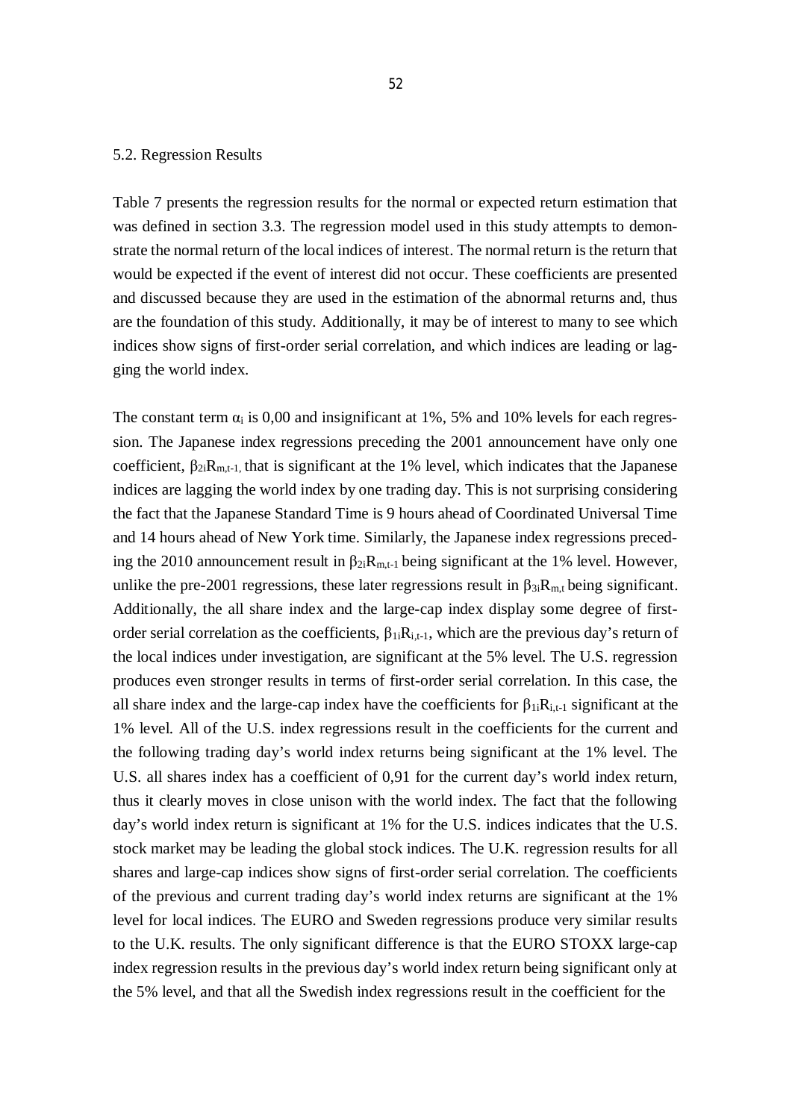### 5.2. Regression Results

Table 7 presents the regression results for the normal or expected return estimation that was defined in section 3.3. The regression model used in this study attempts to demonstrate the normal return of the local indices of interest. The normal return is the return that would be expected if the event of interest did not occur. These coefficients are presented and discussed because they are used in the estimation of the abnormal returns and, thus are the foundation of this study. Additionally, it may be of interest to many to see which indices show signs of first-order serial correlation, and which indices are leading or lagging the world index.

The constant term  $\alpha_i$  is 0,00 and insignificant at 1%, 5% and 10% levels for each regression. The Japanese index regressions preceding the 2001 announcement have only one coefficient,  $\beta_{2i}R_{m,t-1}$ , that is significant at the 1% level, which indicates that the Japanese indices are lagging the world index by one trading day. This is not surprising considering the fact that the Japanese Standard Time is 9 hours ahead of Coordinated Universal Time and 14 hours ahead of New York time. Similarly, the Japanese index regressions preceding the 2010 announcement result in  $\beta_{2i}R_{m,t-1}$  being significant at the 1% level. However, unlike the pre-2001 regressions, these later regressions result in  $\beta_{3i}R_{m,t}$  being significant. Additionally, the all share index and the large-cap index display some degree of firstorder serial correlation as the coefficients,  $\beta_{1i}R_{i,t-1}$ , which are the previous day's return of the local indices under investigation, are significant at the 5% level. The U.S. regression produces even stronger results in terms of first-order serial correlation. In this case, the all share index and the large-cap index have the coefficients for  $\beta_{1i}R_{i,t-1}$  significant at the 1% level. All of the U.S. index regressions result in the coefficients for the current and the following trading day's world index returns being significant at the 1% level. The U.S. all shares index has a coefficient of 0,91 for the current day's world index return, thus it clearly moves in close unison with the world index. The fact that the following day's world index return is significant at 1% for the U.S. indices indicates that the U.S. stock market may be leading the global stock indices. The U.K. regression results for all shares and large-cap indices show signs of first-order serial correlation. The coefficients of the previous and current trading day's world index returns are significant at the 1% level for local indices. The EURO and Sweden regressions produce very similar results to the U.K. results. The only significant difference is that the EURO STOXX large-cap index regression results in the previous day's world index return being significant only at the 5% level, and that all the Swedish index regressions result in the coefficient for the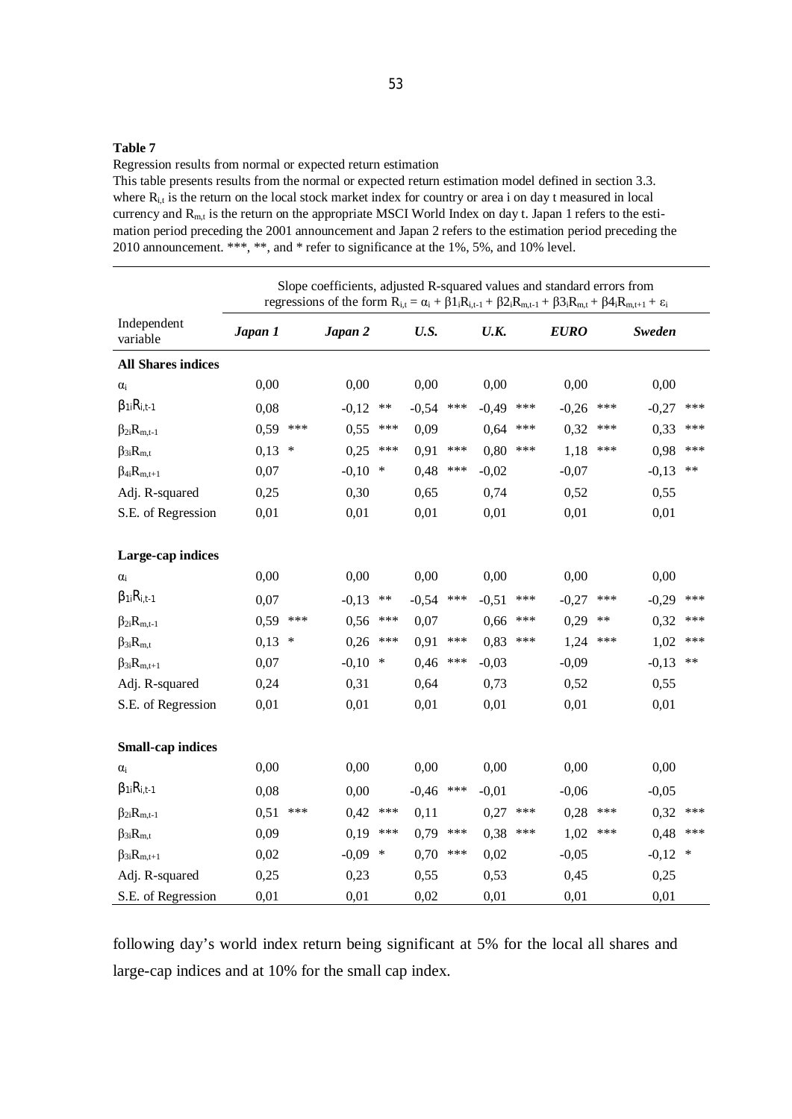Regression results from normal or expected return estimation

This table presents results from the normal or expected return estimation model defined in section 3.3. where R<sub>i,t</sub> is the return on the local stock market index for country or area i on day t measured in local currency and R<sub>m,t</sub> is the return on the appropriate MSCI World Index on day t. Japan 1 refers to the estimation period preceding the 2001 announcement and Japan 2 refers to the estimation period preceding the 2010 announcement. \*\*\*, \*\*, and \* refer to significance at the 1%, 5%, and 10% level.

|                           | Slope coefficients, adjusted R-squared values and standard errors from<br>regressions of the form $R_{i,t} = \alpha_i + \beta 1_i R_{i,t-1} + \beta 2_i R_{m,t-1} + \beta 3_i R_{m,t} + \beta 4_i R_{m,t+1} + \varepsilon_i$ |       |         |        |         |     |         |     |             |       |               |        |  |
|---------------------------|------------------------------------------------------------------------------------------------------------------------------------------------------------------------------------------------------------------------------|-------|---------|--------|---------|-----|---------|-----|-------------|-------|---------------|--------|--|
| Independent<br>variable   | Japan 1                                                                                                                                                                                                                      |       | Japan 2 |        | U.S.    |     | U.K.    |     | <b>EURO</b> |       | <b>Sweden</b> |        |  |
| <b>All Shares indices</b> |                                                                                                                                                                                                                              |       |         |        |         |     |         |     |             |       |               |        |  |
| $\alpha_i$                | 0,00                                                                                                                                                                                                                         |       | 0,00    |        | 0,00    |     | 0,00    |     | 0,00        |       | 0,00          |        |  |
| $\beta_{1i}R_{i,t-1}$     | 0,08                                                                                                                                                                                                                         |       | $-0,12$ | $***$  | $-0,54$ | *** | $-0,49$ | *** | $-0,26$     | ***   | $-0,27$       | ***    |  |
| $\beta_{2i}R_{m,t-1}$     | 0,59                                                                                                                                                                                                                         | $***$ | 0,55    | ***    | 0,09    |     | 0,64    | *** | 0,32        | ***   | 0,33          | ***    |  |
| $\beta_{3i}R_{m,t}$       | 0,13                                                                                                                                                                                                                         | ∗     | 0,25    | ***    | 0,91    | *** | 0,80    | *** | 1,18        | ***   | 0,98          | ***    |  |
| $\beta_{4i}R_{m,t+1}$     | 0,07                                                                                                                                                                                                                         |       | $-0,10$ | ∗      | 0,48    | *** | $-0,02$ |     | $-0,07$     |       | $-0,13$       | $**$   |  |
| Adj. R-squared            | 0,25                                                                                                                                                                                                                         |       | 0,30    |        | 0,65    |     | 0,74    |     | 0,52        |       | 0,55          |        |  |
| S.E. of Regression        | 0,01                                                                                                                                                                                                                         |       | 0,01    |        | 0,01    |     | 0,01    |     | 0,01        |       | 0,01          |        |  |
| Large-cap indices         |                                                                                                                                                                                                                              |       |         |        |         |     |         |     |             |       |               |        |  |
| $\alpha_i$                | 0,00                                                                                                                                                                                                                         |       | 0,00    |        | 0,00    |     | 0,00    |     | 0,00        |       | 0,00          |        |  |
| $\beta_{1i}R_{i,t-1}$     | 0,07                                                                                                                                                                                                                         |       | $-0,13$ | $***$  | $-0,54$ | *** | $-0,51$ | *** | $-0,27$     | ***   | $-0,29$       | ***    |  |
| $\beta_{2i}R_{m,t-1}$     | 0,59                                                                                                                                                                                                                         | $***$ | 0,56    | ***    | 0,07    |     | 0,66    | *** | 0,29        | $***$ | 0,32          | ***    |  |
| $\beta_{3i}R_{m,t}$       | 0,13                                                                                                                                                                                                                         | ∗     | 0,26    | ***    | 0,91    | *** | 0,83    | *** | 1,24        | ***   | 1,02          | ***    |  |
| $\beta_{3i}R_{m,t+1}$     | 0,07                                                                                                                                                                                                                         |       | $-0,10$ | $\ast$ | 0,46    | *** | $-0,03$ |     | $-0,09$     |       | $-0,13$       | $**$   |  |
| Adj. R-squared            | 0,24                                                                                                                                                                                                                         |       | 0,31    |        | 0,64    |     | 0,73    |     | 0,52        |       | 0,55          |        |  |
| S.E. of Regression        | 0,01                                                                                                                                                                                                                         |       | 0,01    |        | 0,01    |     | 0,01    |     | 0,01        |       | 0,01          |        |  |
| <b>Small-cap indices</b>  |                                                                                                                                                                                                                              |       |         |        |         |     |         |     |             |       |               |        |  |
| $\alpha_i$                | 0,00                                                                                                                                                                                                                         |       | 0,00    |        | 0,00    |     | 0,00    |     | 0,00        |       | 0,00          |        |  |
| $\beta_{1i}R_{i,t-1}$     | 0,08                                                                                                                                                                                                                         |       | 0,00    |        | $-0,46$ | *** | $-0,01$ |     | $-0,06$     |       | $-0,05$       |        |  |
| $\beta_{2i}R_{m,t-1}$     | 0,51                                                                                                                                                                                                                         | ***   | 0,42    | ***    | 0,11    |     | 0,27    | *** | 0,28        | ***   | 0,32          | ***    |  |
| $\beta_{3i}R_{m,t}$       | 0,09                                                                                                                                                                                                                         |       | 0,19    | ***    | 0,79    | *** | 0,38    | *** | 1,02        | ***   | 0,48          | ***    |  |
| $\beta_{3i}R_{m,t+1}$     | 0,02                                                                                                                                                                                                                         |       | $-0,09$ | ∗      | 0,70    | *** | 0,02    |     | $-0,05$     |       | $-0,12$       | $\ast$ |  |
| Adj. R-squared            | 0,25                                                                                                                                                                                                                         |       | 0,23    |        | 0,55    |     | 0,53    |     | 0,45        |       | 0,25          |        |  |
| S.E. of Regression        | 0,01                                                                                                                                                                                                                         |       | 0,01    |        | 0,02    |     | 0,01    |     | 0,01        |       | 0,01          |        |  |

following day's world index return being significant at 5% for the local all shares and large-cap indices and at 10% for the small cap index.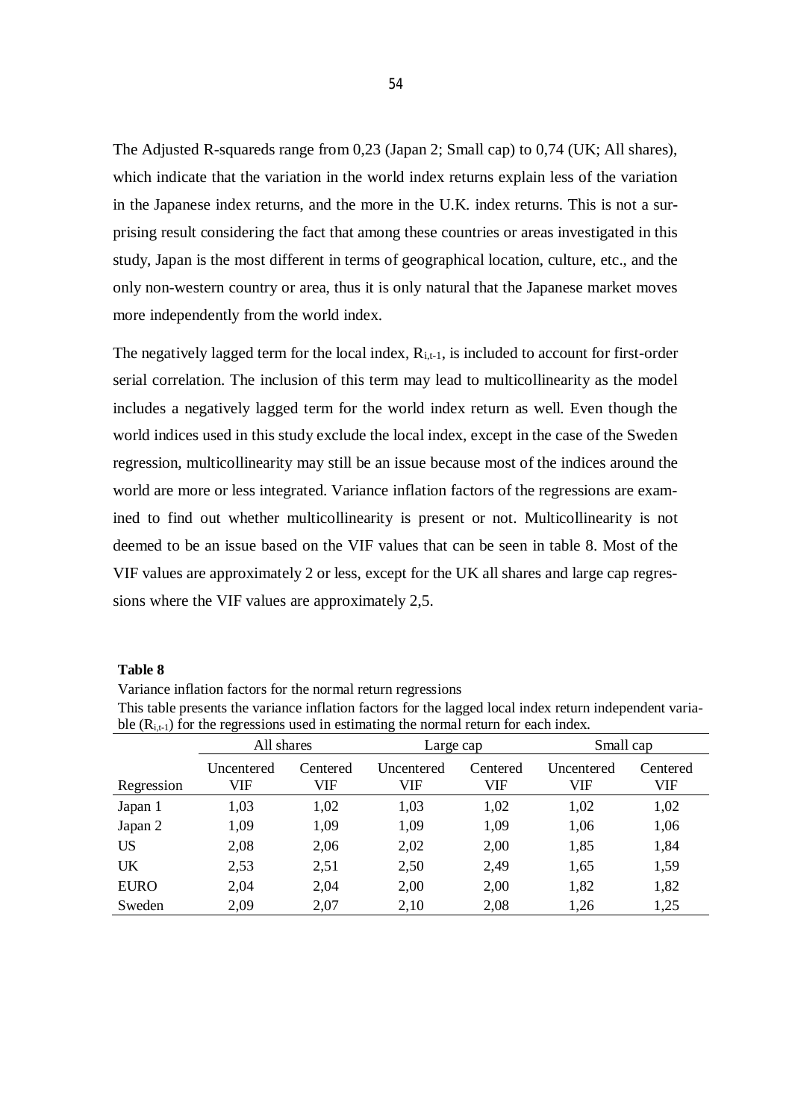The Adjusted R-squareds range from 0,23 (Japan 2; Small cap) to 0,74 (UK; All shares), which indicate that the variation in the world index returns explain less of the variation in the Japanese index returns, and the more in the U.K. index returns. This is not a surprising result considering the fact that among these countries or areas investigated in this study, Japan is the most different in terms of geographical location, culture, etc., and the only non-western country or area, thus it is only natural that the Japanese market moves more independently from the world index.

The negatively lagged term for the local index,  $R_{i,t-1}$ , is included to account for first-order serial correlation. The inclusion of this term may lead to multicollinearity as the model includes a negatively lagged term for the world index return as well. Even though the world indices used in this study exclude the local index, except in the case of the Sweden regression, multicollinearity may still be an issue because most of the indices around the world are more or less integrated. Variance inflation factors of the regressions are examined to find out whether multicollinearity is present or not. Multicollinearity is not deemed to be an issue based on the VIF values that can be seen in table 8. Most of the VIF values are approximately 2 or less, except for the UK all shares and large cap regressions where the VIF values are approximately 2,5.

## **Table 8**

Variance inflation factors for the normal return regressions

|             | ore (Fell-1) For the regressions ased in estimating the norman retain for each match. |                 |                   |                 |                   |                 |  |  |  |  |  |  |
|-------------|---------------------------------------------------------------------------------------|-----------------|-------------------|-----------------|-------------------|-----------------|--|--|--|--|--|--|
|             | All shares                                                                            |                 | Large cap         |                 | Small cap         |                 |  |  |  |  |  |  |
| Regression  | Uncentered<br>VIF                                                                     | Centered<br>VIF | Uncentered<br>VIF | Centered<br>VIF | Uncentered<br>VIF | Centered<br>VIF |  |  |  |  |  |  |
| Japan 1     | 1,03                                                                                  | 1,02            | 1,03              | 1,02            | 1,02              | 1,02            |  |  |  |  |  |  |
| Japan 2     | 1,09                                                                                  | 1,09            | 1,09              | 1,09            | 1,06              | 1,06            |  |  |  |  |  |  |
| <b>US</b>   | 2,08                                                                                  | 2,06            | 2,02              | 2,00            | 1,85              | 1,84            |  |  |  |  |  |  |
| UK          | 2,53                                                                                  | 2,51            | 2,50              | 2,49            | 1,65              | 1,59            |  |  |  |  |  |  |
| <b>EURO</b> | 2,04                                                                                  | 2,04            | 2,00              | 2,00            | 1,82              | 1,82            |  |  |  |  |  |  |
| Sweden      | 2,09                                                                                  | 2,07            | 2,10              | 2,08            | 1,26              | 1,25            |  |  |  |  |  |  |

This table presents the variance inflation factors for the lagged local index return independent variable  $(R_{i+1})$  for the regressions used in estimating the normal return for each index.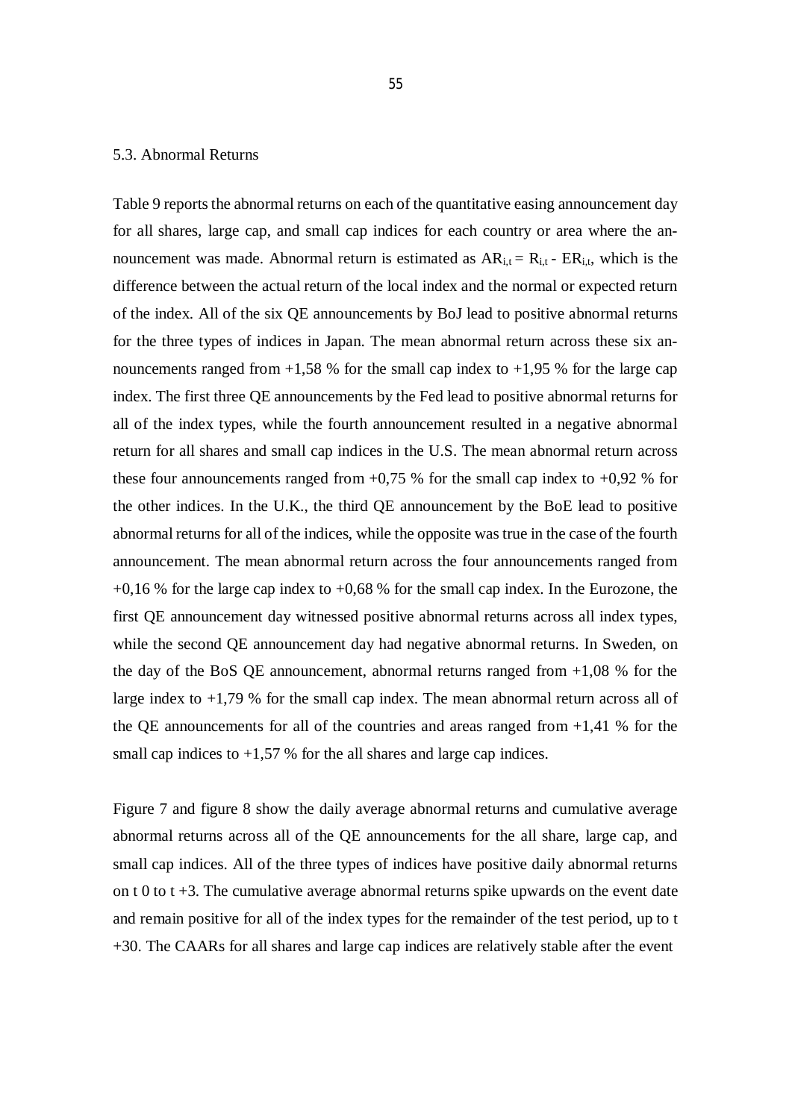## 5.3. Abnormal Returns

Table 9 reports the abnormal returns on each of the quantitative easing announcement day for all shares, large cap, and small cap indices for each country or area where the announcement was made. Abnormal return is estimated as  $AR_{i,t} = R_{i,t}$  -  $ER_{i,t}$ , which is the difference between the actual return of the local index and the normal or expected return of the index. All of the six QE announcements by BoJ lead to positive abnormal returns for the three types of indices in Japan. The mean abnormal return across these six announcements ranged from  $+1,58$  % for the small cap index to  $+1,95$  % for the large cap index. The first three QE announcements by the Fed lead to positive abnormal returns for all of the index types, while the fourth announcement resulted in a negative abnormal return for all shares and small cap indices in the U.S. The mean abnormal return across these four announcements ranged from  $+0.75$  % for the small cap index to  $+0.92$  % for the other indices. In the U.K., the third QE announcement by the BoE lead to positive abnormal returns for all of the indices, while the opposite was true in the case of the fourth announcement. The mean abnormal return across the four announcements ranged from  $+0.16$  % for the large cap index to  $+0.68$  % for the small cap index. In the Eurozone, the first QE announcement day witnessed positive abnormal returns across all index types, while the second QE announcement day had negative abnormal returns. In Sweden, on the day of the BoS QE announcement, abnormal returns ranged from  $+1,08$  % for the large index to +1,79 % for the small cap index. The mean abnormal return across all of the QE announcements for all of the countries and areas ranged from  $+1,41$  % for the small cap indices to  $+1,57$  % for the all shares and large cap indices.

Figure 7 and figure 8 show the daily average abnormal returns and cumulative average abnormal returns across all of the QE announcements for the all share, large cap, and small cap indices. All of the three types of indices have positive daily abnormal returns on t 0 to  $t +3$ . The cumulative average abnormal returns spike upwards on the event date and remain positive for all of the index types for the remainder of the test period, up to t +30. The CAARs for all shares and large cap indices are relatively stable after the event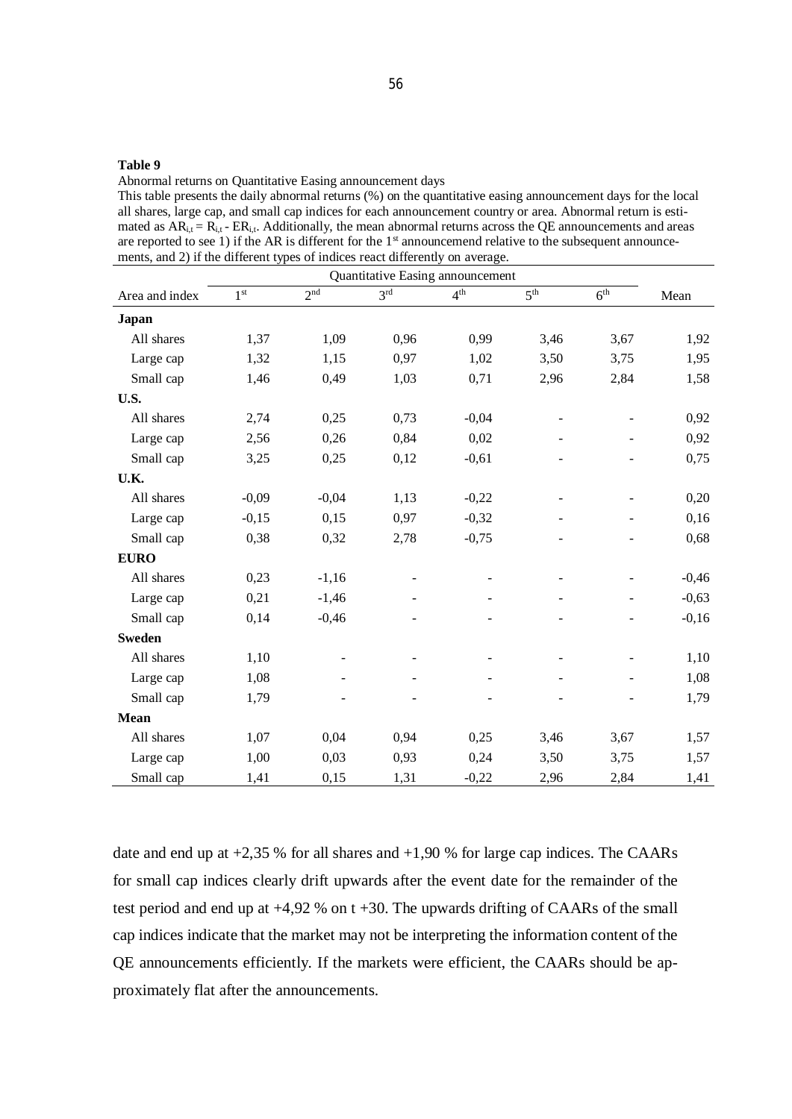Abnormal returns on Quantitative Easing announcement days

This table presents the daily abnormal returns (%) on the quantitative easing announcement days for the local all shares, large cap, and small cap indices for each announcement country or area. Abnormal return is estimated as  $AR_{i,t} = R_{i,t}$ .  $ER_{i,t}$ . Additionally, the mean abnormal returns across the QE announcements and areas are reported to see 1) if the AR is different for the 1<sup>st</sup> announcemend relative to the subsequent announcements, and 2) if the different types of indices react differently on average.

|                | Quantitative Easing announcement |                 |                 |                 |                          |                          |         |  |  |  |
|----------------|----------------------------------|-----------------|-----------------|-----------------|--------------------------|--------------------------|---------|--|--|--|
| Area and index | 1 <sup>st</sup>                  | 2 <sup>nd</sup> | 3 <sup>rd</sup> | 4 <sup>th</sup> | 5 <sup>th</sup>          | 6 <sup>th</sup>          | Mean    |  |  |  |
| Japan          |                                  |                 |                 |                 |                          |                          |         |  |  |  |
| All shares     | 1,37                             | 1,09            | 0,96            | 0,99            | 3,46                     | 3,67                     | 1,92    |  |  |  |
| Large cap      | 1,32                             | 1,15            | 0,97            | 1,02            | 3,50                     | 3,75                     | 1,95    |  |  |  |
| Small cap      | 1,46                             | 0,49            | 1,03            | 0,71            | 2,96                     | 2,84                     | 1,58    |  |  |  |
| U.S.           |                                  |                 |                 |                 |                          |                          |         |  |  |  |
| All shares     | 2,74                             | 0,25            | 0,73            | $-0,04$         |                          |                          | 0,92    |  |  |  |
| Large cap      | 2,56                             | 0,26            | 0,84            | 0,02            |                          |                          | 0,92    |  |  |  |
| Small cap      | 3,25                             | 0,25            | 0,12            | $-0,61$         |                          |                          | 0,75    |  |  |  |
| U.K.           |                                  |                 |                 |                 |                          |                          |         |  |  |  |
| All shares     | $-0,09$                          | $-0,04$         | 1,13            | $-0,22$         | $\frac{1}{2}$            | $\overline{\phantom{a}}$ | 0,20    |  |  |  |
| Large cap      | $-0,15$                          | 0,15            | 0,97            | $-0,32$         | $\frac{1}{2}$            | $\blacksquare$           | 0,16    |  |  |  |
| Small cap      | 0,38                             | 0,32            | 2,78            | $-0,75$         |                          |                          | 0,68    |  |  |  |
| <b>EURO</b>    |                                  |                 |                 |                 |                          |                          |         |  |  |  |
| All shares     | 0,23                             | $-1,16$         |                 |                 |                          |                          | $-0,46$ |  |  |  |
| Large cap      | 0,21                             | $-1,46$         |                 |                 |                          |                          | $-0,63$ |  |  |  |
| Small cap      | 0,14                             | $-0,46$         |                 |                 |                          |                          | $-0,16$ |  |  |  |
| <b>Sweden</b>  |                                  |                 |                 |                 |                          |                          |         |  |  |  |
| All shares     | 1,10                             |                 |                 |                 | $\overline{\phantom{a}}$ |                          | 1,10    |  |  |  |
| Large cap      | 1,08                             |                 |                 |                 |                          |                          | 1,08    |  |  |  |
| Small cap      | 1,79                             |                 |                 |                 |                          |                          | 1,79    |  |  |  |
| Mean           |                                  |                 |                 |                 |                          |                          |         |  |  |  |
| All shares     | 1,07                             | 0,04            | 0,94            | 0,25            | 3,46                     | 3,67                     | 1,57    |  |  |  |
| Large cap      | 1,00                             | 0,03            | 0,93            | 0,24            | 3,50                     | 3,75                     | 1,57    |  |  |  |
| Small cap      | 1,41                             | 0,15            | 1,31            | $-0,22$         | 2,96                     | 2,84                     | 1,41    |  |  |  |

date and end up at  $+2,35$  % for all shares and  $+1,90$  % for large cap indices. The CAARs for small cap indices clearly drift upwards after the event date for the remainder of the test period and end up at  $+4,92$  % on t  $+30$ . The upwards drifting of CAARs of the small cap indices indicate that the market may not be interpreting the information content of the QE announcements efficiently. If the markets were efficient, the CAARs should be approximately flat after the announcements.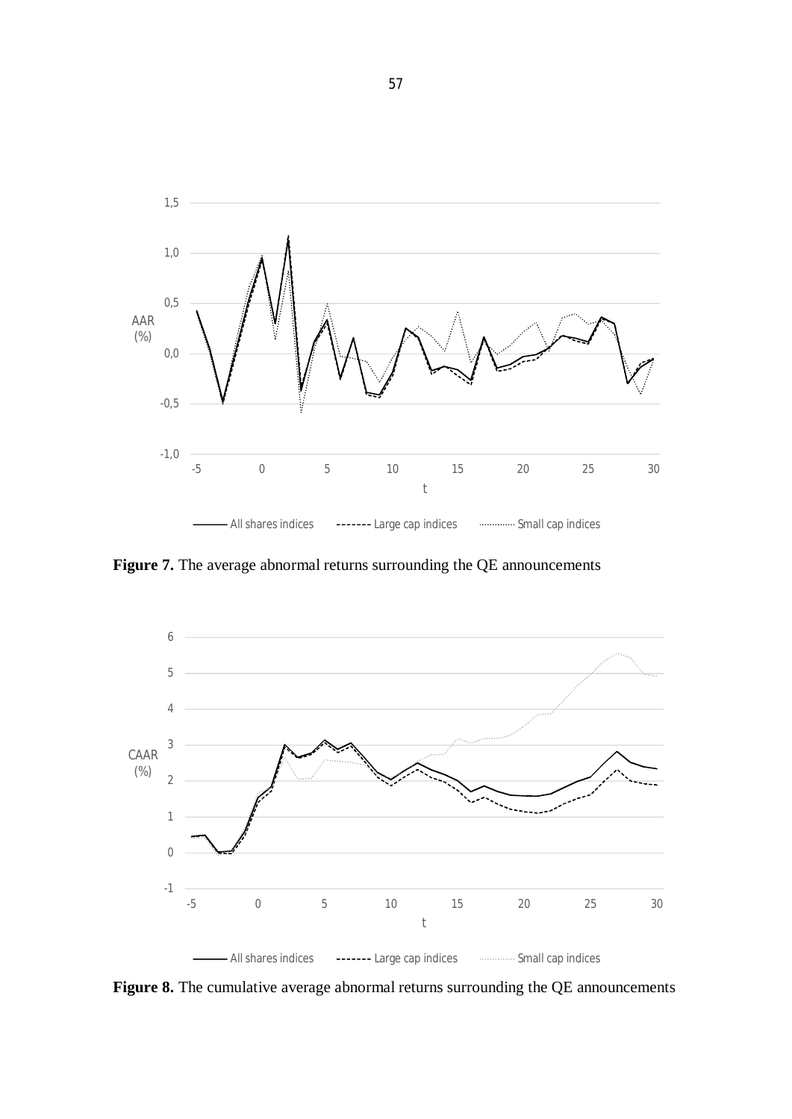

**Figure 7.** The average abnormal returns surrounding the QE announcements



**Figure 8.** The cumulative average abnormal returns surrounding the QE announcements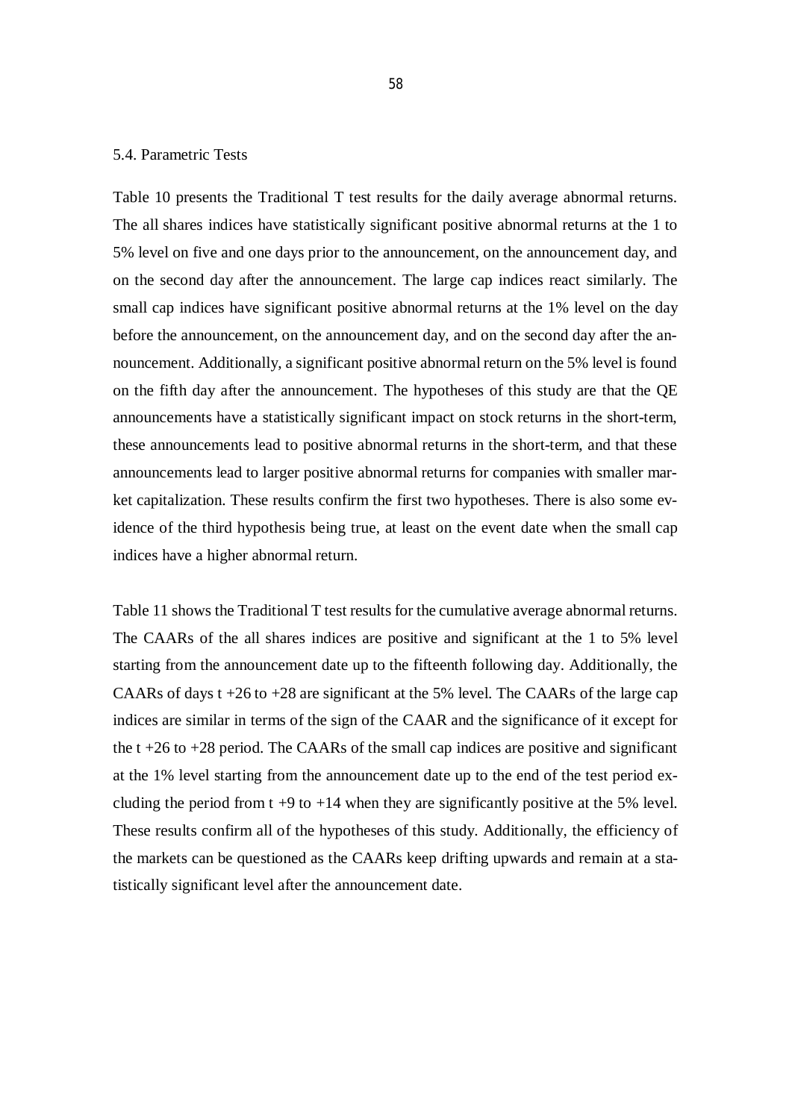# 5.4. Parametric Tests

Table 10 presents the Traditional T test results for the daily average abnormal returns. The all shares indices have statistically significant positive abnormal returns at the 1 to 5% level on five and one days prior to the announcement, on the announcement day, and on the second day after the announcement. The large cap indices react similarly. The small cap indices have significant positive abnormal returns at the 1% level on the day before the announcement, on the announcement day, and on the second day after the announcement. Additionally, a significant positive abnormal return on the 5% level is found on the fifth day after the announcement. The hypotheses of this study are that the QE announcements have a statistically significant impact on stock returns in the short-term, these announcements lead to positive abnormal returns in the short-term, and that these announcements lead to larger positive abnormal returns for companies with smaller market capitalization. These results confirm the first two hypotheses. There is also some evidence of the third hypothesis being true, at least on the event date when the small cap indices have a higher abnormal return.

Table 11 shows the Traditional T test results for the cumulative average abnormal returns. The CAARs of the all shares indices are positive and significant at the 1 to 5% level starting from the announcement date up to the fifteenth following day. Additionally, the CAARs of days  $t + 26$  to  $t + 28$  are significant at the 5% level. The CAARs of the large cap indices are similar in terms of the sign of the CAAR and the significance of it except for the  $t + 26$  to  $t + 28$  period. The CAARs of the small cap indices are positive and significant at the 1% level starting from the announcement date up to the end of the test period excluding the period from  $t +9$  to  $+14$  when they are significantly positive at the 5% level. These results confirm all of the hypotheses of this study. Additionally, the efficiency of the markets can be questioned as the CAARs keep drifting upwards and remain at a statistically significant level after the announcement date.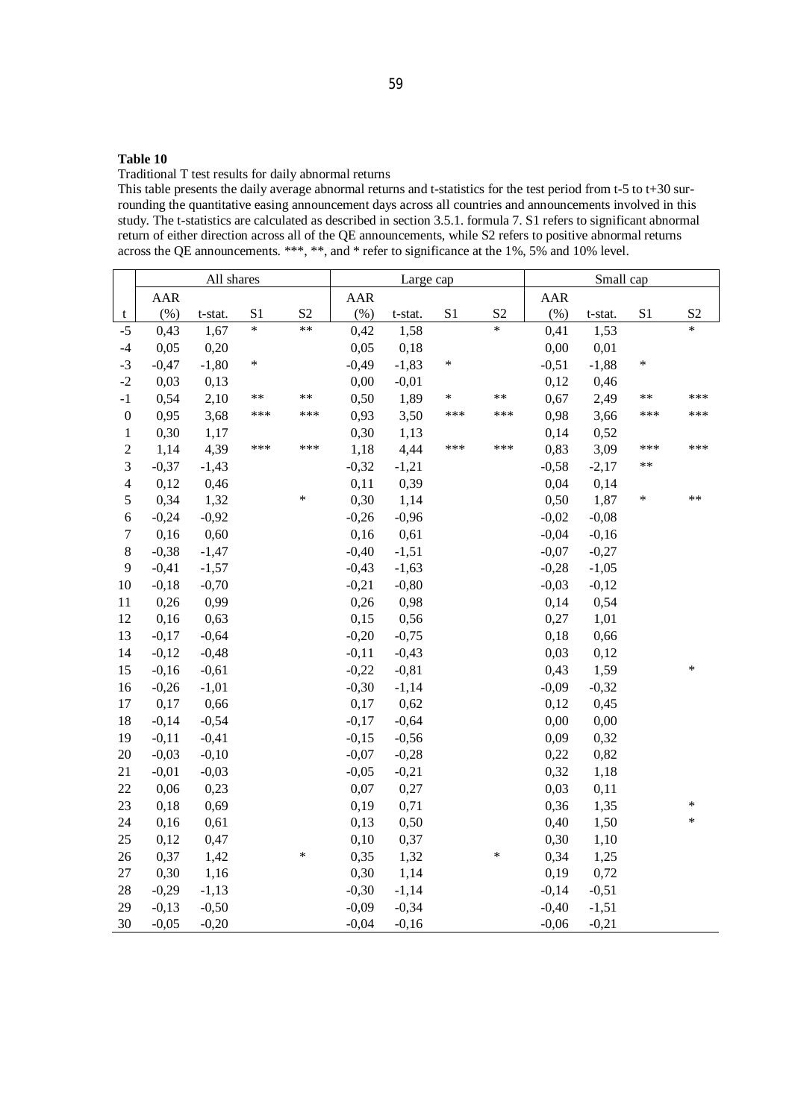Traditional T test results for daily abnormal returns

This table presents the daily average abnormal returns and t-statistics for the test period from t-5 to t+30 surrounding the quantitative easing announcement days across all countries and announcements involved in this study. The t-statistics are calculated as described in section 3.5.1. formula 7. S1 refers to significant abnormal return of either direction across all of the QE announcements, while S2 refers to positive abnormal returns across the QE announcements. \*\*\*, \*\*, and \* refer to significance at the 1%, 5% and 10% level.

|                  | All shares |         |                |                | Large cap  |         |                |                | Small cap  |         |                |                |
|------------------|------------|---------|----------------|----------------|------------|---------|----------------|----------------|------------|---------|----------------|----------------|
|                  | <b>AAR</b> |         |                |                | <b>AAR</b> |         |                |                | <b>AAR</b> |         |                |                |
| t                | $(\%)$     | t-stat. | S <sub>1</sub> | S <sub>2</sub> | $(\%)$     | t-stat. | S <sub>1</sub> | S <sub>2</sub> | (% )       | t-stat. | S <sub>1</sub> | S <sub>2</sub> |
| $-5$             | 0,43       | 1,67    | $\ast$         | $**$           | 0,42       | 1,58    |                | $\ast$         | 0,41       | 1,53    |                | $\ast$         |
| $-4$             | 0,05       | 0,20    |                |                | 0,05       | 0,18    |                |                | 0,00       | 0,01    |                |                |
| $-3$             | $-0,47$    | $-1,80$ | $\ast$         |                | $-0,49$    | $-1,83$ | $\ast$         |                | $-0,51$    | $-1,88$ | $\ast$         |                |
| $-2$             | 0,03       | 0,13    |                |                | 0,00       | $-0,01$ |                |                | 0,12       | 0,46    |                |                |
| $-1$             | 0,54       | 2,10    | $***$          | $\ast\ast$     | 0,50       | 1,89    | $\ast$         | $\ast\ast$     | 0,67       | 2,49    | $***$          | ***            |
| $\boldsymbol{0}$ | 0,95       | 3,68    | ***            | ***            | 0,93       | 3,50    | ***            | ***            | 0,98       | 3,66    | ***            | ***            |
| $\mathbf 1$      | 0,30       | 1,17    |                |                | 0,30       | 1,13    |                |                | 0,14       | 0,52    |                |                |
| $\sqrt{2}$       | 1,14       | 4,39    | ***            | ***            | 1,18       | 4,44    | ***            | ***            | 0,83       | 3,09    | ***            | ***            |
| $\mathfrak{Z}$   | $-0,37$    | $-1,43$ |                |                | $-0,32$    | $-1,21$ |                |                | $-0,58$    | $-2,17$ | **             |                |
| $\overline{4}$   | 0,12       | 0,46    |                |                | 0,11       | 0,39    |                |                | 0,04       | 0,14    |                |                |
| 5                | 0,34       | 1,32    |                | $\ast$         | 0,30       | 1,14    |                |                | 0,50       | 1,87    | $\ast$         | $**$           |
| 6                | $-0,24$    | $-0,92$ |                |                | $-0,26$    | $-0,96$ |                |                | $-0,02$    | $-0,08$ |                |                |
| $\boldsymbol{7}$ | 0,16       | 0,60    |                |                | 0,16       | 0,61    |                |                | $-0,04$    | $-0,16$ |                |                |
| $\bf 8$          | $-0,38$    | $-1,47$ |                |                | $-0,40$    | $-1,51$ |                |                | $-0,07$    | $-0,27$ |                |                |
| 9                | $-0,41$    | $-1,57$ |                |                | $-0,43$    | $-1,63$ |                |                | $-0,28$    | $-1,05$ |                |                |
| 10               | $-0,18$    | $-0,70$ |                |                | $-0,21$    | $-0,80$ |                |                | $-0,03$    | $-0,12$ |                |                |
| 11               | 0,26       | 0,99    |                |                | 0,26       | 0,98    |                |                | 0,14       | 0,54    |                |                |
| 12               | 0,16       | 0,63    |                |                | 0,15       | 0,56    |                |                | 0,27       | 1,01    |                |                |
| 13               | $-0,17$    | $-0,64$ |                |                | $-0,20$    | $-0,75$ |                |                | 0,18       | 0,66    |                |                |
| 14               | $-0,12$    | $-0,48$ |                |                | $-0,11$    | $-0,43$ |                |                | 0,03       | 0,12    |                |                |
| 15               | $-0,16$    | $-0,61$ |                |                | $-0,22$    | $-0,81$ |                |                | 0,43       | 1,59    |                | $\ast$         |
| 16               | $-0,26$    | $-1,01$ |                |                | $-0,30$    | $-1,14$ |                |                | $-0,09$    | $-0,32$ |                |                |
| 17               | 0,17       | 0,66    |                |                | 0,17       | 0,62    |                |                | 0,12       | 0,45    |                |                |
| 18               | $-0,14$    | $-0,54$ |                |                | $-0,17$    | $-0,64$ |                |                | 0,00       | 0,00    |                |                |
| 19               | $-0,11$    | $-0,41$ |                |                | $-0,15$    | $-0,56$ |                |                | 0,09       | 0,32    |                |                |
| 20               | $-0,03$    | $-0,10$ |                |                | $-0,07$    | $-0,28$ |                |                | 0,22       | 0,82    |                |                |
| 21               | $-0,01$    | $-0,03$ |                |                | $-0,05$    | $-0,21$ |                |                | 0,32       | 1,18    |                |                |
| 22               | 0,06       | 0,23    |                |                | 0,07       | 0,27    |                |                | 0,03       | 0,11    |                |                |
| 23               | 0,18       | 0,69    |                |                | 0,19       | 0,71    |                |                | 0,36       | 1,35    |                | $\ast$         |
| 24               | 0,16       | 0,61    |                |                | 0,13       | 0,50    |                |                | 0,40       | 1,50    |                | $\ast$         |
| 25               | 0,12       | 0,47    |                |                | 0,10       | 0,37    |                |                | 0,30       | 1,10    |                |                |
| $26\,$           | 0,37       | 1,42    |                | $\ast$         | 0,35       | 1,32    |                | $\ast$         | 0,34       | 1,25    |                |                |
| 27               | 0,30       | 1,16    |                |                | 0,30       | 1,14    |                |                | 0,19       | 0,72    |                |                |
| 28               | $-0,29$    | $-1,13$ |                |                | $-0,30$    | $-1,14$ |                |                | $-0,14$    | $-0,51$ |                |                |
| 29               | $-0,13$    | $-0,50$ |                |                | $-0,09$    | $-0,34$ |                |                | $-0,40$    | $-1,51$ |                |                |
| 30               | $-0,05$    | $-0,20$ |                |                | $-0,04$    | $-0,16$ |                |                | $-0,06$    | $-0,21$ |                |                |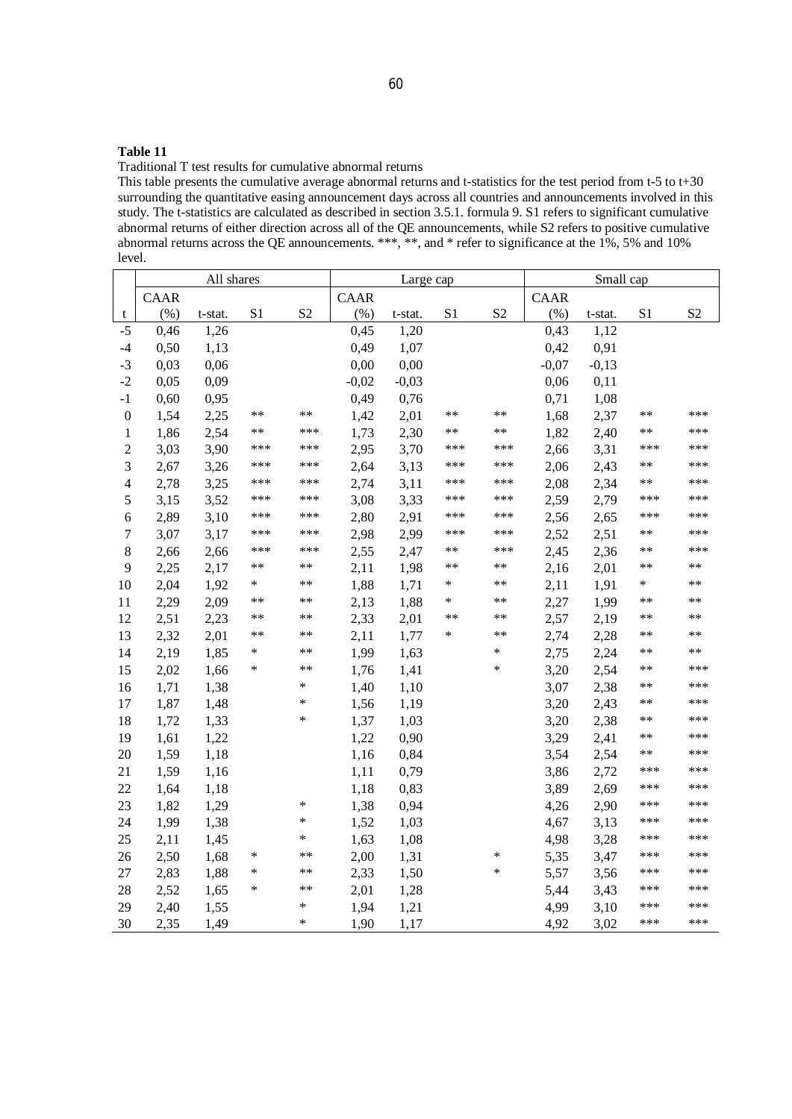Traditional T test results for cumulative abnormal returns

This table presents the cumulative average abnormal returns and t-statistics for the test period from t-5 to t+30 surrounding the quantitative easing announcement days across all countries and announcements involved in this study. The t-statistics are calculated as described in section 3.5.1. formula 9. S1 refers to significant cumulative abnormal returns of either direction across all of the QE announcements, while S2 refers to positive cumulative abnormal returns across the QE announcements. \*\*\*, \*\*, and \* refer to significance at the 1%, 5% and 10% level.

|                  |             | All shares |                |                | Large cap   |         |                |                | Small cap   |         |                |                |
|------------------|-------------|------------|----------------|----------------|-------------|---------|----------------|----------------|-------------|---------|----------------|----------------|
|                  | <b>CAAR</b> |            |                |                | <b>CAAR</b> |         |                |                | <b>CAAR</b> |         |                |                |
| t                | (% )        | t-stat.    | S <sub>1</sub> | S <sub>2</sub> | (% )        | t-stat. | S <sub>1</sub> | S <sub>2</sub> | (% )        | t-stat. | S <sub>1</sub> | S <sub>2</sub> |
| $-5$             | 0,46        | 1,26       |                |                | 0,45        | 1,20    |                |                | 0,43        | 1,12    |                |                |
| $-4$             | 0,50        | 1,13       |                |                | 0,49        | 1,07    |                |                | 0,42        | 0,91    |                |                |
| $-3$             | 0,03        | 0,06       |                |                | 0,00        | 0,00    |                |                | $-0,07$     | $-0,13$ |                |                |
| $-2$             | 0,05        | 0,09       |                |                | $-0,02$     | $-0,03$ |                |                | 0,06        | 0,11    |                |                |
| $-1$             | 0,60        | 0,95       |                |                | 0,49        | 0,76    |                |                | 0,71        | 1,08    |                |                |
| $\boldsymbol{0}$ | 1,54        | 2,25       | $**$           | $**$           | 1,42        | 2,01    | $**$           | $**$           | 1,68        | 2,37    | $**$           | ***            |
| $\mathbf{1}$     | 1,86        | 2,54       | $**$           | ***            | 1,73        | 2,30    | $\ast\ast$     | $**$           | 1,82        | 2,40    | $***$          | ***            |
| $\overline{c}$   | 3,03        | 3,90       | ***            | ***            | 2,95        | 3,70    | ***            | ***            | 2,66        | 3,31    | ***            | ***            |
| 3                | 2,67        | 3,26       | ***            | ***            | 2,64        | 3,13    | ***            | ***            | 2,06        | 2,43    | $**$           | ***            |
| 4                | 2,78        | 3,25       | ***            | ***            | 2,74        | 3,11    | ***            | ***            | 2,08        | 2,34    | $***$          | ***            |
| 5                | 3,15        | 3,52       | ***            | ***            | 3,08        | 3,33    | ***            | ***            | 2,59        | 2,79    | ***            | ***            |
| 6                | 2,89        | 3,10       | ***            | ***            | 2,80        | 2,91    | ***            | ***            | 2,56        | 2,65    | ***            | ***            |
| 7                | 3,07        | 3,17       | ***            | ***            | 2,98        | 2,99    | ***            | ***            | 2,52        | 2,51    | $***$          | ***            |
| 8                | 2,66        | 2,66       | ***            | ***            | 2,55        | 2,47    | $**$           | ***            | 2,45        | 2,36    | $**$           | ***            |
| 9                | 2,25        | 2,17       | $**$           | $**$           | 2,11        | 1,98    | $**$           | $**$           | 2,16        | 2,01    | $**$           | $**$           |
| 10               | 2,04        | 1,92       | $\ast$         | $**$           | 1,88        | 1,71    | ∗              | $**$           | 2,11        | 1,91    | ∗              | $**$           |
| 11               | 2,29        | 2,09       | $**$           | $**$           | 2,13        | 1,88    | $\ast$         | $**$           | 2,27        | 1,99    | $**$           | $**$           |
| 12               | 2,51        | 2,23       | $**$           | $**$           | 2,33        | 2,01    | $**$           | $**$           | 2,57        | 2,19    | $**$           | $**$           |
| 13               | 2,32        | 2,01       | $**$           | $**$           | 2,11        | 1,77    | ∗              | $**$           | 2,74        | 2,28    | $***$          | $**$           |
| 14               | 2,19        | 1,85       | $\ast$         | $**$           | 1,99        | 1,63    |                | $\ast$         | 2,75        | 2,24    | $**$           | $**$           |
| 15               | 2,02        | 1,66       | $\ast$         | $**$           | 1,76        | 1,41    |                | $\ast$         | 3,20        | 2,54    | $**$           | ***            |
| 16               | 1,71        | 1,38       |                | *              | 1,40        | 1,10    |                |                | 3,07        | 2,38    | $***$          | ***            |
| 17               | 1,87        | 1,48       |                | *              | 1,56        | 1,19    |                |                | 3,20        | 2,43    | $**$           | ***            |
| 18               | 1,72        | 1,33       |                | *              | 1,37        | 1,03    |                |                | 3,20        | 2,38    | $**$           | ***            |
| 19               | 1,61        | 1,22       |                |                | 1,22        | 0,90    |                |                | 3,29        | 2,41    | $***$          | ***            |
| 20               | 1,59        | 1,18       |                |                | 1,16        | 0,84    |                |                | 3,54        | 2,54    | $**$           | ***            |
| 21               | 1,59        | 1,16       |                |                | 1,11        | 0,79    |                |                | 3,86        | 2,72    | ***            | ***            |
| 22               | 1,64        | 1,18       |                |                | 1,18        | 0,83    |                |                | 3,89        | 2,69    | ***            | ***            |
| 23               | 1,82        | 1,29       |                | *              | 1,38        | 0,94    |                |                | 4,26        | 2,90    | ***            | ***            |
| 24               | 1,99        | 1,38       |                | *              | 1,52        | 1,03    |                |                | 4,67        | 3,13    | ***            | ***            |
| 25               | 2,11        | 1,45       |                | *              | 1,63        | 1,08    |                |                | 4,98        | 3,28    | ***            | ***            |
| 26               | 2,50        | 1,68       | $\ast$         | $**$           | 2,00        | 1,31    |                | $\ast$         | 5,35        | 3,47    | ***            | ***            |
| 27               | 2,83        | 1,88       | $\ast$         | $**$           | 2,33        | 1,50    |                | $\ast$         | 5,57        | 3,56    | ***            | ***            |
| 28               | 2,52        | 1,65       | ∗              | $\ast\ast$     | 2,01        | 1,28    |                |                | 5,44        | 3,43    | ***            | ***            |
| 29               | 2,40        | 1,55       |                | *              | 1,94        | 1,21    |                |                | 4,99        | 3,10    | ***            | ***            |
| 30               | 2,35        | 1,49       |                | $\ast$         | 1,90        | 1,17    |                |                | 4,92        | 3,02    | ***            | ***            |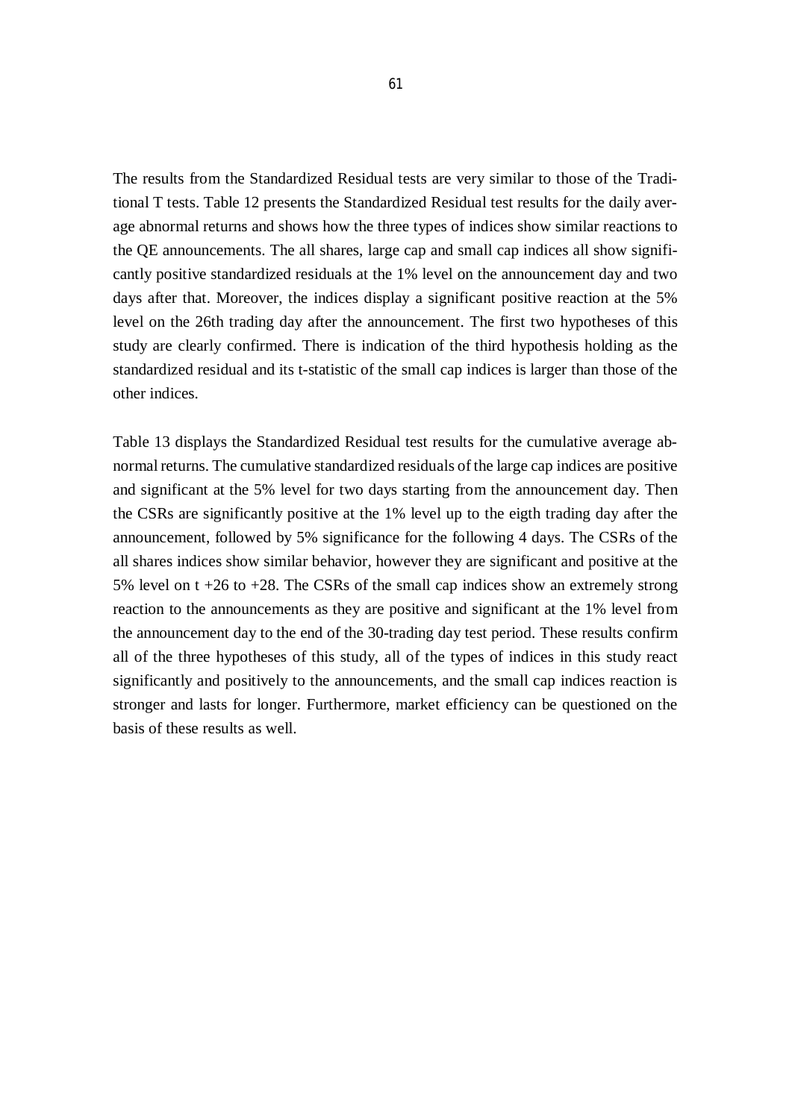The results from the Standardized Residual tests are very similar to those of the Traditional T tests. Table 12 presents the Standardized Residual test results for the daily average abnormal returns and shows how the three types of indices show similar reactions to the QE announcements. The all shares, large cap and small cap indices all show significantly positive standardized residuals at the 1% level on the announcement day and two days after that. Moreover, the indices display a significant positive reaction at the 5% level on the 26th trading day after the announcement. The first two hypotheses of this study are clearly confirmed. There is indication of the third hypothesis holding as the standardized residual and its t-statistic of the small cap indices is larger than those of the other indices.

Table 13 displays the Standardized Residual test results for the cumulative average abnormal returns. The cumulative standardized residuals of the large cap indices are positive and significant at the 5% level for two days starting from the announcement day. Then the CSRs are significantly positive at the 1% level up to the eigth trading day after the announcement, followed by 5% significance for the following 4 days. The CSRs of the all shares indices show similar behavior, however they are significant and positive at the 5% level on t +26 to +28. The CSRs of the small cap indices show an extremely strong reaction to the announcements as they are positive and significant at the 1% level from the announcement day to the end of the 30-trading day test period. These results confirm all of the three hypotheses of this study, all of the types of indices in this study react significantly and positively to the announcements, and the small cap indices reaction is stronger and lasts for longer. Furthermore, market efficiency can be questioned on the basis of these results as well.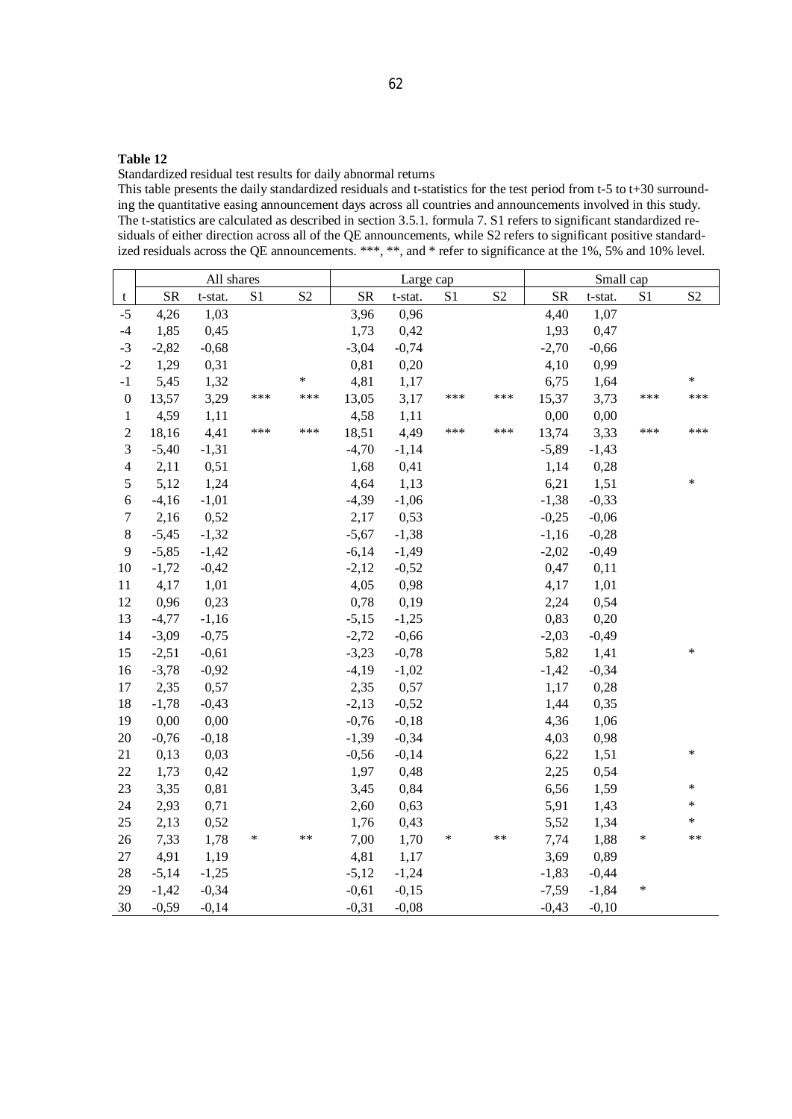Standardized residual test results for daily abnormal returns

This table presents the daily standardized residuals and t-statistics for the test period from t-5 to t+30 surrounding the quantitative easing announcement days across all countries and announcements involved in this study. The t-statistics are calculated as described in section 3.5.1. formula 7. S1 refers to significant standardized residuals of either direction across all of the QE announcements, while S2 refers to significant positive standardized residuals across the QE announcements. \*\*\*, \*\*, and \* refer to significance at the 1%, 5% and 10% level.

|                  |           | All shares |        |                | Large cap |         |                |                | Small cap |         |        |                |
|------------------|-----------|------------|--------|----------------|-----------|---------|----------------|----------------|-----------|---------|--------|----------------|
| t                | <b>SR</b> | t-stat.    | S1     | S <sub>2</sub> | <b>SR</b> | t-stat. | S <sub>1</sub> | S <sub>2</sub> | <b>SR</b> | t-stat. | S1     | S <sub>2</sub> |
| $-5$             | 4,26      | 1,03       |        |                | 3,96      | 0,96    |                |                | 4,40      | 1,07    |        |                |
| $-4$             | 1,85      | 0,45       |        |                | 1,73      | 0,42    |                |                | 1,93      | 0,47    |        |                |
| $-3$             | $-2,82$   | $-0,68$    |        |                | $-3,04$   | $-0,74$ |                |                | $-2,70$   | $-0,66$ |        |                |
| $-2$             | 1,29      | 0,31       |        |                | 0,81      | 0,20    |                |                | 4,10      | 0,99    |        |                |
| $-1$             | 5,45      | 1,32       |        | $\ast$         | 4,81      | 1,17    |                |                | 6,75      | 1,64    |        | $\ast$         |
| $\boldsymbol{0}$ | 13,57     | 3,29       | ***    | ***            | 13,05     | 3,17    | ***            | ***            | 15,37     | 3,73    | ***    | ***            |
| $\mathbf 1$      | 4,59      | 1,11       |        |                | 4,58      | 1,11    |                |                | 0,00      | 0,00    |        |                |
| $\sqrt{2}$       | 18,16     | 4,41       | ***    | ***            | 18,51     | 4,49    | ***            | ***            | 13,74     | 3,33    | ***    | ***            |
| $\mathfrak{Z}$   | $-5,40$   | $-1,31$    |        |                | $-4,70$   | $-1,14$ |                |                | $-5,89$   | $-1,43$ |        |                |
| $\overline{4}$   | 2,11      | 0,51       |        |                | 1,68      | 0,41    |                |                | 1,14      | 0,28    |        |                |
| 5                | 5,12      | 1,24       |        |                | 4,64      | 1,13    |                |                | 6,21      | 1,51    |        | $\ast$         |
| 6                | $-4,16$   | $-1,01$    |        |                | $-4,39$   | $-1,06$ |                |                | $-1,38$   | $-0,33$ |        |                |
| $\tau$           | 2,16      | 0,52       |        |                | 2,17      | 0,53    |                |                | $-0,25$   | $-0,06$ |        |                |
| $\,8\,$          | $-5,45$   | $-1,32$    |        |                | $-5,67$   | $-1,38$ |                |                | $-1,16$   | $-0,28$ |        |                |
| 9                | $-5,85$   | $-1,42$    |        |                | $-6,14$   | $-1,49$ |                |                | $-2,02$   | $-0,49$ |        |                |
| 10               | $-1,72$   | $-0,42$    |        |                | $-2,12$   | $-0,52$ |                |                | 0,47      | 0,11    |        |                |
| 11               | 4,17      | 1,01       |        |                | 4,05      | 0,98    |                |                | 4,17      | 1,01    |        |                |
| 12               | 0,96      | 0,23       |        |                | 0,78      | 0,19    |                |                | 2,24      | 0,54    |        |                |
| 13               | $-4,77$   | $-1,16$    |        |                | $-5,15$   | $-1,25$ |                |                | 0,83      | 0,20    |        |                |
| 14               | $-3,09$   | $-0,75$    |        |                | $-2,72$   | $-0,66$ |                |                | $-2,03$   | $-0,49$ |        |                |
| 15               | $-2,51$   | $-0,61$    |        |                | $-3,23$   | $-0,78$ |                |                | 5,82      | 1,41    |        | $\ast$         |
| 16               | $-3,78$   | $-0,92$    |        |                | $-4,19$   | $-1,02$ |                |                | $-1,42$   | $-0,34$ |        |                |
| 17               | 2,35      | 0,57       |        |                | 2,35      | 0,57    |                |                | 1,17      | 0,28    |        |                |
| 18               | $-1,78$   | $-0,43$    |        |                | $-2,13$   | $-0,52$ |                |                | 1,44      | 0,35    |        |                |
| 19               | 0,00      | 0,00       |        |                | $-0,76$   | $-0,18$ |                |                | 4,36      | 1,06    |        |                |
| 20               | $-0,76$   | $-0,18$    |        |                | $-1,39$   | $-0,34$ |                |                | 4,03      | 0,98    |        |                |
| 21               | 0,13      | 0,03       |        |                | $-0,56$   | $-0,14$ |                |                | 6,22      | 1,51    |        | $\ast$         |
| 22               | 1,73      | 0,42       |        |                | 1,97      | 0,48    |                |                | 2,25      | 0,54    |        |                |
| 23               | 3,35      | 0,81       |        |                | 3,45      | 0,84    |                |                | 6,56      | 1,59    |        | $\ast$         |
| 24               | 2,93      | 0,71       |        |                | 2,60      | 0,63    |                |                | 5,91      | 1,43    |        | $\ast$         |
| 25               | 2,13      | 0,52       |        |                | 1,76      | 0,43    |                |                | 5,52      | 1,34    |        | $\ast$         |
| 26               | 7,33      | 1,78       | $\ast$ | $**$           | 7,00      | 1,70    | $\ast$         | $**$           | 7,74      | 1,88    | $\ast$ | $\ast\ast$     |
| 27               | 4,91      | 1,19       |        |                | 4,81      | 1,17    |                |                | 3,69      | 0,89    |        |                |
| 28               | $-5,14$   | $-1,25$    |        |                | $-5,12$   | $-1,24$ |                |                | $-1,83$   | $-0,44$ |        |                |
| 29               | $-1,42$   | $-0,34$    |        |                | $-0,61$   | $-0,15$ |                |                | $-7,59$   | $-1,84$ | $\ast$ |                |
| 30               | $-0,59$   | $-0,14$    |        |                | $-0,31$   | $-0,08$ |                |                | $-0,43$   | $-0,10$ |        |                |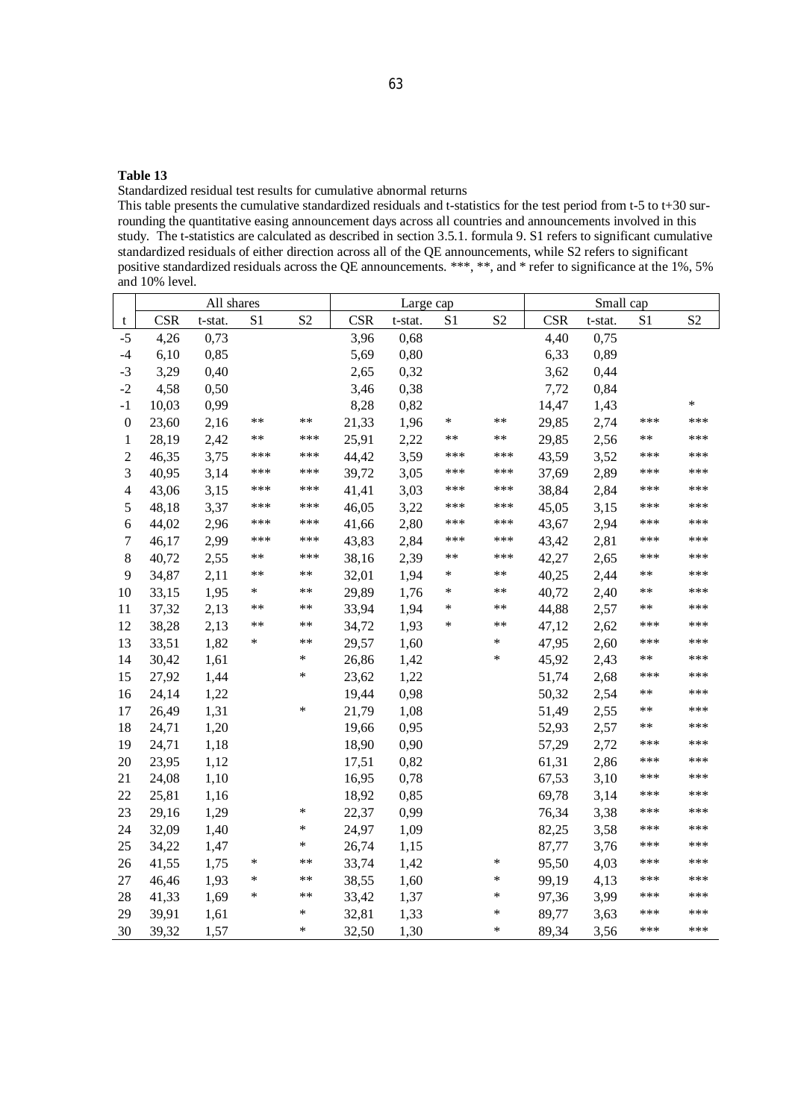Standardized residual test results for cumulative abnormal returns

This table presents the cumulative standardized residuals and t-statistics for the test period from t-5 to t+30 surrounding the quantitative easing announcement days across all countries and announcements involved in this study. The t-statistics are calculated as described in section 3.5.1. formula 9. S1 refers to significant cumulative standardized residuals of either direction across all of the QE announcements, while S2 refers to significant positive standardized residuals across the QE announcements. \*\*\*, \*\*, and \* refer to significance at the 1%, 5% and 10% level.

|                  | All shares |         |        |                | Large cap  |         |        |                | Small cap  |         |       |                |
|------------------|------------|---------|--------|----------------|------------|---------|--------|----------------|------------|---------|-------|----------------|
| t                | <b>CSR</b> | t-stat. | S1     | S <sub>2</sub> | <b>CSR</b> | t-stat. | S1     | S <sub>2</sub> | <b>CSR</b> | t-stat. | S1    | S <sub>2</sub> |
| $-5$             | 4,26       | 0,73    |        |                | 3,96       | 0,68    |        |                | 4,40       | 0,75    |       |                |
| -4               | 6,10       | 0,85    |        |                | 5,69       | 0,80    |        |                | 6,33       | 0,89    |       |                |
| $-3$             | 3,29       | 0,40    |        |                | 2,65       | 0,32    |        |                | 3,62       | 0,44    |       |                |
| $-2$             | 4,58       | 0,50    |        |                | 3,46       | 0,38    |        |                | 7,72       | 0,84    |       |                |
| $-1$             | 10,03      | 0,99    |        |                | 8,28       | 0,82    |        |                | 14,47      | 1,43    |       | ∗              |
| $\boldsymbol{0}$ | 23,60      | 2,16    | $**$   | $**$           | 21,33      | 1,96    | $\ast$ | $**$           | 29,85      | 2,74    | ***   | ***            |
| $\mathbf{1}$     | 28,19      | 2,42    | $***$  | ***            | 25,91      | 2,22    | $***$  | $***$          | 29,85      | 2,56    | $***$ | ***            |
| $\overline{c}$   | 46,35      | 3,75    | ***    | ***            | 44,42      | 3,59    | ***    | ***            | 43,59      | 3,52    | ***   | ***            |
| 3                | 40,95      | 3,14    | ***    | ***            | 39,72      | 3,05    | ***    | ***            | 37,69      | 2,89    | ***   | ***            |
| $\overline{4}$   | 43,06      | 3,15    | ***    | ***            | 41,41      | 3,03    | ***    | ***            | 38,84      | 2,84    | ***   | ***            |
| 5                | 48,18      | 3,37    | ***    | ***            | 46,05      | 3,22    | ***    | ***            | 45,05      | 3,15    | ***   | ***            |
| 6                | 44,02      | 2,96    | ***    | ***            | 41,66      | 2,80    | ***    | ***            | 43,67      | 2,94    | ***   | ***            |
| 7                | 46,17      | 2,99    | ***    | ***            | 43,83      | 2,84    | ***    | ***            | 43,42      | 2,81    | ***   | ***            |
| 8                | 40,72      | 2,55    | $***$  | ***            | 38,16      | 2,39    | $**$   | ***            | 42,27      | 2,65    | ***   | ***            |
| 9                | 34,87      | 2,11    | $***$  | $**$           | 32,01      | 1,94    | $\ast$ | $**$           | 40,25      | 2,44    | $**$  | ***            |
| 10               | 33,15      | 1,95    | $\ast$ | $**$           | 29,89      | 1,76    | $\ast$ | $***$          | 40,72      | 2,40    | $***$ | ***            |
| 11               | 37,32      | 2,13    | $**$   | $**$           | 33,94      | 1,94    | $\ast$ | $**$           | 44,88      | 2,57    | $***$ | ***            |
| 12               | 38,28      | 2,13    | $***$  | $**$           | 34,72      | 1,93    | $\ast$ | $**$           | 47,12      | 2,62    | ***   | ***            |
| 13               | 33,51      | 1,82    | $\ast$ | $\ast\ast$     | 29,57      | 1,60    |        | ∗              | 47,95      | 2,60    | ***   | ***            |
| 14               | 30,42      | 1,61    |        | ∗              | 26,86      | 1,42    |        | ∗              | 45,92      | 2,43    | $***$ | ***            |
| 15               | 27,92      | 1,44    |        | ∗              | 23,62      | 1,22    |        |                | 51,74      | 2,68    | ***   | ***            |
| 16               | 24,14      | 1,22    |        |                | 19,44      | 0,98    |        |                | 50,32      | 2,54    | $***$ | ***            |
| 17               | 26,49      | 1,31    |        | $\ast$         | 21,79      | 1,08    |        |                | 51,49      | 2,55    | $***$ | ***            |
| 18               | 24,71      | 1,20    |        |                | 19,66      | 0,95    |        |                | 52,93      | 2,57    | $***$ | ***            |
| 19               | 24,71      | 1,18    |        |                | 18,90      | 0,90    |        |                | 57,29      | 2,72    | ***   | ***            |
| 20               | 23,95      | 1,12    |        |                | 17,51      | 0,82    |        |                | 61,31      | 2,86    | ***   | ***            |
| 21               | 24,08      | 1,10    |        |                | 16,95      | 0,78    |        |                | 67,53      | 3,10    | ***   | ***            |
| 22               | 25,81      | 1,16    |        |                | 18,92      | 0,85    |        |                | 69,78      | 3,14    | ***   | ***            |
| 23               | 29,16      | 1,29    |        | $\ast$         | 22,37      | 0,99    |        |                | 76,34      | 3,38    | ***   | ***            |
| 24               | 32,09      | 1,40    |        | $\ast$         | 24,97      | 1,09    |        |                | 82,25      | 3,58    | ***   | ***            |
| 25               | 34,22      | 1,47    |        | $\ast$         | 26,74      | 1,15    |        |                | 87,77      | 3,76    | ***   | ***            |
| 26               | 41,55      | 1,75    | $\ast$ | $\ast\ast$     | 33,74      | 1,42    |        | ∗              | 95,50      | 4,03    | ***   | ***            |
| 27               | 46,46      | 1,93    | $\ast$ | $***$          | 38,55      | 1,60    |        | $\ast$         | 99,19      | 4,13    | ***   | ***            |
| 28               | 41,33      | 1,69    | $\ast$ | $**$           | 33,42      | 1,37    |        | $\ast$         | 97,36      | 3,99    | ***   | ***            |
| 29               | 39,91      | 1,61    |        | $\ast$         | 32,81      | 1,33    |        | $\ast$         | 89,77      | 3,63    | ***   | ***            |
| 30               | 39,32      | 1,57    |        | $\ast$         | 32,50      | 1,30    |        | $\ast$         | 89,34      | 3,56    | ***   | ***            |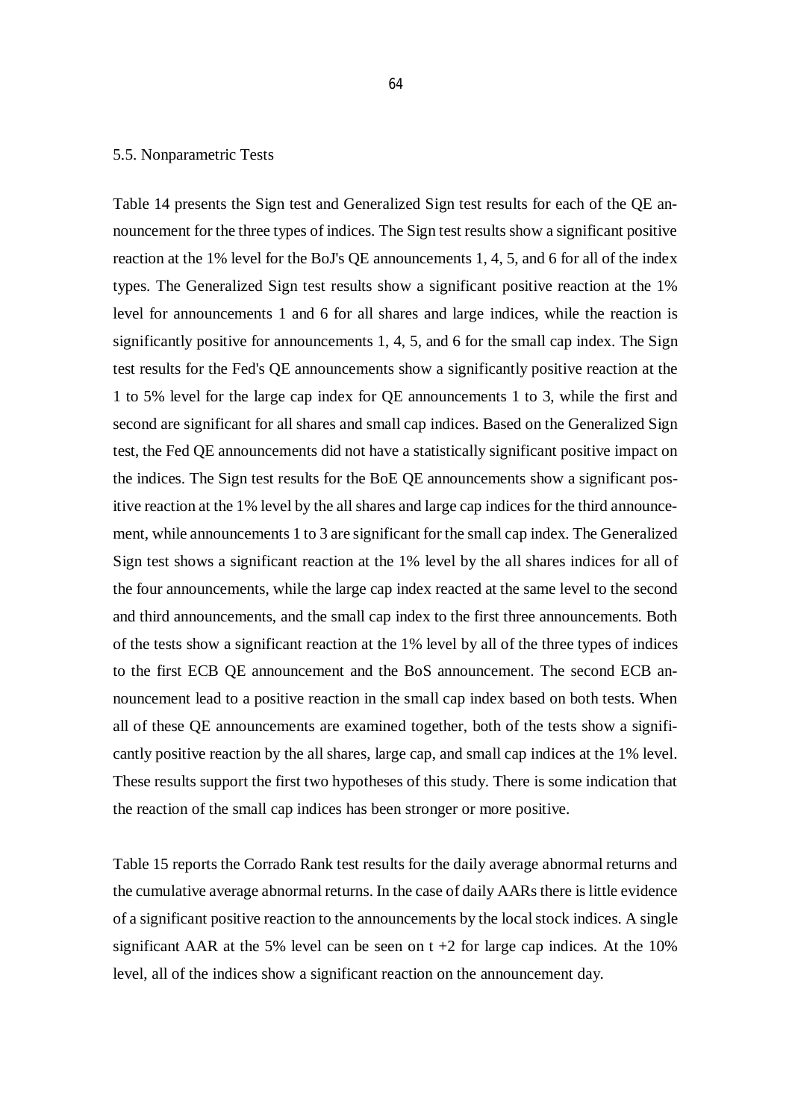### 5.5. Nonparametric Tests

Table 14 presents the Sign test and Generalized Sign test results for each of the QE announcement for the three types of indices. The Sign test results show a significant positive reaction at the 1% level for the BoJ's QE announcements 1, 4, 5, and 6 for all of the index types. The Generalized Sign test results show a significant positive reaction at the 1% level for announcements 1 and 6 for all shares and large indices, while the reaction is significantly positive for announcements 1, 4, 5, and 6 for the small cap index. The Sign test results for the Fed's QE announcements show a significantly positive reaction at the 1 to 5% level for the large cap index for QE announcements 1 to 3, while the first and second are significant for all shares and small cap indices. Based on the Generalized Sign test, the Fed QE announcements did not have a statistically significant positive impact on the indices. The Sign test results for the BoE QE announcements show a significant positive reaction at the 1% level by the all shares and large cap indices for the third announcement, while announcements 1 to 3 are significant for the small cap index. The Generalized Sign test shows a significant reaction at the 1% level by the all shares indices for all of the four announcements, while the large cap index reacted at the same level to the second and third announcements, and the small cap index to the first three announcements. Both of the tests show a significant reaction at the 1% level by all of the three types of indices to the first ECB QE announcement and the BoS announcement. The second ECB announcement lead to a positive reaction in the small cap index based on both tests. When all of these QE announcements are examined together, both of the tests show a significantly positive reaction by the all shares, large cap, and small cap indices at the 1% level. These results support the first two hypotheses of this study. There is some indication that the reaction of the small cap indices has been stronger or more positive.

Table 15 reports the Corrado Rank test results for the daily average abnormal returns and the cumulative average abnormal returns. In the case of daily AARs there is little evidence of a significant positive reaction to the announcements by the local stock indices. A single significant AAR at the 5% level can be seen on  $t + 2$  for large cap indices. At the 10% level, all of the indices show a significant reaction on the announcement day.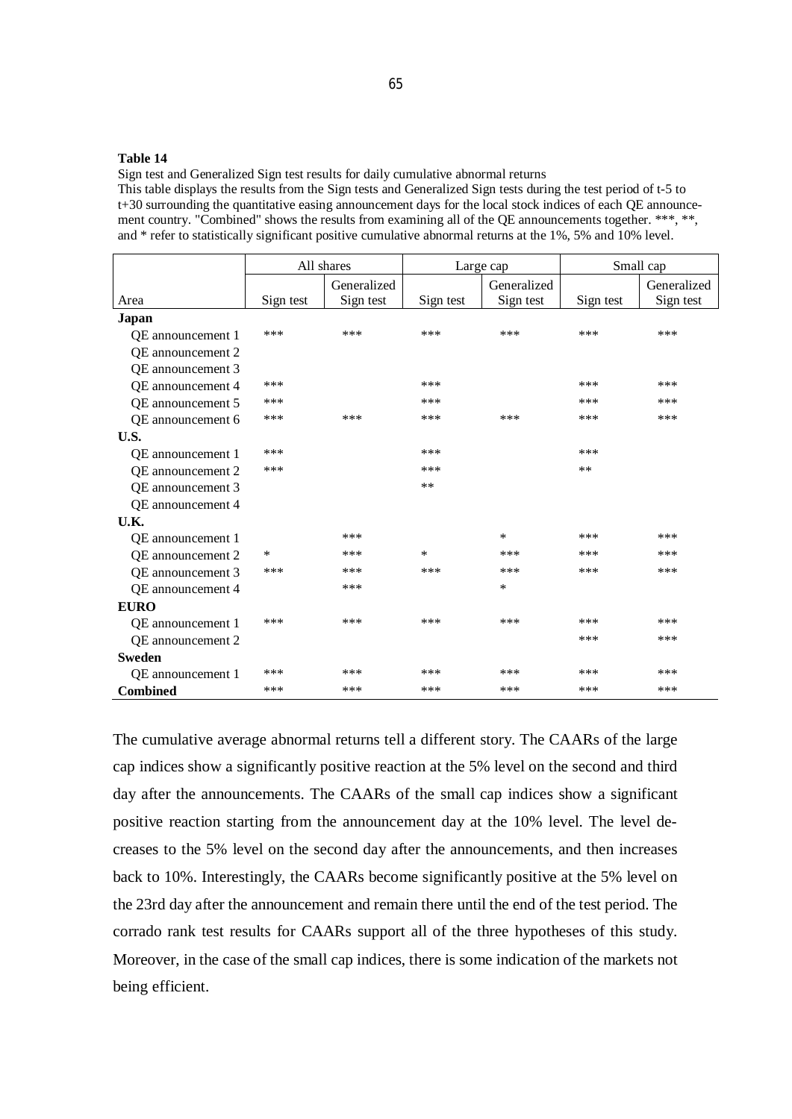Sign test and Generalized Sign test results for daily cumulative abnormal returns

This table displays the results from the Sign tests and Generalized Sign tests during the test period of t-5 to t+30 surrounding the quantitative easing announcement days for the local stock indices of each QE announcement country. "Combined" shows the results from examining all of the QE announcements together. \*\*\*, \*\*, and \* refer to statistically significant positive cumulative abnormal returns at the 1%, 5% and 10% level.

|                   |           | All shares  |           | Large cap   | Small cap |             |  |
|-------------------|-----------|-------------|-----------|-------------|-----------|-------------|--|
|                   |           | Generalized |           | Generalized |           | Generalized |  |
| Area              | Sign test | Sign test   | Sign test | Sign test   | Sign test | Sign test   |  |
| Japan             |           |             |           |             |           |             |  |
| QE announcement 1 | ***       | ***         | ***       | ***         | ***       | ***         |  |
| QE announcement 2 |           |             |           |             |           |             |  |
| QE announcement 3 |           |             |           |             |           |             |  |
| QE announcement 4 | ***       |             | ***       |             | $***$     | $***$       |  |
| QE announcement 5 | ***       |             | ***       |             | ***       | ***         |  |
| QE announcement 6 | ***       | ***         | ***       | ***         | ***       | ***         |  |
| U.S.              |           |             |           |             |           |             |  |
| OE announcement 1 | ***       |             | ***       |             | ***       |             |  |
| OE announcement 2 | ***       |             | ***       |             | $**$      |             |  |
| QE announcement 3 |           |             | $**$      |             |           |             |  |
| QE announcement 4 |           |             |           |             |           |             |  |
| U.K.              |           |             |           |             |           |             |  |
| QE announcement 1 |           | ***         |           | *           | ***       | ***         |  |
| QE announcement 2 | $\ast$    | ***         | $\ast$    | ***         | ***       | ***         |  |
| QE announcement 3 | ***       | ***         | ***       | ***         | ***       | ***         |  |
| QE announcement 4 |           | ***         |           | $\ast$      |           |             |  |
| <b>EURO</b>       |           |             |           |             |           |             |  |
| QE announcement 1 | ***       | ***         | ***       | ***         | ***       | ***         |  |
| QE announcement 2 |           |             |           |             | ***       | ***         |  |
| <b>Sweden</b>     |           |             |           |             |           |             |  |
| QE announcement 1 | ***       | ***         | ***       | ***         | ***       | ***         |  |
| <b>Combined</b>   | ***       | ***         | ***       | ***         | ***       | ***         |  |

The cumulative average abnormal returns tell a different story. The CAARs of the large cap indices show a significantly positive reaction at the 5% level on the second and third day after the announcements. The CAARs of the small cap indices show a significant positive reaction starting from the announcement day at the 10% level. The level decreases to the 5% level on the second day after the announcements, and then increases back to 10%. Interestingly, the CAARs become significantly positive at the 5% level on the 23rd day after the announcement and remain there until the end of the test period. The corrado rank test results for CAARs support all of the three hypotheses of this study. Moreover, in the case of the small cap indices, there is some indication of the markets not being efficient.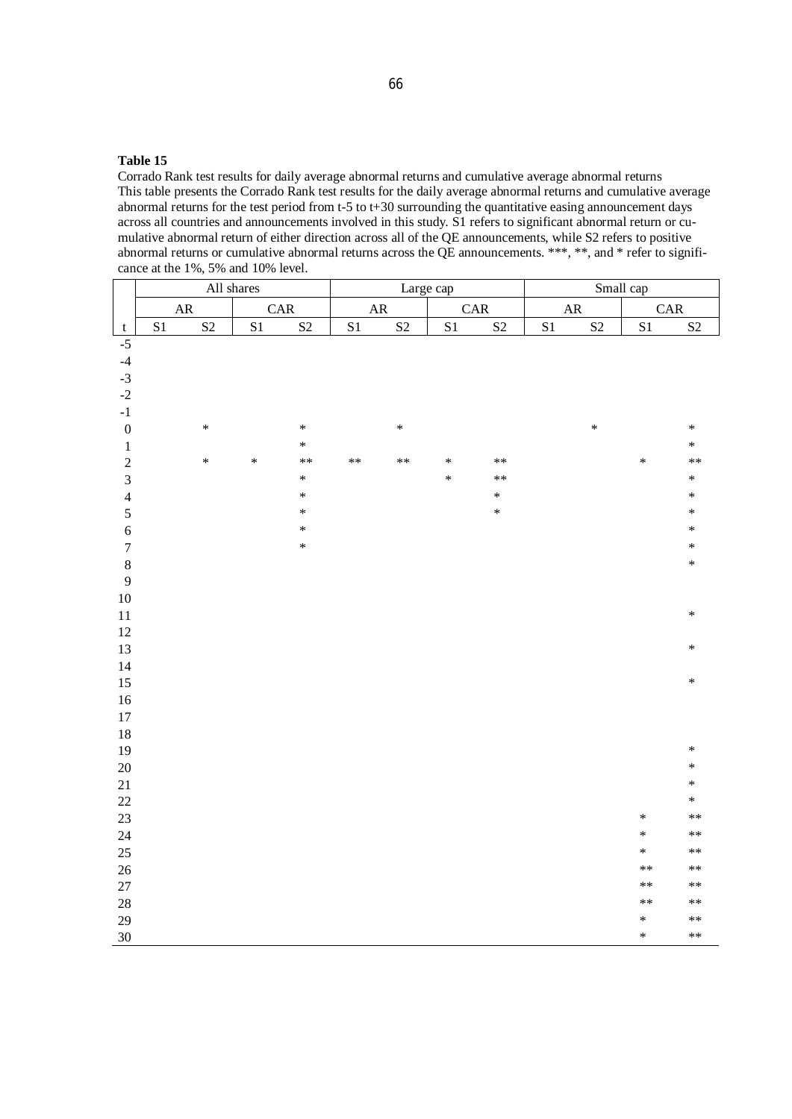Corrado Rank test results for daily average abnormal returns and cumulative average abnormal returns This table presents the Corrado Rank test results for the daily average abnormal returns and cumulative average abnormal returns for the test period from t-5 to t+30 surrounding the quantitative easing announcement days across all countries and announcements involved in this study. S1 refers to significant abnormal return or cumulative abnormal return of either direction across all of the QE announcements, while S2 refers to positive abnormal returns or cumulative abnormal returns across the QE announcements. \*\*\*, \*\*, and \* refer to significance at the 1%, 5% and 10% level.

|                                  |                                   | All shares                        |                                   | Large cap                         | Small cap                         |                |                      |  |
|----------------------------------|-----------------------------------|-----------------------------------|-----------------------------------|-----------------------------------|-----------------------------------|----------------|----------------------|--|
|                                  | ${\sf AR}$                        | $\rm CAR$                         | ${\sf AR}$                        | $\rm CAR$                         | ${\sf AR}$                        | $\rm CAR$      |                      |  |
| $\mathbf t$                      | $\overline{S2}$<br>S <sub>1</sub> | $\overline{S2}$<br>S <sub>1</sub> | $\overline{S2}$<br>S <sub>1</sub> | $\overline{S2}$<br>S <sub>1</sub> | $\overline{S2}$<br>S <sub>1</sub> | S <sub>1</sub> | $\overline{S2}$      |  |
| $-5$                             |                                   |                                   |                                   |                                   |                                   |                |                      |  |
| $-4$                             |                                   |                                   |                                   |                                   |                                   |                |                      |  |
| $-3$                             |                                   |                                   |                                   |                                   |                                   |                |                      |  |
| $-2$                             |                                   |                                   |                                   |                                   |                                   |                |                      |  |
| $-1$                             |                                   |                                   |                                   |                                   |                                   |                |                      |  |
| $\boldsymbol{0}$                 | $\ast$                            | $\ast$                            | $\ast$                            |                                   | $\ast$                            |                | $\ast$               |  |
| $\,1\,$                          | $\ast$                            | $\ast$<br>$\ast$<br>$**$          | $\ast\ast$<br>$***$               | $\ast$<br>$\ast\ast$              |                                   | $\ast$         | $\ast$<br>$\ast\ast$ |  |
| $\overline{c}$<br>$\overline{3}$ |                                   | *                                 |                                   | $\ast$<br>$\ast\ast$              |                                   |                | $\ast$               |  |
| $\overline{4}$                   |                                   | *                                 |                                   | $\ast$                            |                                   |                | $\ast$               |  |
| 5                                |                                   | *                                 |                                   | $\ast$                            |                                   |                | $\ast$               |  |
| $\sqrt{6}$                       |                                   | *                                 |                                   |                                   |                                   |                | $\ast$               |  |
| $\boldsymbol{7}$                 |                                   | $\ast$                            |                                   |                                   |                                   |                | $\ast$               |  |
| $\,8\,$                          |                                   |                                   |                                   |                                   |                                   |                | $\ast$               |  |
| 9                                |                                   |                                   |                                   |                                   |                                   |                |                      |  |
| 10                               |                                   |                                   |                                   |                                   |                                   |                |                      |  |
| $11\,$                           |                                   |                                   |                                   |                                   |                                   |                | $\ast$               |  |
| 12                               |                                   |                                   |                                   |                                   |                                   |                |                      |  |
| 13                               |                                   |                                   |                                   |                                   |                                   |                | $\ast$               |  |
| 14                               |                                   |                                   |                                   |                                   |                                   |                |                      |  |
| 15                               |                                   |                                   |                                   |                                   |                                   |                | $\ast$               |  |
| 16                               |                                   |                                   |                                   |                                   |                                   |                |                      |  |
| $17\,$                           |                                   |                                   |                                   |                                   |                                   |                |                      |  |
| 18                               |                                   |                                   |                                   |                                   |                                   |                |                      |  |
| 19                               |                                   |                                   |                                   |                                   |                                   |                | $\ast$               |  |
| 20                               |                                   |                                   |                                   |                                   |                                   |                | $\ast$<br>$\ast$     |  |
| 21                               |                                   |                                   |                                   |                                   |                                   |                | $\ast$               |  |
| 22<br>23                         |                                   |                                   |                                   |                                   |                                   | $\ast$         | $**$                 |  |
| 24                               |                                   |                                   |                                   |                                   |                                   | $\ast$         | $***$                |  |
| 25                               |                                   |                                   |                                   |                                   |                                   | $\ast$         | $\ast\ast$           |  |
| 26                               |                                   |                                   |                                   |                                   |                                   | $***$          | $**$                 |  |
| $27\,$                           |                                   |                                   |                                   |                                   |                                   | $\ast\ast$     | $**$                 |  |
| 28                               |                                   |                                   |                                   |                                   |                                   | $\ast\ast$     | $\ast\ast$           |  |
| 29                               |                                   |                                   |                                   |                                   |                                   | $\ast$         | $***$                |  |
| 30                               |                                   |                                   |                                   |                                   |                                   | $\ast$         | **                   |  |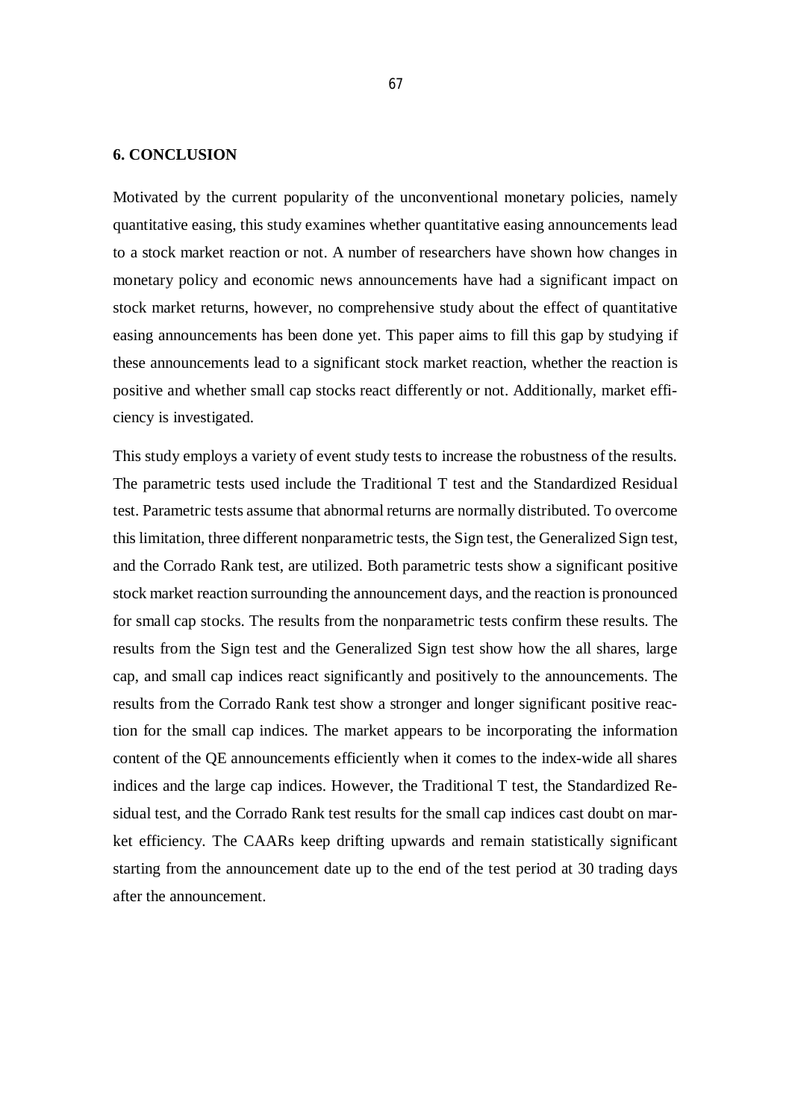# **6. CONCLUSION**

Motivated by the current popularity of the unconventional monetary policies, namely quantitative easing, this study examines whether quantitative easing announcements lead to a stock market reaction or not. A number of researchers have shown how changes in monetary policy and economic news announcements have had a significant impact on stock market returns, however, no comprehensive study about the effect of quantitative easing announcements has been done yet. This paper aims to fill this gap by studying if these announcements lead to a significant stock market reaction, whether the reaction is positive and whether small cap stocks react differently or not. Additionally, market efficiency is investigated.

This study employs a variety of event study tests to increase the robustness of the results. The parametric tests used include the Traditional T test and the Standardized Residual test. Parametric tests assume that abnormal returns are normally distributed. To overcome this limitation, three different nonparametric tests, the Sign test, the Generalized Sign test, and the Corrado Rank test, are utilized. Both parametric tests show a significant positive stock market reaction surrounding the announcement days, and the reaction is pronounced for small cap stocks. The results from the nonparametric tests confirm these results. The results from the Sign test and the Generalized Sign test show how the all shares, large cap, and small cap indices react significantly and positively to the announcements. The results from the Corrado Rank test show a stronger and longer significant positive reaction for the small cap indices. The market appears to be incorporating the information content of the QE announcements efficiently when it comes to the index-wide all shares indices and the large cap indices. However, the Traditional T test, the Standardized Residual test, and the Corrado Rank test results for the small cap indices cast doubt on market efficiency. The CAARs keep drifting upwards and remain statistically significant starting from the announcement date up to the end of the test period at 30 trading days after the announcement.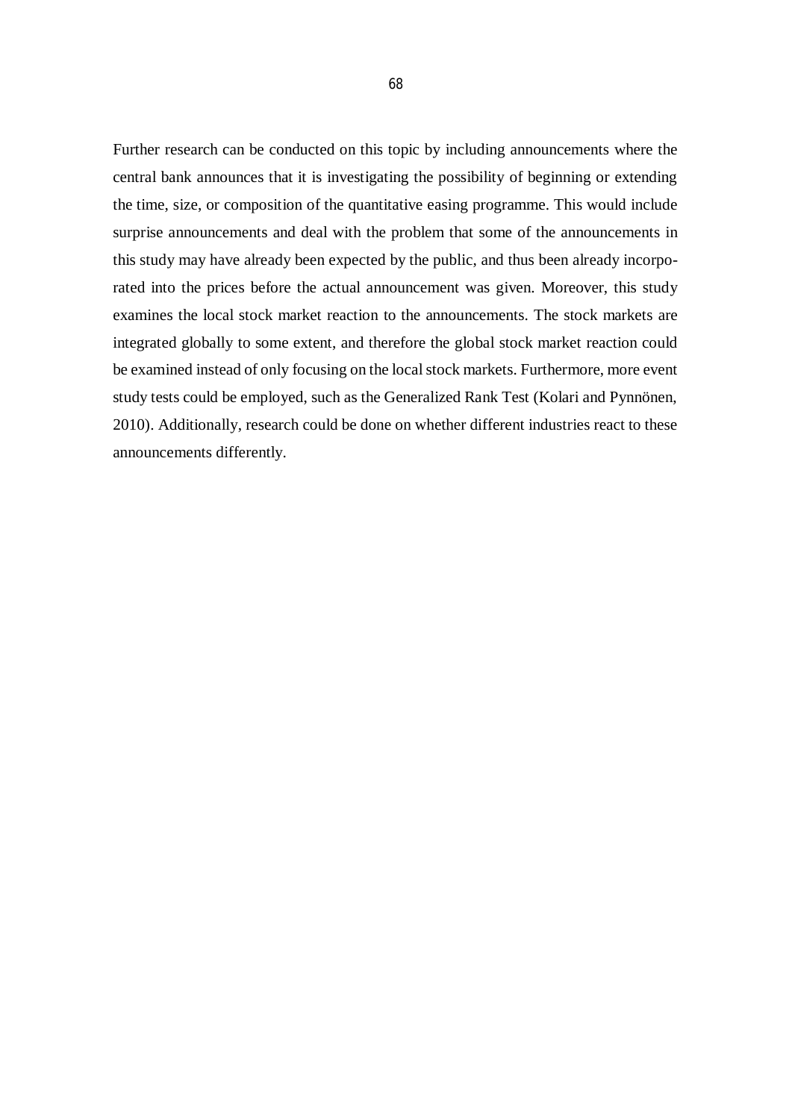Further research can be conducted on this topic by including announcements where the central bank announces that it is investigating the possibility of beginning or extending the time, size, or composition of the quantitative easing programme. This would include surprise announcements and deal with the problem that some of the announcements in this study may have already been expected by the public, and thus been already incorporated into the prices before the actual announcement was given. Moreover, this study examines the local stock market reaction to the announcements. The stock markets are integrated globally to some extent, and therefore the global stock market reaction could be examined instead of only focusing on the local stock markets. Furthermore, more event study tests could be employed, such as the Generalized Rank Test (Kolari and Pynnönen, 2010). Additionally, research could be done on whether different industries react to these announcements differently.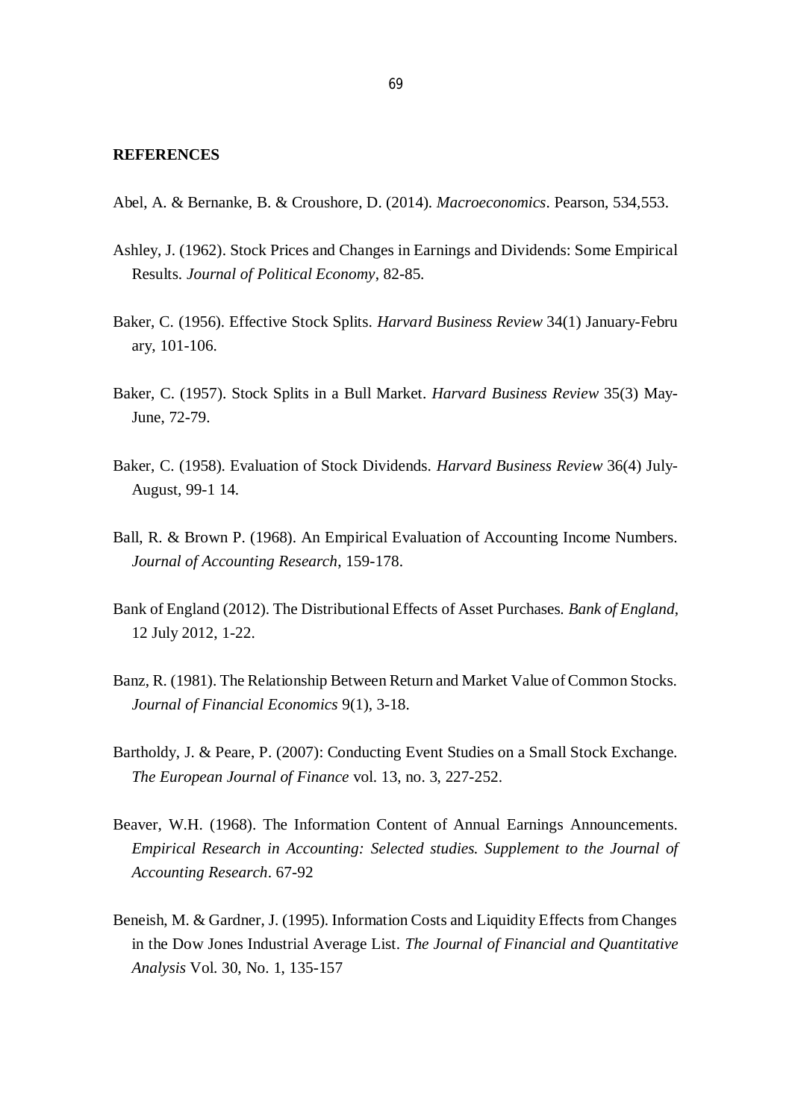## **REFERENCES**

Abel, A. & Bernanke, B. & Croushore, D. (2014). *Macroeconomics*. Pearson, 534,553.

- Ashley, J. (1962). Stock Prices and Changes in Earnings and Dividends: Some Empirical Results. *Journal of Political Economy*, 82-85.
- Baker, C. (1956). Effective Stock Splits. *Harvard Business Review* 34(1) January-Febru ary, 101-106.
- Baker, C. (1957). Stock Splits in a Bull Market. *Harvard Business Review* 35(3) May- June, 72-79.
- Baker, C. (1958). Evaluation of Stock Dividends. *Harvard Business Review* 36(4) July- August, 99-1 14.
- Ball, R. & Brown P. (1968). An Empirical Evaluation of Accounting Income Numbers. *Journal of Accounting Research*, 159-178.
- Bank of England (2012). The Distributional Effects of Asset Purchases. *Bank of England*, 12 July 2012, 1-22.
- Banz, R. (1981). The Relationship Between Return and Market Value of Common Stocks. *Journal of Financial Economics* 9(1), 3-18.
- Bartholdy, J. & Peare, P. (2007): Conducting Event Studies on a Small Stock Exchange. *The European Journal of Finance* vol. 13, no. 3, 227-252.
- Beaver, W.H. (1968). The Information Content of Annual Earnings Announcements. *Empirical Research in Accounting: Selected studies. Supplement to the Journal of Accounting Research*. 67-92
- Beneish, M. & Gardner, J. (1995). Information Costs and Liquidity Effects from Changes in the Dow Jones Industrial Average List. *The Journal of Financial and Quantitative Analysis* Vol. 30, No. 1, 135-157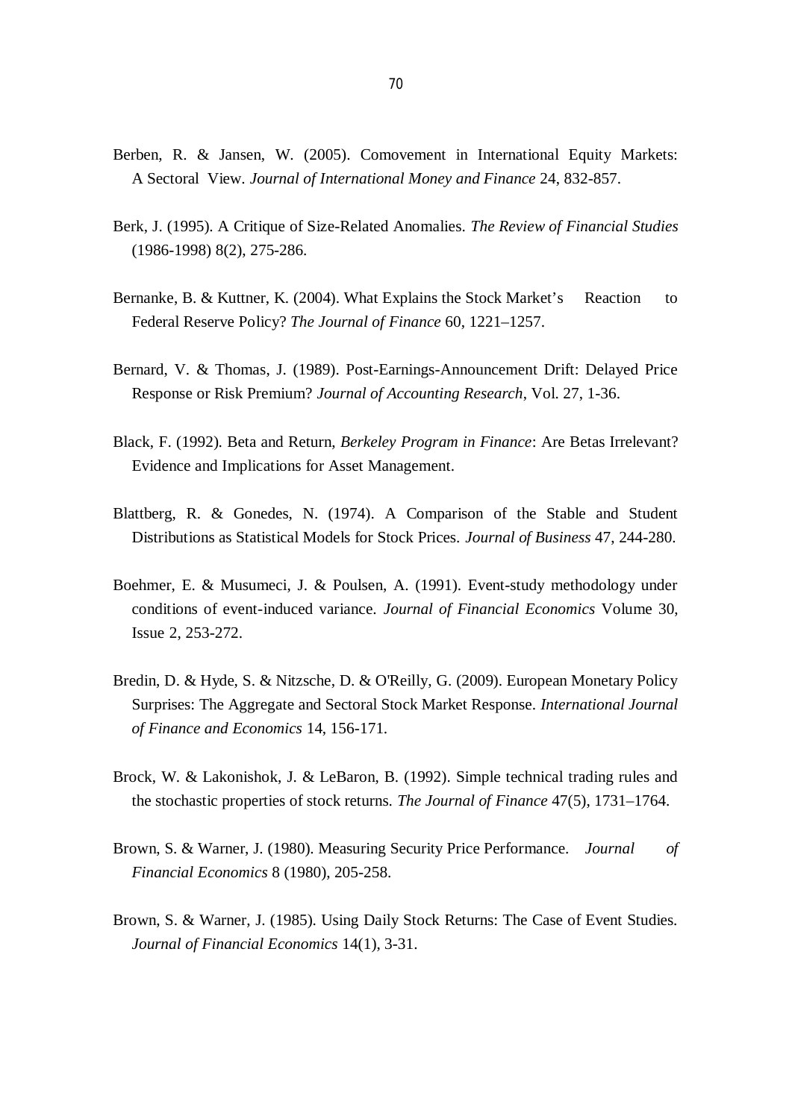- Berben, R. & Jansen, W. (2005). Comovement in International Equity Markets: A Sectoral View. *Journal of International Money and Finance* 24, 832-857.
- Berk, J. (1995). A Critique of Size-Related Anomalies. *The Review of Financial Studies* (1986-1998) 8(2), 275-286.
- Bernanke, B. & Kuttner, K. (2004). What Explains the Stock Market's Reaction to Federal Reserve Policy? *The Journal of Finance* 60, 1221–1257.
- Bernard, V. & Thomas, J. (1989). Post-Earnings-Announcement Drift: Delayed Price Response or Risk Premium? *Journal of Accounting Research*, Vol. 27, 1-36.
- Black, F. (1992). Beta and Return, *Berkeley Program in Finance*: Are Betas Irrelevant? Evidence and Implications for Asset Management.
- Blattberg, R. & Gonedes, N. (1974). A Comparison of the Stable and Student Distributions as Statistical Models for Stock Prices. *Journal of Business* 47, 244-280.
- Boehmer, E. & Musumeci, J. & Poulsen, A. (1991). Event-study methodology under conditions of event-induced variance. *Journal of Financial Economics* Volume 30, Issue 2, 253-272.
- Bredin, D. & Hyde, S. & Nitzsche, D. & O'Reilly, G. (2009). European Monetary Policy Surprises: The Aggregate and Sectoral Stock Market Response. *International Journal of Finance and Economics* 14, 156-171.
- Brock, W. & Lakonishok, J. & LeBaron, B. (1992). Simple technical trading rules and the stochastic properties of stock returns. *The Journal of Finance* 47(5), 1731–1764.
- Brown, S. & Warner, J. (1980). Measuring Security Price Performance. *Journal of Financial Economics* 8 (1980), 205-258.
- Brown, S. & Warner, J. (1985). Using Daily Stock Returns: The Case of Event Studies. *Journal of Financial Economics* 14(1), 3-31.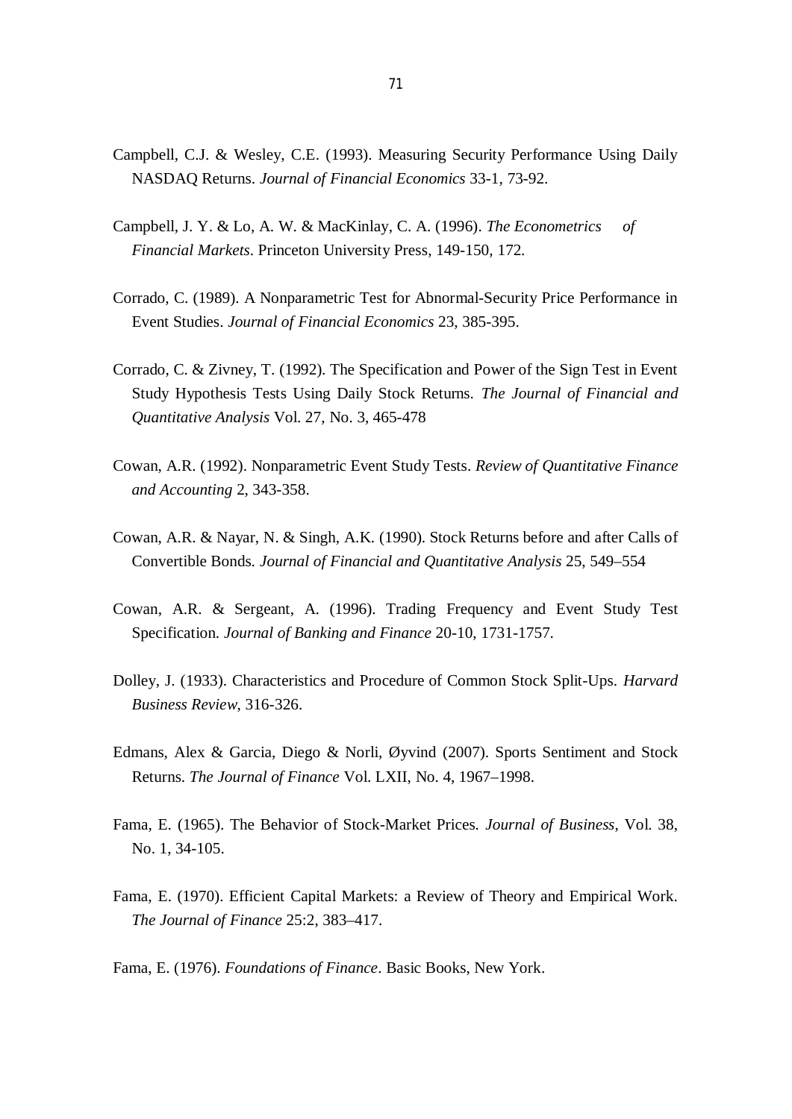- Campbell, C.J. & Wesley, C.E. (1993). Measuring Security Performance Using Daily NASDAQ Returns. *Journal of Financial Economics* 33-1, 73-92.
- Campbell, J. Y. & Lo, A. W. & MacKinlay, C. A. (1996). *The Econometrics of Financial Markets*. Princeton University Press, 149-150, 172.
- Corrado, C. (1989). A Nonparametric Test for Abnormal-Security Price Performance in Event Studies. *Journal of Financial Economics* 23, 385-395.
- Corrado, C. & Zivney, T. (1992). The Specification and Power of the Sign Test in Event Study Hypothesis Tests Using Daily Stock Returns. *The Journal of Financial and Quantitative Analysis* Vol. 27, No. 3, 465-478
- Cowan, A.R. (1992). Nonparametric Event Study Tests. *Review of Quantitative Finance and Accounting* 2, 343-358.
- Cowan, A.R. & Nayar, N. & Singh, A.K. (1990). Stock Returns before and after Calls of Convertible Bonds. *Journal of Financial and Quantitative Analysis* 25, 549–554
- Cowan, A.R. & Sergeant, A. (1996). Trading Frequency and Event Study Test Specification. *Journal of Banking and Finance* 20-10, 1731-1757.
- Dolley, J. (1933). Characteristics and Procedure of Common Stock Split-Ups. *Harvard Business Review*, 316-326.
- Edmans, Alex & Garcia, Diego & Norli, Øyvind (2007). Sports Sentiment and Stock Returns. *The Journal of Finance* Vol. LXII, No. 4, 1967–1998.
- Fama, E. (1965). The Behavior of Stock-Market Prices. *Journal of Business*, Vol. 38, No. 1, 34-105.
- Fama, E. (1970). Efficient Capital Markets: a Review of Theory and Empirical Work. *The Journal of Finance* 25:2, 383–417.
- Fama, E. (1976). *Foundations of Finance*. Basic Books, New York.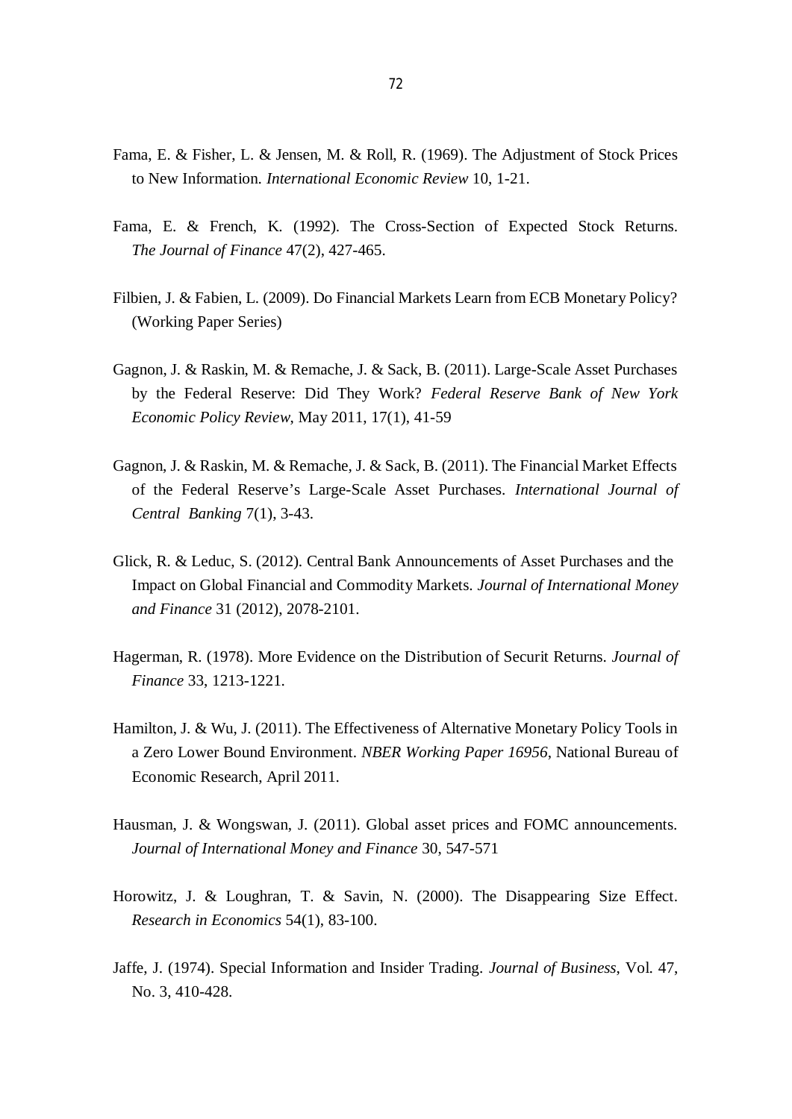- Fama, E. & Fisher, L. & Jensen, M. & Roll, R. (1969). The Adjustment of Stock Prices to New Information. *International Economic Review* 10, 1-21.
- Fama, E. & French, K. (1992). The Cross-Section of Expected Stock Returns. *The Journal of Finance* 47(2), 427-465.
- Filbien, J. & Fabien, L. (2009). Do Financial Markets Learn from ECB Monetary Policy? (Working Paper Series)
- Gagnon, J. & Raskin, M. & Remache, J. & Sack, B. (2011). Large-Scale Asset Purchases by the Federal Reserve: Did They Work? *Federal Reserve Bank of New York Economic Policy Review*, May 2011, 17(1), 41-59
- Gagnon, J. & Raskin, M. & Remache, J. & Sack, B. (2011). The Financial Market Effects of the Federal Reserve's Large-Scale Asset Purchases. *International Journal of Central Banking* 7(1), 3-43.
- Glick, R. & Leduc, S. (2012). Central Bank Announcements of Asset Purchases and the Impact on Global Financial and Commodity Markets. *Journal of International Money and Finance* 31 (2012), 2078-2101.
- Hagerman, R. (1978). More Evidence on the Distribution of Securit Returns. *Journal of Finance* 33, 1213-1221.
- Hamilton, J. & Wu, J. (2011). The Effectiveness of Alternative Monetary Policy Tools in a Zero Lower Bound Environment. *NBER Working Paper 16956*, National Bureau of Economic Research, April 2011.
- Hausman, J. & Wongswan, J. (2011). Global asset prices and FOMC announcements. *Journal of International Money and Finance* 30, 547-571
- Horowitz, J. & Loughran, T. & Savin, N. (2000). The Disappearing Size Effect. *Research in Economics* 54(1), 83-100.
- Jaffe, J. (1974). Special Information and Insider Trading. *Journal of Business*, Vol. 47, No. 3, 410-428.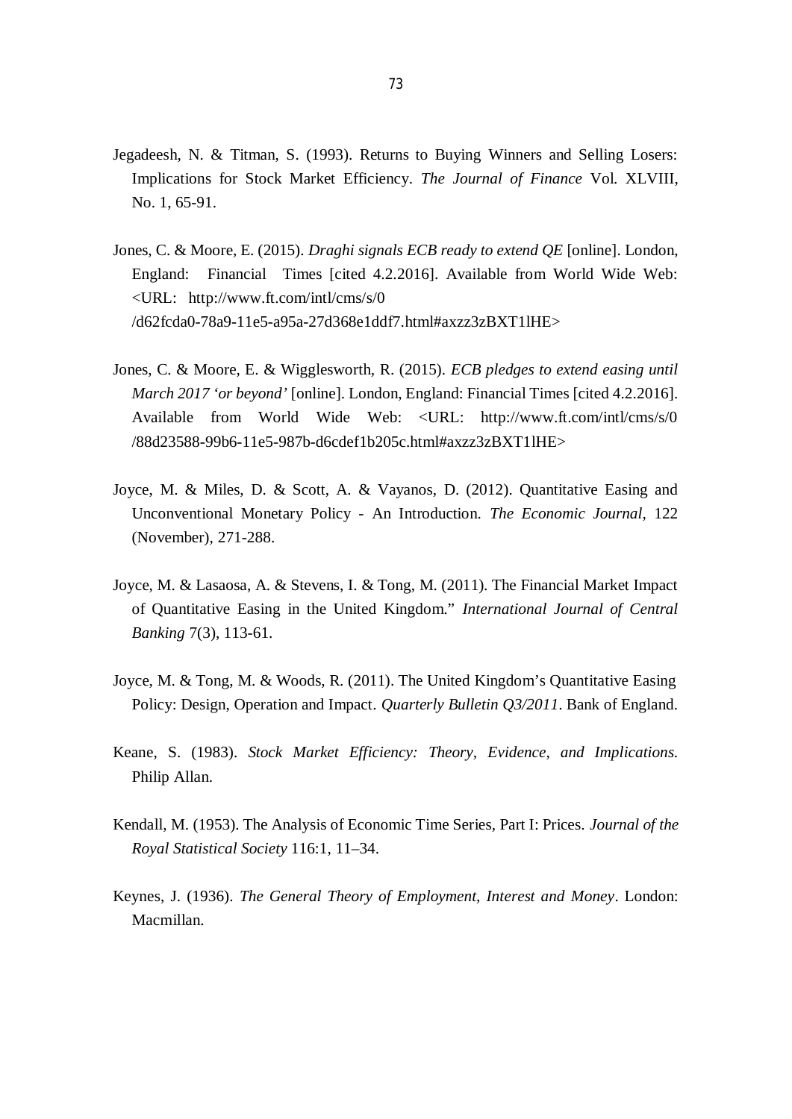- Jegadeesh, N. & Titman, S. (1993). Returns to Buying Winners and Selling Losers: Implications for Stock Market Efficiency. *The Journal of Finance* Vol. XLVIII, No. 1, 65-91.
- Jones, C. & Moore, E. (2015). *Draghi signals ECB ready to extend QE* [online]. London, England: Financial Times [cited 4.2.2016]. Available from World Wide Web: <URL: http://www.ft.com/intl/cms/s/0 /d62fcda0-78a9-11e5-a95a-27d368e1ddf7.html#axzz3zBXT1lHE>
- Jones, C. & Moore, E. & Wigglesworth, R. (2015). *ECB pledges to extend easing until March 2017 'or beyond'* [online]. London, England: Financial Times [cited 4.2.2016]. Available from World Wide Web: <URL: http://www.ft.com/intl/cms/s/0 /88d23588-99b6-11e5-987b-d6cdef1b205c.html#axzz3zBXT1lHE>
- Joyce, M. & Miles, D. & Scott, A. & Vayanos, D. (2012). Quantitative Easing and Unconventional Monetary Policy - An Introduction. *The Economic Journal*, 122 (November), 271-288.
- Joyce, M. & Lasaosa, A. & Stevens, I. & Tong, M. (2011). The Financial Market Impact of Quantitative Easing in the United Kingdom." *International Journal of Central Banking* 7(3), 113-61.
- Joyce, M. & Tong, M. & Woods, R. (2011). The United Kingdom's Quantitative Easing Policy: Design, Operation and Impact. *Quarterly Bulletin Q3/2011*. Bank of England.
- Keane, S. (1983). *Stock Market Efficiency: Theory, Evidence, and Implications.* Philip Allan.
- Kendall, M. (1953). The Analysis of Economic Time Series, Part I: Prices. *Journal of the Royal Statistical Society* 116:1, 11–34.
- Keynes, J. (1936). *The General Theory of Employment, Interest and Money*. London: Macmillan.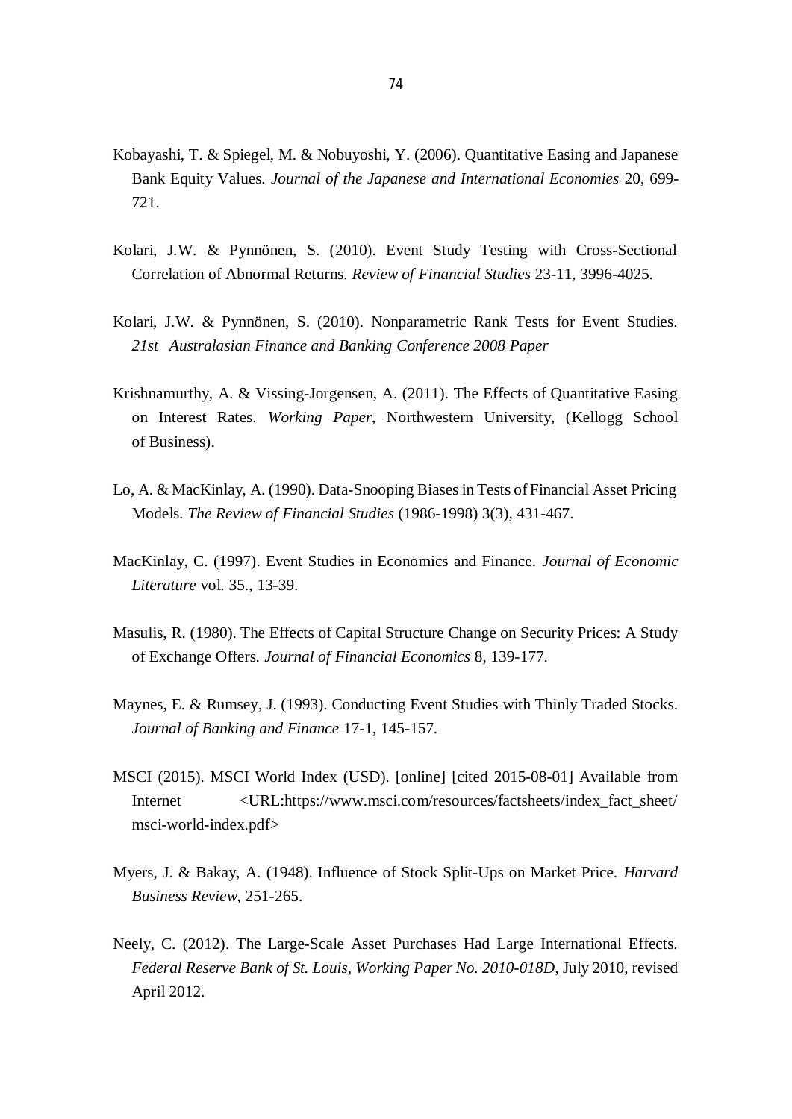- Kobayashi, T. & Spiegel, M. & Nobuyoshi, Y. (2006). Quantitative Easing and Japanese Bank Equity Values. *Journal of the Japanese and International Economies* 20, 699- 721.
- Kolari, J.W. & Pynnönen, S. (2010). Event Study Testing with Cross-Sectional Correlation of Abnormal Returns. *Review of Financial Studies* 23-11, 3996-4025.
- Kolari, J.W. & Pynnönen, S. (2010). Nonparametric Rank Tests for Event Studies. *21st Australasian Finance and Banking Conference 2008 Paper*
- Krishnamurthy, A. & Vissing-Jorgensen, A. (2011). The Effects of Quantitative Easing on Interest Rates. *Working Paper*, Northwestern University, (Kellogg School of Business).
- Lo, A. & MacKinlay, A. (1990). Data-Snooping Biases in Tests of Financial Asset Pricing Models. *The Review of Financial Studies* (1986-1998) 3(3), 431-467.
- MacKinlay, C. (1997). Event Studies in Economics and Finance. *Journal of Economic Literature* vol. 35., 13-39.
- Masulis, R. (1980). The Effects of Capital Structure Change on Security Prices: A Study of Exchange Offers. *Journal of Financial Economics* 8, 139-177.
- Maynes, E. & Rumsey, J. (1993). Conducting Event Studies with Thinly Traded Stocks. *Journal of Banking and Finance* 17-1, 145-157.
- MSCI (2015). MSCI World Index (USD). [online] [cited 2015-08-01] Available from Internet <URL:https://www.msci.com/resources/factsheets/index\_fact\_sheet/ msci-world-index.pdf>
- Myers, J. & Bakay, A. (1948). Influence of Stock Split-Ups on Market Price. *Harvard Business Review*, 251-265.
- Neely, C. (2012). The Large-Scale Asset Purchases Had Large International Effects. *Federal Reserve Bank of St. Louis, Working Paper No. 2010-018D*, July 2010, revised April 2012.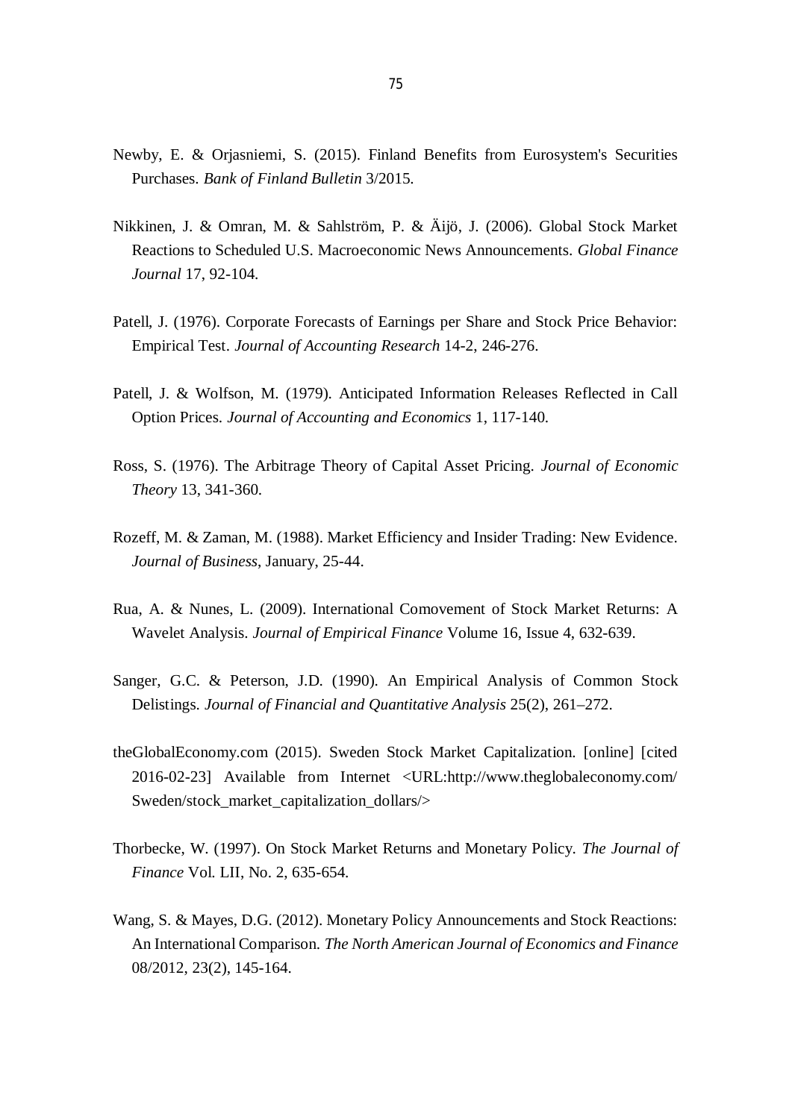- Newby, E. & Orjasniemi, S. (2015). Finland Benefits from Eurosystem's Securities Purchases. *Bank of Finland Bulletin* 3/2015.
- Nikkinen, J. & Omran, M. & Sahlström, P. & Äijö, J. (2006). Global Stock Market Reactions to Scheduled U.S. Macroeconomic News Announcements. *Global Finance Journal* 17, 92-104.
- Patell, J. (1976). Corporate Forecasts of Earnings per Share and Stock Price Behavior: Empirical Test. *Journal of Accounting Research* 14-2, 246-276.
- Patell, J. & Wolfson, M. (1979). Anticipated Information Releases Reflected in Call Option Prices. *Journal of Accounting and Economics* 1, 117-140.
- Ross, S. (1976). The Arbitrage Theory of Capital Asset Pricing. *Journal of Economic Theory* 13, 341-360.
- Rozeff, M. & Zaman, M. (1988). Market Efficiency and Insider Trading: New Evidence. *Journal of Business*, January, 25-44.
- Rua, A. & Nunes, L. (2009). International Comovement of Stock Market Returns: A Wavelet Analysis. *Journal of Empirical Finance* Volume 16, Issue 4, 632-639.
- Sanger, G.C. & Peterson, J.D. (1990). An Empirical Analysis of Common Stock Delistings. *Journal of Financial and Quantitative Analysis* 25(2), 261–272.
- theGlobalEconomy.com (2015). Sweden Stock Market Capitalization. [online] [cited 2016-02-23] Available from Internet <URL:http://www.theglobaleconomy.com/ Sweden/stock\_market\_capitalization\_dollars/>
- Thorbecke, W. (1997). On Stock Market Returns and Monetary Policy. *The Journal of Finance* Vol. LII, No. 2, 635-654.
- Wang, S. & Mayes, D.G. (2012). Monetary Policy Announcements and Stock Reactions: An International Comparison. *The North American Journal of Economics and Finance* 08/2012, 23(2), 145-164.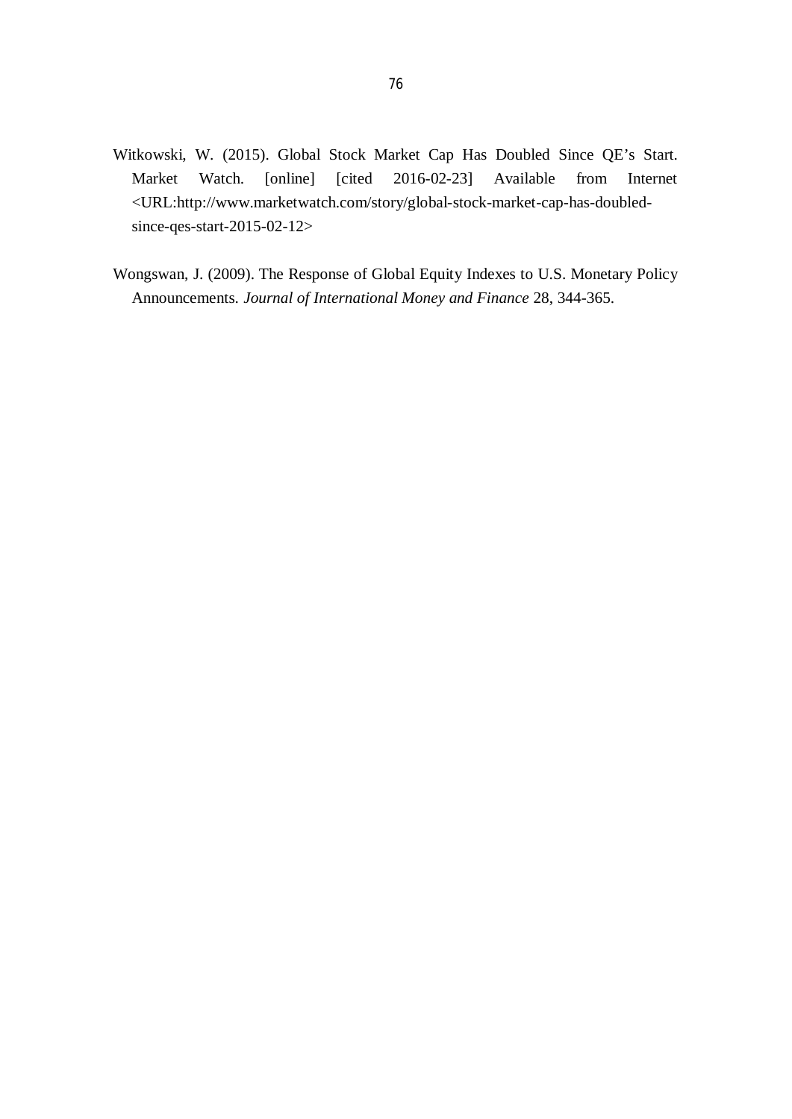- Witkowski, W. (2015). Global Stock Market Cap Has Doubled Since QE's Start. Market Watch. [online] [cited 2016-02-23] Available from Internet <URL:http://www.marketwatch.com/story/global-stock-market-cap-has-doubled since-qes-start-2015-02-12>
- Wongswan, J. (2009). The Response of Global Equity Indexes to U.S. Monetary Policy Announcements. *Journal of International Money and Finance* 28, 344-365.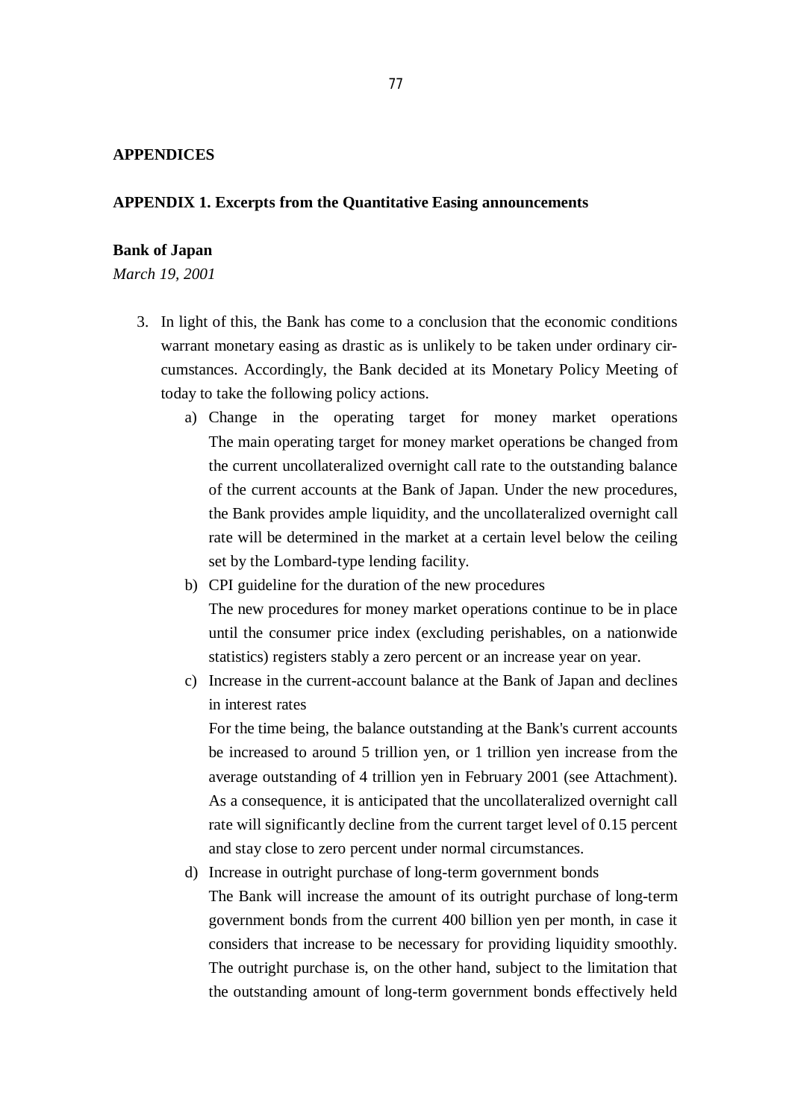# **APPENDICES**

## **APPENDIX 1. Excerpts from the Quantitative Easing announcements**

#### **Bank of Japan**

*March 19, 2001*

- 3. In light of this, the Bank has come to a conclusion that the economic conditions warrant monetary easing as drastic as is unlikely to be taken under ordinary circumstances. Accordingly, the Bank decided at its Monetary Policy Meeting of today to take the following policy actions.
	- a) Change in the operating target for money market operations The main operating target for money market operations be changed from the current uncollateralized overnight call rate to the outstanding balance of the current accounts at the Bank of Japan. Under the new procedures, the Bank provides ample liquidity, and the uncollateralized overnight call rate will be determined in the market at a certain level below the ceiling set by the Lombard-type lending facility.
	- b) CPI guideline for the duration of the new procedures The new procedures for money market operations continue to be in place until the consumer price index (excluding perishables, on a nationwide statistics) registers stably a zero percent or an increase year on year.
	- c) Increase in the current-account balance at the Bank of Japan and declines in interest rates

For the time being, the balance outstanding at the Bank's current accounts be increased to around 5 trillion yen, or 1 trillion yen increase from the average outstanding of 4 trillion yen in February 2001 (see Attachment). As a consequence, it is anticipated that the uncollateralized overnight call rate will significantly decline from the current target level of 0.15 percent and stay close to zero percent under normal circumstances.

d) Increase in outright purchase of long-term government bonds The Bank will increase the amount of its outright purchase of long-term government bonds from the current 400 billion yen per month, in case it considers that increase to be necessary for providing liquidity smoothly. The outright purchase is, on the other hand, subject to the limitation that the outstanding amount of long-term government bonds effectively held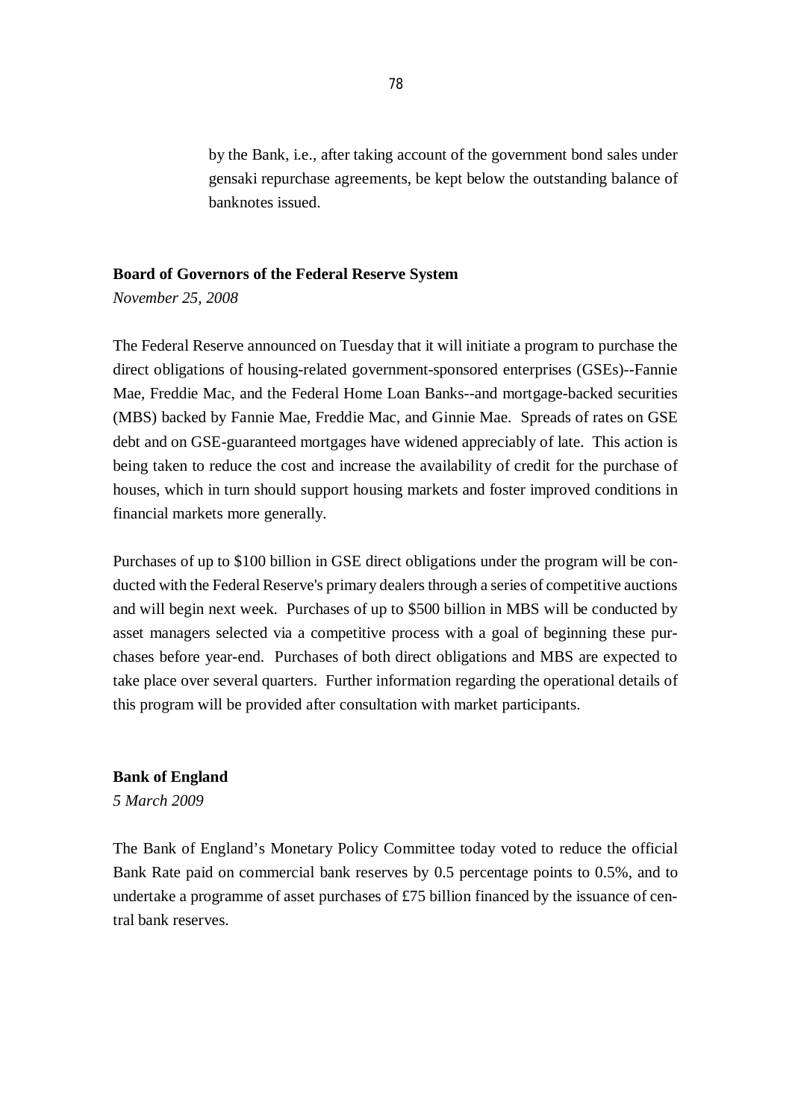by the Bank, i.e., after taking account of the government bond sales under gensaki repurchase agreements, be kept below the outstanding balance of banknotes issued.

# **Board of Governors of the Federal Reserve System**

*November 25, 2008*

The Federal Reserve announced on Tuesday that it will initiate a program to purchase the direct obligations of housing-related government-sponsored enterprises (GSEs)--Fannie Mae, Freddie Mac, and the Federal Home Loan Banks--and mortgage-backed securities (MBS) backed by Fannie Mae, Freddie Mac, and Ginnie Mae. Spreads of rates on GSE debt and on GSE-guaranteed mortgages have widened appreciably of late. This action is being taken to reduce the cost and increase the availability of credit for the purchase of houses, which in turn should support housing markets and foster improved conditions in financial markets more generally.

Purchases of up to \$100 billion in GSE direct obligations under the program will be conducted with the Federal Reserve's primary dealers through a series of competitive auctions and will begin next week. Purchases of up to \$500 billion in MBS will be conducted by asset managers selected via a competitive process with a goal of beginning these purchases before year-end. Purchases of both direct obligations and MBS are expected to take place over several quarters. Further information regarding the operational details of this program will be provided after consultation with market participants.

# **Bank of England**

*5 March 2009*

The Bank of England's Monetary Policy Committee today voted to reduce the official Bank Rate paid on commercial bank reserves by 0.5 percentage points to 0.5%, and to undertake a programme of asset purchases of £75 billion financed by the issuance of central bank reserves.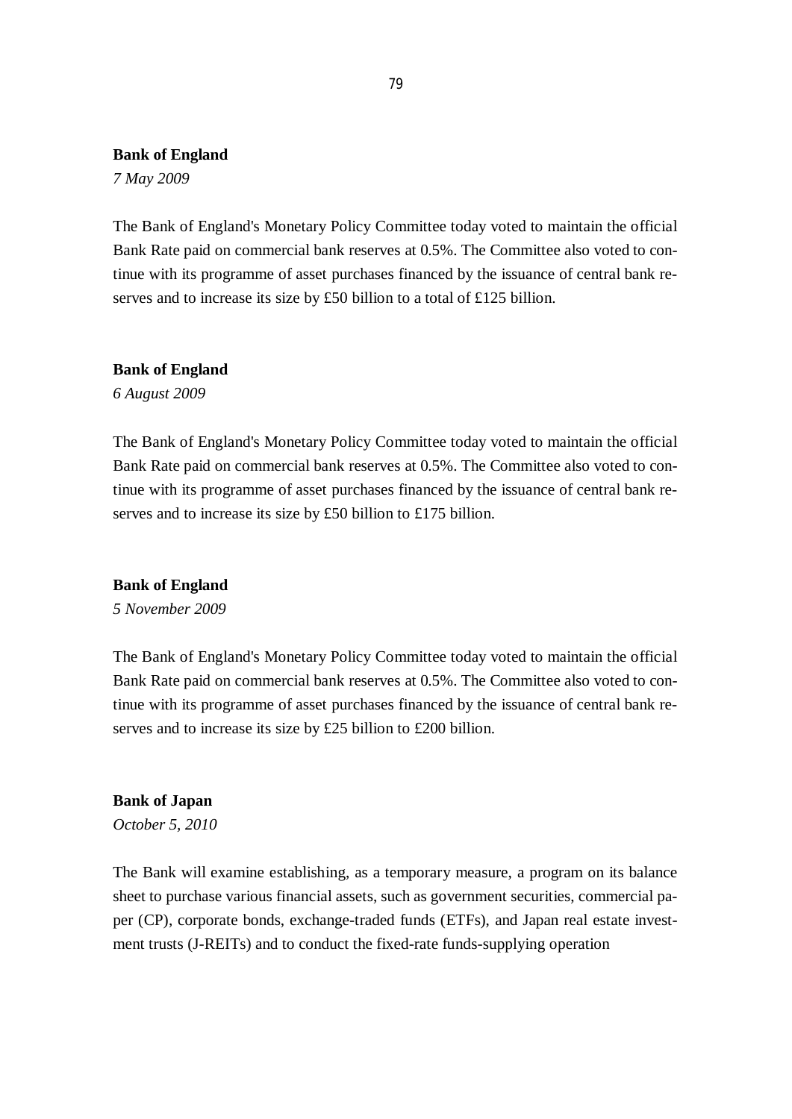# **Bank of England**

*7 May 2009*

The Bank of England's Monetary Policy Committee today voted to maintain the official Bank Rate paid on commercial bank reserves at 0.5%. The Committee also voted to continue with its programme of asset purchases financed by the issuance of central bank reserves and to increase its size by £50 billion to a total of £125 billion.

#### **Bank of England**

*6 August 2009*

The Bank of England's Monetary Policy Committee today voted to maintain the official Bank Rate paid on commercial bank reserves at 0.5%. The Committee also voted to continue with its programme of asset purchases financed by the issuance of central bank reserves and to increase its size by £50 billion to £175 billion.

### **Bank of England**

*5 November 2009*

The Bank of England's Monetary Policy Committee today voted to maintain the official Bank Rate paid on commercial bank reserves at 0.5%. The Committee also voted to continue with its programme of asset purchases financed by the issuance of central bank reserves and to increase its size by £25 billion to £200 billion.

# **Bank of Japan**

*October 5, 2010*

The Bank will examine establishing, as a temporary measure, a program on its balance sheet to purchase various financial assets, such as government securities, commercial paper (CP), corporate bonds, exchange-traded funds (ETFs), and Japan real estate investment trusts (J-REITs) and to conduct the fixed-rate funds-supplying operation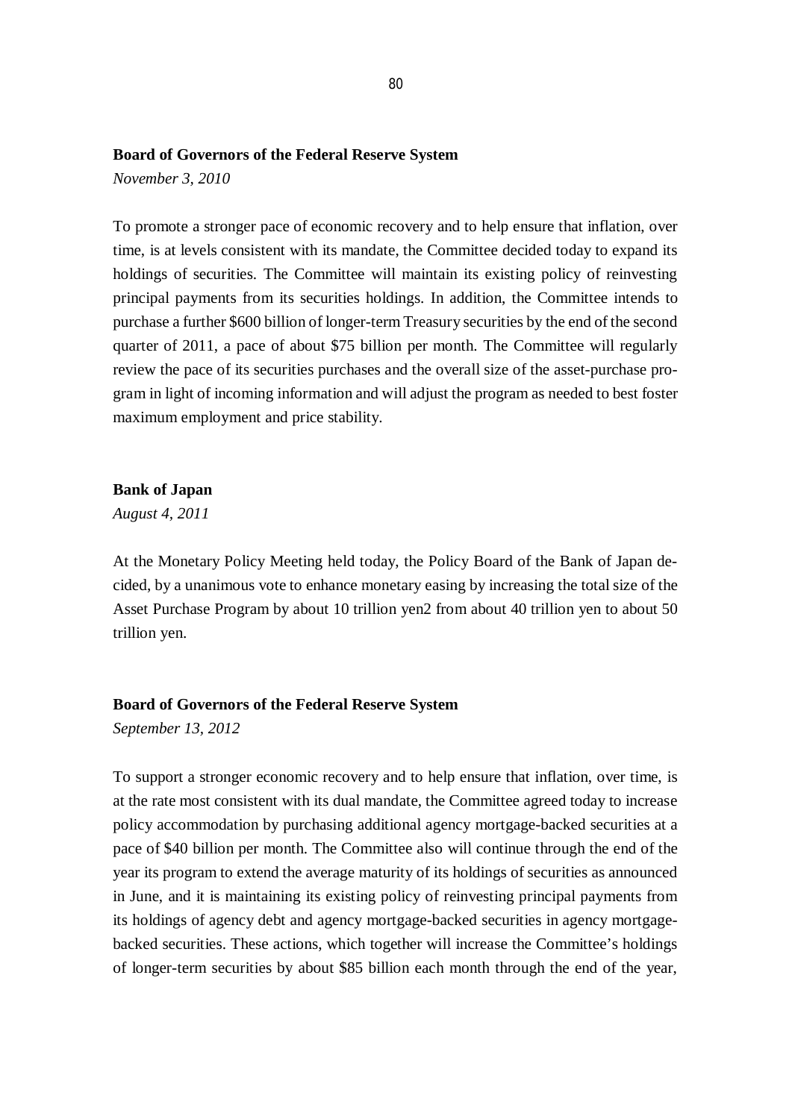# **Board of Governors of the Federal Reserve System**

*November 3, 2010*

To promote a stronger pace of economic recovery and to help ensure that inflation, over time, is at levels consistent with its mandate, the Committee decided today to expand its holdings of securities. The Committee will maintain its existing policy of reinvesting principal payments from its securities holdings. In addition, the Committee intends to purchase a further \$600 billion of longer-term Treasury securities by the end of the second quarter of 2011, a pace of about \$75 billion per month. The Committee will regularly review the pace of its securities purchases and the overall size of the asset-purchase program in light of incoming information and will adjust the program as needed to best foster maximum employment and price stability.

## **Bank of Japan**

*August 4, 2011*

At the Monetary Policy Meeting held today, the Policy Board of the Bank of Japan decided, by a unanimous vote to enhance monetary easing by increasing the total size of the Asset Purchase Program by about 10 trillion yen2 from about 40 trillion yen to about 50 trillion yen.

# **Board of Governors of the Federal Reserve System**

*September 13, 2012*

To support a stronger economic recovery and to help ensure that inflation, over time, is at the rate most consistent with its dual mandate, the Committee agreed today to increase policy accommodation by purchasing additional agency mortgage-backed securities at a pace of \$40 billion per month. The Committee also will continue through the end of the year its program to extend the average maturity of its holdings of securities as announced in June, and it is maintaining its existing policy of reinvesting principal payments from its holdings of agency debt and agency mortgage-backed securities in agency mortgagebacked securities. These actions, which together will increase the Committee's holdings of longer-term securities by about \$85 billion each month through the end of the year,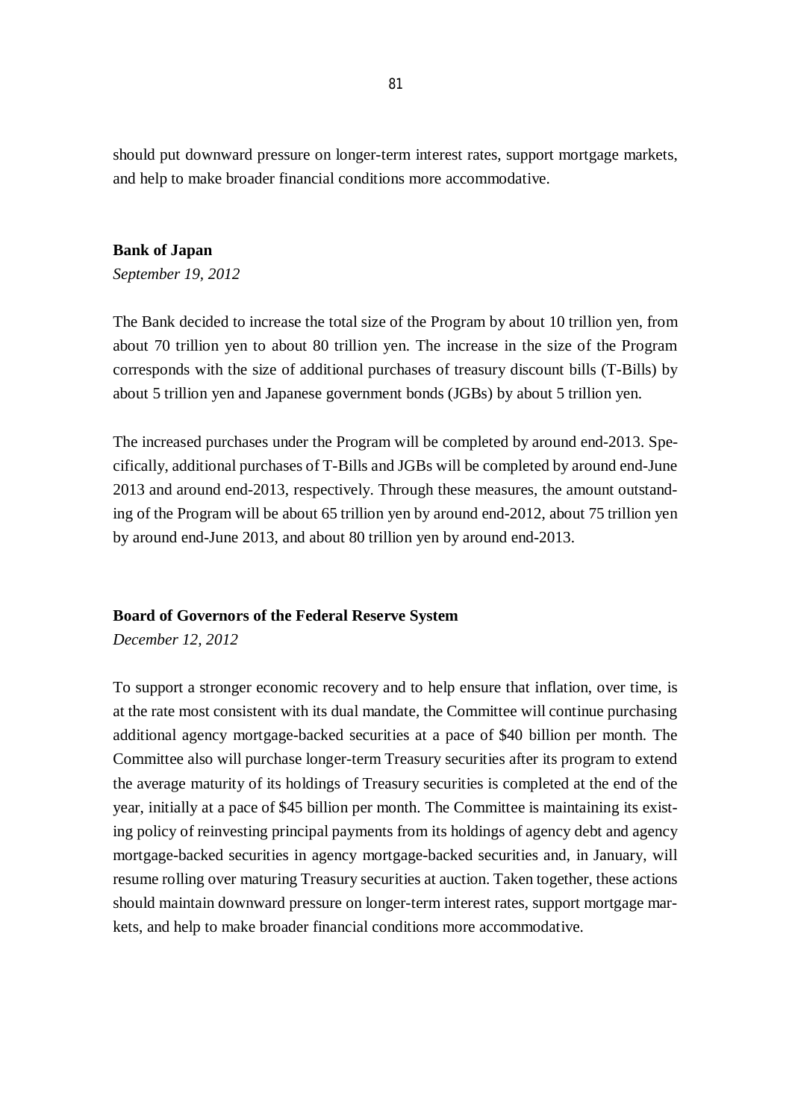should put downward pressure on longer-term interest rates, support mortgage markets, and help to make broader financial conditions more accommodative.

## **Bank of Japan**

*September 19, 2012*

The Bank decided to increase the total size of the Program by about 10 trillion yen, from about 70 trillion yen to about 80 trillion yen. The increase in the size of the Program corresponds with the size of additional purchases of treasury discount bills (T-Bills) by about 5 trillion yen and Japanese government bonds (JGBs) by about 5 trillion yen.

The increased purchases under the Program will be completed by around end-2013. Specifically, additional purchases of T-Bills and JGBs will be completed by around end-June 2013 and around end-2013, respectively. Through these measures, the amount outstanding of the Program will be about 65 trillion yen by around end-2012, about 75 trillion yen by around end-June 2013, and about 80 trillion yen by around end-2013.

# **Board of Governors of the Federal Reserve System**

*December 12, 2012*

To support a stronger economic recovery and to help ensure that inflation, over time, is at the rate most consistent with its dual mandate, the Committee will continue purchasing additional agency mortgage-backed securities at a pace of \$40 billion per month. The Committee also will purchase longer-term Treasury securities after its program to extend the average maturity of its holdings of Treasury securities is completed at the end of the year, initially at a pace of \$45 billion per month. The Committee is maintaining its existing policy of reinvesting principal payments from its holdings of agency debt and agency mortgage-backed securities in agency mortgage-backed securities and, in January, will resume rolling over maturing Treasury securities at auction. Taken together, these actions should maintain downward pressure on longer-term interest rates, support mortgage markets, and help to make broader financial conditions more accommodative.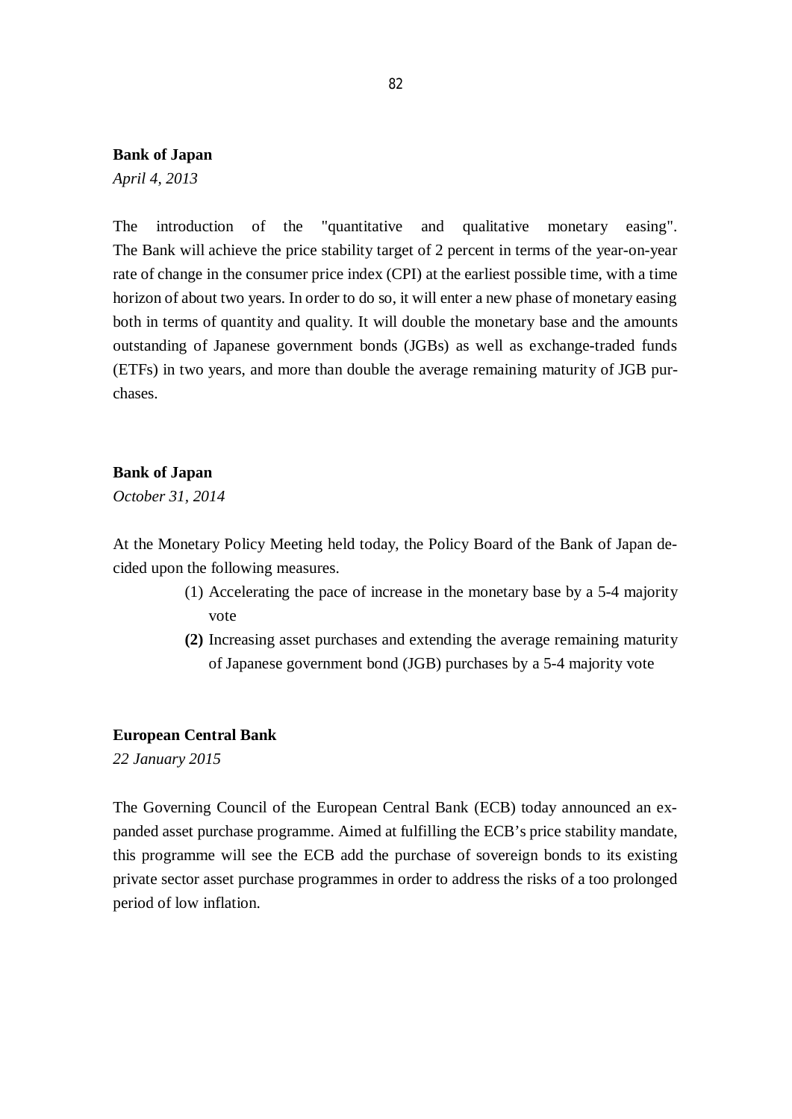# **Bank of Japan**

*April 4, 2013*

The introduction of the "quantitative and qualitative monetary easing". The Bank will achieve the price stability target of 2 percent in terms of the year-on-year rate of change in the consumer price index (CPI) at the earliest possible time, with a time horizon of about two years. In order to do so, it will enter a new phase of monetary easing both in terms of quantity and quality. It will double the monetary base and the amounts outstanding of Japanese government bonds (JGBs) as well as exchange-traded funds (ETFs) in two years, and more than double the average remaining maturity of JGB purchases.

#### **Bank of Japan**

*October 31, 2014*

At the Monetary Policy Meeting held today, the Policy Board of the Bank of Japan decided upon the following measures.

- (1) Accelerating the pace of increase in the monetary base by a 5-4 majority vote
- **(2)** Increasing asset purchases and extending the average remaining maturity of Japanese government bond (JGB) purchases by a 5-4 majority vote

## **European Central Bank**

*22 January 2015*

The Governing Council of the European Central Bank (ECB) today announced an expanded asset purchase programme. Aimed at fulfilling the ECB's price stability mandate, this programme will see the ECB add the purchase of sovereign bonds to its existing private sector asset purchase programmes in order to address the risks of a too prolonged period of low inflation.